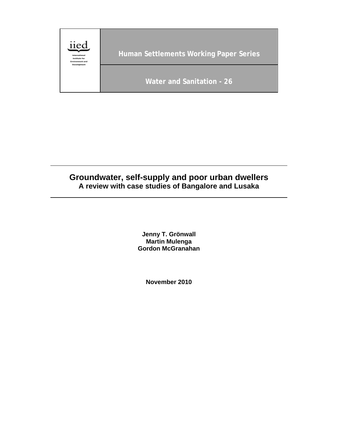

# **Groundwater, self-supply and poor urban dwellers A review with case studies of Bangalore and Lusaka**

**Jenny T. Grönwall Martin Mulenga Gordon McGranahan** 

**November 2010**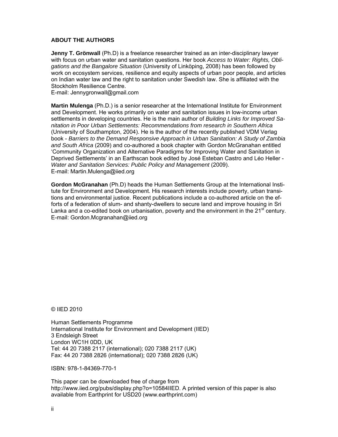#### **ABOUT THE AUTHORS**

**Jenny T. Grönwall** (Ph.D) is a freelance researcher trained as an inter-disciplinary lawyer with focus on urban water and sanitation questions. Her book *Access to Water: Rights, Obligations and the Bangalore Situation* (University of Linköping, 2008) has been followed by work on ecosystem services, resilience and equity aspects of urban poor people, and articles on Indian water law and the right to sanitation under Swedish law. She is affiliated with the Stockholm Resilience Centre.

E-mail: Jennygronwall@gmail.com

**Martin Mulenga** (Ph.D.) is a senior researcher at the International Institute for Environment and Development. He works primarily on water and sanitation issues in low-income urban settlements in developing countries. He is the main author of *Building Links for Improved Sanitation in Poor Urban Settlements: Recommendations from research in Southern Africa* (University of Southampton, 2004). He is the author of the recently published VDM Verlag book - *Barriers to the Demand Responsive Approach in Urban Sanitation: A Study of Zambia and South Africa* (2009) and co-authored a book chapter with Gordon McGranahan entitled 'Community Organization and Alternative Paradigms for Improving Water and Sanitation in Deprived Settlements' in an Earthscan book edited by José Esteban Castro and Léo Heller - *Water and Sanitation Services: Public Policy and Management* (2009). E-mail: Martin.Mulenga@iied.org

**Gordon McGranahan** (Ph.D) heads the Human Settlements Group at the International Institute for Environment and Development. His research interests include poverty, urban transitions and environmental justice. Recent publications include a co-authored article on the efforts of a federation of slum- and shanty-dwellers to secure land and improve housing in Sri Lanka and a co-edited book on urbanisation, poverty and the environment in the  $21<sup>st</sup>$  century. E-mail: Gordon.Mcgranahan@iied.org

© IIED 2010

Human Settlements Programme International Institute for Environment and Development (IIED) 3 Endsleigh Street London WC1H 0DD, UK Tel: 44 20 7388 2117 (international); 020 7388 2117 (UK) Fax: 44 20 7388 2826 (international); 020 7388 2826 (UK)

ISBN: 978-1-84369-770-1

This paper can be downloaded free of charge from http://www.iied.org/pubs/display.php?o=10584IIED. A printed version of this paper is also available from Earthprint for USD20 (www.earthprint.com)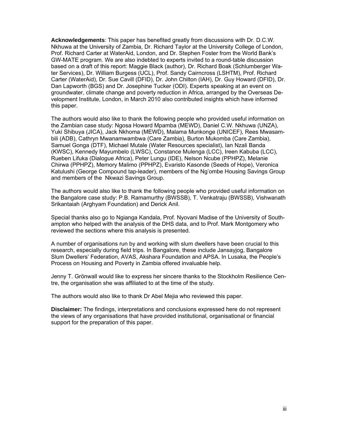**Acknowledgements**: This paper has benefited greatly from discussions with Dr. D.C.W. Nkhuwa at the University of Zambia, Dr. Richard Taylor at the University College of London, Prof. Richard Carter at WaterAid, London, and Dr. Stephen Foster from the World Bank's GW-MATE program. We are also indebted to experts invited to a round-table discussion based on a draft of this report: Maggie Black (author), Dr. Richard Boak (Schlumberger Water Services), Dr. William Burgess (UCL), Prof. Sandy Cairncross (LSHTM), Prof. Richard Carter (WaterAid), Dr. Sue Cavill (DFID), Dr. John Chilton (IAH), Dr. Guy Howard (DFID), Dr. Dan Lapworth (BGS) and Dr. Josephine Tucker (ODI). Experts speaking at an event on groundwater, climate change and poverty reduction in Africa, arranged by the Overseas Development Institute, London, in March 2010 also contributed insights which have informed this paper.

The authors would also like to thank the following people who provided useful information on the Zambian case study: Ngosa Howard Mpamba (MEWD), Daniel C.W. Nkhuwa (UNZA), Yuki Shibuya (JICA), Jack Nkhoma (MEWD), Malama Munkonge (UNICEF), Rees Mwasambili (ADB), Cathryn Mwanamwambwa (Care Zambia), Burton Mukomba (Care Zambia), Samuel Gonga (DTF), Michael Mutale (Water Resources specialist), Ian Nzali Banda (KWSC), Kennedy Mayumbelo (LWSC), Constance Mulenga (LCC), Ireen Kabuba (LCC), Rueben Lifuka (Dialogue Africa), Peter Lungu (IDE), Nelson Ncube (PPHPZ), Melanie Chirwa (PPHPZ), Memory Malimo (PPHPZ), Evaristo Kasonde (Seeds of Hope), Veronica Katulushi (George Compound tap-leader), members of the Ng'ombe Housing Savings Group and members of the Nkwazi Savings Group.

The authors would also like to thank the following people who provided useful information on the Bangalore case study: P.B. Ramamurthy (BWSSB), T. Venkatraju (BWSSB), Vishwanath Srikantaiah (Arghyam Foundation) and Derick Anil.

Special thanks also go to Ngianga Kandala, Prof. Nyovani Madise of the University of Southampton who helped with the analysis of the DHS data, and to Prof. Mark Montgomery who reviewed the sections where this analysis is presented.

A number of organisations run by and working with slum dwellers have been crucial to this research, especially during field trips. In Bangalore, these include Jansayjog, Bangalore Slum Dwellers' Federation, AVAS, Akshara Foundation and APSA. In Lusaka, the People's Process on Housing and Poverty in Zambia offered invaluable help.

Jenny T. Grönwall would like to express her sincere thanks to the Stockholm Resilience Centre, the organisation she was affiliated to at the time of the study.

The authors would also like to thank Dr Abel Mejia who reviewed this paper.

**Disclaimer:** The findings, interpretations and conclusions expressed here do not represent the views of any organisations that have provided institutional, organisational or financial support for the preparation of this paper.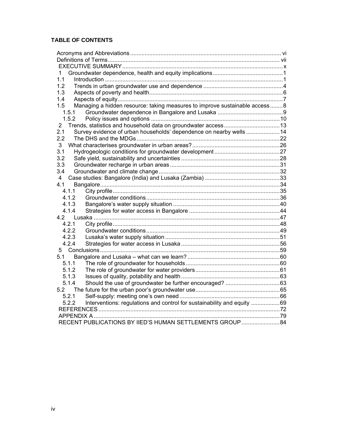## **TABLE OF CONTENTS**

| 1                                                                                 |  |
|-----------------------------------------------------------------------------------|--|
| 1.1                                                                               |  |
| 1.2                                                                               |  |
| 1.3                                                                               |  |
| 1.4                                                                               |  |
| Managing a hidden resource: taking measures to improve sustainable access8<br>1.5 |  |
| 1.5.1                                                                             |  |
| 1.5.2                                                                             |  |
| $\overline{2}$                                                                    |  |
| Survey evidence of urban households' dependence on nearby wells  14<br>2.1        |  |
| 22                                                                                |  |
| 3                                                                                 |  |
| 3.1                                                                               |  |
| 3.2                                                                               |  |
| 3.3                                                                               |  |
| 3.4                                                                               |  |
| 4                                                                                 |  |
| 4.1                                                                               |  |
| 4.1.1                                                                             |  |
| 4.1.2                                                                             |  |
| 4.1.3                                                                             |  |
| 4.1.4                                                                             |  |
|                                                                                   |  |
| 4.2.1                                                                             |  |
| 4.2.2                                                                             |  |
| 4.2.3                                                                             |  |
| 4.2.4                                                                             |  |
| 5                                                                                 |  |
| 5.1                                                                               |  |
| 5.1.1                                                                             |  |
| 5.1.2                                                                             |  |
| 5.1.3                                                                             |  |
| 5.1.4                                                                             |  |
|                                                                                   |  |
| 5.2.1                                                                             |  |
| Interventions: regulations and control for sustainability and equity  69<br>5.2.2 |  |
|                                                                                   |  |
|                                                                                   |  |
| RECENT PUBLICATIONS BY IIED'S HUMAN SETTLEMENTS GROUP 84                          |  |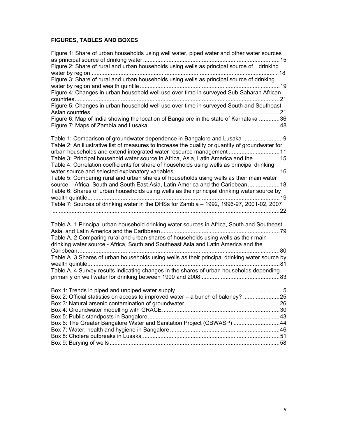## **FIGURES, TABLES AND BOXES**

| Figure 1: Share of urban households using well water, piped water and other water sources        |    |
|--------------------------------------------------------------------------------------------------|----|
|                                                                                                  |    |
| Figure 2: Share of rural and urban households using wells as principal source of drinking        |    |
| Figure 3: Share of rural and urban households using wells as principal source of drinking        |    |
|                                                                                                  |    |
| Figure 4: Changes in urban household well use over time in surveyed Sub-Saharan African          |    |
|                                                                                                  |    |
| Figure 5: Changes in urban household well use over time in surveyed South and Southeast          |    |
|                                                                                                  |    |
| Figure 6: Map of India showing the location of Bangalore in the state of Karnataka 36            |    |
|                                                                                                  |    |
|                                                                                                  |    |
| Table 1: Comparison of groundwater dependence in Bangalore and Lusaka 9                          |    |
| Table 2: An illustrative list of measures to increase the quality or quantity of groundwater for |    |
| urban households and extend integrated water resource management 11                              |    |
| Table 3: Principal household water source in Africa, Asia, Latin America and the  15             |    |
| Table 4: Correlation coefficients for share of households using wells as principal drinking      |    |
| Table 5: Comparing rural and urban shares of households using wells as their main water          |    |
| source - Africa, South and South East Asia, Latin America and the Caribbean 18                   |    |
| Table 6: Shares of urban households using wells as their principal drinking water source by      |    |
|                                                                                                  |    |
| Table 7: Sources of drinking water in the DHSs for Zambia - 1992, 1996-97, 2001-02, 2007         |    |
|                                                                                                  |    |
|                                                                                                  |    |
| Table A. 1 Principal urban household drinking water sources in Africa, South and Southeast       |    |
|                                                                                                  |    |
| Table A. 2 Comparing rural and urban shares of households using wells as their main              |    |
| drinking water source - Africa, South and Southeast Asia and Latin America and the               |    |
| Table A. 3 Shares of urban households using wells as their principal drinking water source by    |    |
|                                                                                                  |    |
| Table A. 4 Survey results indicating changes in the shares of urban households depending         |    |
|                                                                                                  |    |
|                                                                                                  |    |
|                                                                                                  |    |
| Box 2: Official statistics on access to improved water - a bunch of baloney?                     | 25 |
|                                                                                                  |    |
|                                                                                                  |    |
|                                                                                                  |    |
| Box 6: The Greater Bangalore Water and Sanitation Project (GBWASP) 44                            |    |
|                                                                                                  |    |
|                                                                                                  |    |
|                                                                                                  |    |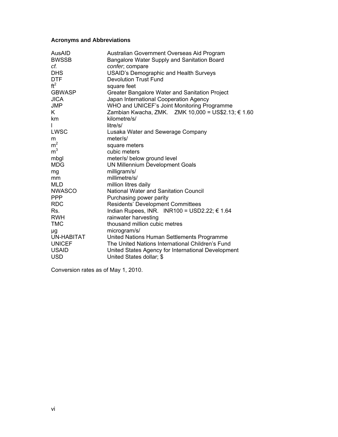## **Acronyms and Abbreviations**

| AusAID<br><b>BWSSB</b> | Australian Government Overseas Aid Program<br>Bangalore Water Supply and Sanitation Board |
|------------------------|-------------------------------------------------------------------------------------------|
| cf.                    | confer, compare                                                                           |
| <b>DHS</b>             | <b>USAID's Demographic and Health Surveys</b>                                             |
| <b>DTF</b>             | <b>Devolution Trust Fund</b>                                                              |
| ft <sup>2</sup>        | square feet                                                                               |
| <b>GBWASP</b>          | Greater Bangalore Water and Sanitation Project                                            |
| <b>JICA</b>            | Japan International Cooperation Agency                                                    |
| <b>JMP</b>             | WHO and UNICEF's Joint Monitoring Programme                                               |
| K.                     | Zambian Kwacha, ZMK. ZMK 10,000 = US\$2.13; € 1.60                                        |
| km                     | kilometre/s/                                                                              |
|                        | litre/s/                                                                                  |
| LWSC                   | Lusaka Water and Sewerage Company                                                         |
| m                      | meter/s/                                                                                  |
| m <sup>2</sup>         | square meters                                                                             |
| m <sup>3</sup>         | cubic meters                                                                              |
| mbgl                   | meter/s/ below ground level                                                               |
| <b>MDG</b>             | <b>UN Millennium Development Goals</b>                                                    |
| mg                     | milligram/s/                                                                              |
| mm                     | millimetre/s/                                                                             |
| MLD                    | million litres daily                                                                      |
| <b>NWASCO</b>          | <b>National Water and Sanitation Council</b>                                              |
| <b>PPP</b>             | Purchasing power parity                                                                   |
| <b>RDC</b>             | <b>Residents' Development Committees</b>                                                  |
| Rs.                    | Indian Rupees, INR. INR100 = USD2.22; $\epsilon$ 1.64                                     |
| <b>RWH</b>             | rainwater harvesting                                                                      |
| <b>TMC</b>             | thousand million cubic metres                                                             |
| μg                     | microgram/s/                                                                              |
| UN-HABITAT             | United Nations Human Settlements Programme                                                |
| <b>UNICEF</b>          | The United Nations International Children's Fund                                          |
| <b>USAID</b>           | United States Agency for International Development                                        |
| <b>USD</b>             | United States dollar; \$                                                                  |

Conversion rates as of May 1, 2010.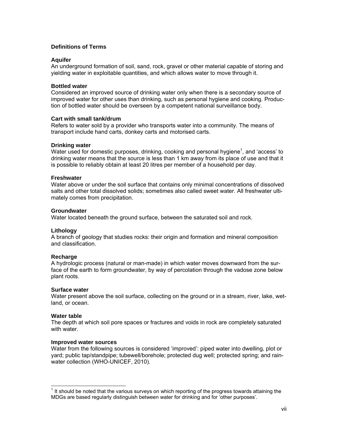### **Definitions of Terms**

### **Aquifer**

An underground formation of soil, sand, rock, gravel or other material capable of storing and yielding water in exploitable quantities, and which allows water to move through it.

#### **Bottled water**

Considered an improved source of drinking water only when there is a secondary source of improved water for other uses than drinking, such as personal hygiene and cooking. Production of bottled water should be overseen by a competent national surveillance body.

#### **Cart with small tank/drum**

Refers to water sold by a provider who transports water into a community. The means of transport include hand carts, donkey carts and motorised carts.

#### **Drinking water**

Water used for domestic purposes, drinking, cooking and personal hygiene<sup>1</sup>, and 'access' to drinking water means that the source is less than 1 km away from its place of use and that it is possible to reliably obtain at least 20 litres per member of a household per day.

#### **Freshwater**

Water above or under the soil surface that contains only minimal concentrations of dissolved salts and other total dissolved solids; sometimes also called sweet water. All freshwater ultimately comes from precipitation.

#### **Groundwater**

Water located beneath the ground surface, between the saturated soil and rock.

#### **Lithology**

A branch of geology that studies rocks: their origin and formation and mineral composition and classification.

#### **Recharge**

A hydrologic process (natural or man-made) in which water moves downward from the surface of the earth to form groundwater, by way of percolation through the vadose zone below plant roots.

#### **Surface water**

Water present above the soil surface, collecting on the ground or in a stream, river, lake, wetland, or ocean.

#### **Water table**

 $\overline{a}$ 

The depth at which soil pore spaces or fractures and voids in rock are completely saturated with water.

#### **Improved water sources**

Water from the following sources is considered 'improved': piped water into dwelling, plot or yard; public tap/standpipe; tubewell/borehole; protected dug well; protected spring; and rainwater collection (WHO-UNICEF, 2010).

 $1$  It should be noted that the various surveys on which reporting of the progress towards attaining the MDGs are based regularly distinguish between water for drinking and for 'other purposes'.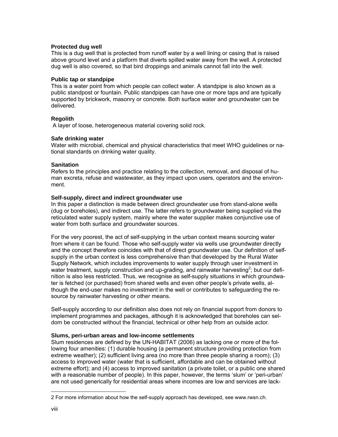#### **Protected dug well**

This is a dug well that is protected from runoff water by a well lining or casing that is raised above ground level and a platform that diverts spilled water away from the well. A protected dug well is also covered, so that bird droppings and animals cannot fall into the well.

#### **Public tap or standpipe**

This is a water point from which people can collect water. A standpipe is also known as a public standpost or fountain. Public standpipes can have one or more taps and are typically supported by brickwork, masonry or concrete. Both surface water and groundwater can be delivered.

## **Regolith**

A layer of loose, heterogeneous material covering solid rock.

#### **Safe drinking water**

Water with microbial, chemical and physical characteristics that meet WHO guidelines or national standards on drinking water quality.

#### **Sanitation**

Refers to the principles and practice relating to the collection, removal, and disposal of human excreta, refuse and wastewater, as they impact upon users, operators and the environment.

#### **Self-supply, direct and indirect groundwater use**

In this paper a distinction is made between direct groundwater use from stand-alone wells (dug or boreholes), and indirect use. The latter refers to groundwater being supplied via the reticulated water supply system, mainly where the water supplier makes conjunctive use of water from both surface and groundwater sources.

For the very poorest, the act of self-supplying in the urban context means sourcing water from where it can be found. Those who self-supply water via wells use groundwater directly and the concept therefore coincides with that of direct groundwater use. Our definition of selfsupply in the urban context is less comprehensive than that developed by the Rural Water Supply Network, which includes improvements to water supply through user investment in water treatment, supply construction and up-grading, and rainwater harvesting<sup>2</sup>; but our definition is also less restricted. Thus, we recognise as self-supply situations in which groundwater is fetched (or purchased) from shared wells and even other people's private wells, although the end-user makes no investment in the well or contributes to safeguarding the resource by rainwater harvesting or other means.

Self-supply according to our definition also does not rely on financial support from donors to implement programmes and packages, although it is acknowledged that boreholes can seldom be constructed without the financial, technical or other help from an outside actor.

## **Slums, peri-urban areas and low-income settlements**

Slum residences are defined by the UN-HABITAT (2006) as lacking one or more of the following four amenities: (1) durable housing (a permanent structure providing protection from extreme weather); (2) sufficient living area (no more than three people sharing a room); (3) access to improved water (water that is sufficient, affordable and can be obtained without extreme effort); and (4) access to improved sanitation (a private toilet, or a public one shared with a reasonable number of people). In this paper, however, the terms 'slum' or 'peri-urban' are not used generically for residential areas where incomes are low and services are lack-

l

<sup>2</sup> For more information about how the self-supply approach has developed, see www.rwsn.ch.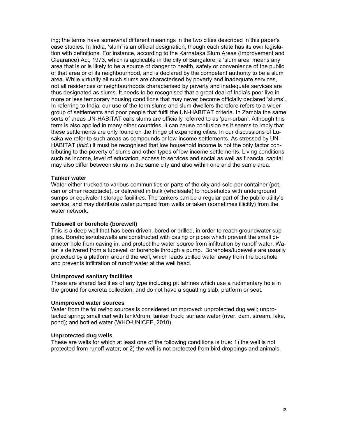ing; the terms have somewhat different meanings in the two cities described in this paper's case studies. In India, 'slum' is an official designation, though each state has its own legislation with definitions. For instance, according to the Karnataka Slum Areas (Improvement and Clearance) Act, 1973, which is applicable in the city of Bangalore, a 'slum area' means any area that is or is likely to be a source of danger to health, safety or convenience of the public of that area or of its neighbourhood, and is declared by the competent authority to be a slum area. While virtually all such slums are characterised by poverty and inadequate services, not all residences or neighbourhoods characterised by poverty and inadequate services are thus designated as slums. It needs to be recognised that a great deal of India's poor live in more or less temporary housing conditions that may never become officially declared 'slums'. In referring to India, our use of the term slums and slum dwellers therefore refers to a wider group of settlements and poor people that fulfil the UN-HABITAT criteria. In Zambia the same sorts of areas UN-HABITAT calls slums are officially referred to as 'peri-urban'. Although this term is also applied in many other countries, it can cause confusion as it seems to imply that these settlements are only found on the fringe of expanding cities. In our discussions of Lusaka we refer to such areas as compounds or low-income settlements. As stressed by UN-HABITAT (*ibid*.) it must be recognised that low household income is not the only factor contributing to the poverty of slums and other types of low-income settlements. Living conditions such as income, level of education, access to services and social as well as financial capital may also differ between slums in the same city and also within one and the same area.

#### **Tanker water**

Water either trucked to various communities or parts of the city and sold per container (pot, can or other receptacle), or delivered in bulk (wholesale) to households with underground sumps or equivalent storage facilities. The tankers can be a regular part of the public utility's service, and may distribute water pumped from wells or taken (sometimes illicitly) from the water network.

#### **Tubewell or borehole (borewell)**

This is a deep well that has been driven, bored or drilled, in order to reach groundwater supplies. Boreholes/tubewells are constructed with casing or pipes which prevent the small diameter hole from caving in, and protect the water source from infiltration by runoff water. Water is delivered from a tubewell or borehole through a pump. Boreholes/tubewells are usually protected by a platform around the well, which leads spilled water away from the borehole and prevents infiltration of runoff water at the well head.

#### **Unimproved sanitary facilities**

These are shared facilities of any type including pit latrines which use a rudimentary hole in the ground for excreta collection, and do not have a squatting slab, platform or seat.

#### **Unimproved water sources**

Water from the following sources is considered unimproved: unprotected dug well; unprotected spring; small cart with tank/drum; tanker truck; surface water (river, dam, stream, lake, pond); and bottled water (WHO-UNICEF, 2010).

#### **Unprotected dug wells**

These are wells for which at least one of the following conditions is true: 1) the well is not protected from runoff water; or 2) the well is not protected from bird droppings and animals.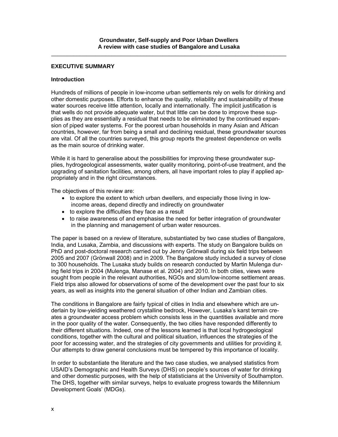#### **EXECUTIVE SUMMARY**

#### **Introduction**

Hundreds of millions of people in low-income urban settlements rely on wells for drinking and other domestic purposes. Efforts to enhance the quality, reliability and sustainability of these water sources receive little attention, locally and internationally. The implicit justification is that wells do not provide adequate water, but that little can be done to improve these supplies as they are essentially a residual that needs to be eliminated by the continued expansion of piped water systems. For the poorest urban households in many Asian and African countries, however, far from being a small and declining residual, these groundwater sources are vital. Of all the countries surveyed, this group reports the greatest dependence on wells as the main source of drinking water.

While it is hard to generalise about the possibilities for improving these groundwater supplies, hydrogeological assessments, water quality monitoring, point-of-use treatment, and the upgrading of sanitation facilities, among others, all have important roles to play if applied appropriately and in the right circumstances.

The objectives of this review are:

- to explore the extent to which urban dwellers, and especially those living in lowincome areas, depend directly and indirectly on groundwater
- to explore the difficulties they face as a result
- to raise awareness of and emphasise the need for better integration of groundwater in the planning and management of urban water resources.

The paper is based on a review of literature, substantiated by two case studies of Bangalore, India, and Lusaka, Zambia, and discussions with experts. The study on Bangalore builds on PhD and post-doctoral research carried out by Jenny Grönwall during six field trips between 2005 and 2007 (Grönwall 2008) and in 2009. The Bangalore study included a survey of close to 300 households. The Lusaka study builds on research conducted by Martin Mulenga during field trips in 2004 (Mulenga, Manase et al. 2004) and 2010. In both cities, views were sought from people in the relevant authorities, NGOs and slum/low-income settlement areas. Field trips also allowed for observations of some of the development over the past four to six years, as well as insights into the general situation of other Indian and Zambian cities.

The conditions in Bangalore are fairly typical of cities in India and elsewhere which are underlain by low-yielding weathered crystalline bedrock, However, Lusaka's karst terrain creates a groundwater access problem which consists less in the quantities available and more in the poor quality of the water. Consequently, the two cities have responded differently to their different situations. Indeed, one of the lessons learned is that local hydrogeological conditions, together with the cultural and political situation, influences the strategies of the poor for accessing water, and the strategies of city governments and utilities for providing it. Our attempts to draw general conclusions must be tempered by this importance of locality.

In order to substantiate the literature and the two case studies, we analysed statistics from USAID's Demographic and Health Surveys (DHS) on people's sources of water for drinking and other domestic purposes, with the help of statisticians at the University of Southampton. The DHS, together with similar surveys, helps to evaluate progress towards the Millennium Development Goals' (MDGs).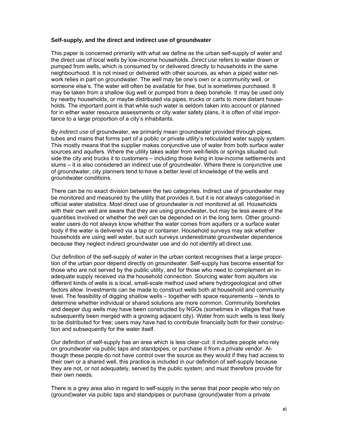#### **Self-supply, and the direct and indirect use of groundwater**

This paper is concerned primarily with what we define as the urban self-supply of water and the direct use of local wells by low-income households. *Direct use* refers to water drawn or pumped from wells, which is consumed by or delivered directly to households in the same neighbourhood. It is not mixed or delivered with other sources, as when a piped water network relies in part on groundwater. The well may be one's own or a community well, or someone else's. The water will often be available for free, but is sometimes purchased. It may be taken from a shallow dug well or pumped from a deep borehole. It may be used only by nearby households, or maybe distributed via pipes, trucks or carts to more distant households. The important point is that while such water is seldom taken into account or planned for in either water resource assessments or city water safety plans, it is often of vital importance to a large proportion of a city's inhabitants.

By *indirect use* of groundwater, we primarily mean groundwater provided through pipes, tubes and mains that forms part of a public or private utility's reticulated water supply system. This mostly means that the supplier makes conjunctive use of water from both surface water sources and aquifers. Where the utility takes water from well-fields or springs situated outside the city and trucks it to customers – including those living in low-income settlements and slums – it is also considered an indirect use of groundwater. Where there is conjunctive use of groundwater, city planners tend to have a better level of knowledge of the wells and groundwater conditions.

There can be no exact division between the two categories. Indirect use of groundwater may be monitored and measured by the utility that provides it, but it is not always categorised in official water statistics. Most direct use of groundwater is not monitored at all. Households with their own well are aware that they are using groundwater, but may be less aware of the quantities involved or whether the well can be depended on in the long term. Other groundwater users do not always know whether the water comes from aquifers or a surface water body if the water is delivered via a tap or container. Household surveys may ask whether households are using well water, but such surveys underestimate groundwater dependence because they neglect indirect groundwater use and do not identify all direct use.

Our definition of the self-supply of water in the urban context recognises that a large proportion of the urban poor depend directly on groundwater. Self-supply has become essential for those who are not served by the public utility, and for those who need to complement an inadequate supply received via the household connection. Sourcing water from aquifers via different kinds of wells is a local, small-scale method used where hydrogeological and other factors allow. Investments can be made to construct wells both at household and community level. The feasibility of digging shallow wells – together with space requirements – tends to determine whether individual or shared solutions are more common. Community boreholes and deeper dug wells may have been constructed by NGOs (sometimes in villages that have subsequently been merged with a growing adjacent city). Water from such wells is less likely to be distributed for free; users may have had to contribute financially both for their construction and subsequently for the water itself.

Our definition of self-supply has an area which is less clear-cut: it includes people who rely on groundwater via public taps and standpipes, or purchase it from a private vendor. Although these people do not have control over the source as they would if they had access to their own or a shared well, this practice is included in our definition of self-supply because they are not, or not adequately, served by the public system, and must therefore provide for their own needs.

There is a grey area also in regard to self-supply in the sense that poor people who rely on (ground)water via public taps and standpipes or purchase (ground)water from a private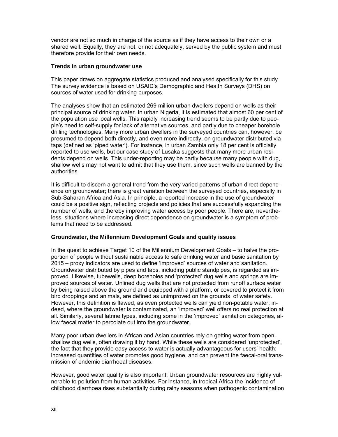vendor are not so much in charge of the source as if they have access to their own or a shared well. Equally, they are not, or not adequately, served by the public system and must therefore provide for their own needs.

#### **Trends in urban groundwater use**

This paper draws on aggregate statistics produced and analysed specifically for this study. The survey evidence is based on USAID's Demographic and Health Surveys (DHS) on sources of water used for drinking purposes.

The analyses show that an estimated 269 million urban dwellers depend on wells as their principal source of drinking water. In urban Nigeria, it is estimated that almost 60 per cent of the population use local wells. This rapidly increasing trend seems to be partly due to people's need to self-supply for lack of alternative sources, and partly due to cheaper borehole drilling technologies. Many more urban dwellers in the surveyed countries can, however, be presumed to depend both directly, and even more indirectly, on groundwater distributed via taps (defined as 'piped water'). For instance, in urban Zambia only 18 per cent is officially reported to use wells, but our case study of Lusaka suggests that many more urban residents depend on wells. This under-reporting may be partly because many people with dug, shallow wells may not want to admit that they use them, since such wells are banned by the authorities.

It is difficult to discern a general trend from the very varied patterns of urban direct dependence on groundwater; there is great variation between the surveyed countries, especially in Sub-Saharan Africa and Asia. In principle, a reported increase in the use of groundwater could be a positive sign, reflecting projects and policies that are successfully expanding the number of wells, and thereby improving water access by poor people. There are, nevertheless, situations where increasing direct dependence on groundwater is a symptom of problems that need to be addressed.

## **Groundwater, the Millennium Development Goals and quality issues**

In the quest to achieve Target 10 of the Millennium Development Goals – to halve the proportion of people without sustainable access to safe drinking water and basic sanitation by 2015 – proxy indicators are used to define 'improved' sources of water and sanitation. Groundwater distributed by pipes and taps, including public standpipes, is regarded as improved. Likewise, tubewells, deep boreholes and 'protected' dug wells and springs are improved sources of water. Unlined dug wells that are not protected from runoff surface water by being raised above the ground and equipped with a platform, or covered to protect it from bird droppings and animals, are defined as unimproved on the grounds of water safety. However, this definition is flawed, as even protected wells can yield non-potable water; indeed, where the groundwater is contaminated, an 'improved' well offers no real protection at all. Similarly, several latrine types, including some in the 'improved' sanitation categories, allow faecal matter to percolate out into the groundwater.

Many poor urban dwellers in African and Asian countries rely on getting water from open, shallow dug wells, often drawing it by hand. While these wells are considered 'unprotected', the fact that they provide easy access to water is actually advantageous for users' health: increased quantities of water promotes good hygiene, and can prevent the faecal-oral transmission of endemic diarrhoeal diseases.

However, good water quality is also important. Urban groundwater resources are highly vulnerable to pollution from human activities. For instance, in tropical Africa the incidence of childhood diarrhoea rises substantially during rainy seasons when pathogenic contamination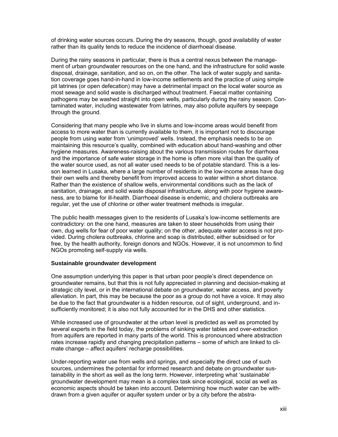of drinking water sources occurs. During the dry seasons, though, good availability of water rather than its quality tends to reduce the incidence of diarrhoeal disease.

During the rainy seasons in particular, there is thus a central nexus between the management of urban groundwater resources on the one hand, and the infrastructure for solid waste disposal, drainage, sanitation, and so on, on the other. The lack of water supply and sanitation coverage goes hand-in-hand in low-income settlements and the practice of using simple pit latrines (or open defecation) may have a detrimental impact on the local water source as most sewage and solid waste is discharged without treatment. Faecal matter containing pathogens may be washed straight into open wells, particularly during the rainy season. Contaminated water, including wastewater from latrines, may also pollute aquifers by seepage through the ground.

Considering that many people who live in slums and low-income areas would benefit from access to more water than is currently available to them, it is important not to discourage people from using water from 'unimproved' wells. Instead, the emphasis needs to be on maintaining this resource's quality, combined with education about hand-washing and other hygiene measures. Awareness-raising about the various transmission routes for diarrhoea and the importance of safe water storage in the home is often more vital than the quality of the water source used, as not all water used needs to be of potable standard. This is a lesson learned in Lusaka, where a large number of residents in the low-income areas have dug their own wells and thereby benefit from improved access to water within a short distance. Rather than the existence of shallow wells, environmental conditions such as the lack of sanitation, drainage, and solid waste disposal infrastructure, along with poor hygiene awareness, are to blame for ill-health. Diarrhoeal disease is endemic, and cholera outbreaks are regular, yet the use of chlorine or other water treatment methods is irregular.

The public health messages given to the residents of Lusaka's low-income settlements are contradictory: on the one hand, measures are taken to steer households from using their own, dug wells for fear of poor water quality; on the other, adequate water access is not provided. During cholera outbreaks, chlorine and soap is distributed, either subsidised or for free, by the health authority, foreign donors and NGOs. However, it is not uncommon to find NGOs promoting self-supply via wells.

#### **Sustainable groundwater development**

One assumption underlying this paper is that urban poor people's direct dependence on groundwater remains, but that this is not fully appreciated in planning and decision-making at strategic city level, or in the international debate on groundwater, water access, and poverty alleviation. In part, this may be because the poor as a group do not have a voice. It may also be due to the fact that groundwater is a hidden resource, out of sight, underground, and insufficiently monitored; it is also not fully accounted for in the DHS and other statistics.

While increased use of groundwater at the urban level is predicted as well as promoted by several experts in the field today, the problems of sinking water tables and over-extraction from aquifers are reported in many parts of the world. This is pronounced where abstraction rates increase rapidly and changing precipitation patterns – some of which are linked to climate change – affect aquifers' recharge possibilities.

Under-reporting water use from wells and springs, and especially the direct use of such sources, undermines the potential for informed research and debate on groundwater sustainability in the short as well as the long term. However, interpreting what 'sustainable' groundwater development may mean is a complex task since ecological, social as well as economic aspects should be taken into account. Determining how much water can be withdrawn from a given aquifer or aquifer system under or by a city before the abstra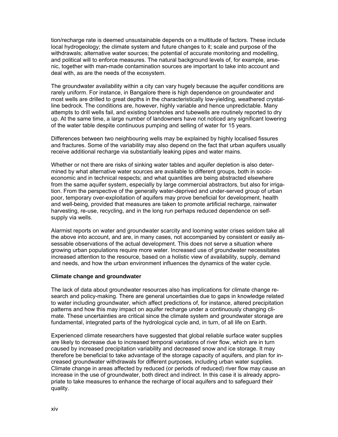tion/recharge rate is deemed unsustainable depends on a multitude of factors. These include local hydrogeology; the climate system and future changes to it; scale and purpose of the withdrawals; alternative water sources; the potential of accurate monitoring and modelling, and political will to enforce measures. The natural background levels of, for example, arsenic, together with man-made contamination sources are important to take into account and deal with, as are the needs of the ecosystem.

The groundwater availability within a city can vary hugely because the aquifer conditions are rarely uniform. For instance, in Bangalore there is high dependence on groundwater and most wells are drilled to great depths in the characteristically low-yielding, weathered crystalline bedrock. The conditions are, however, highly variable and hence unpredictable. Many attempts to drill wells fail, and existing boreholes and tubewells are routinely reported to dry up. At the same time, a large number of landowners have not noticed any significant lowering of the water table despite continuous pumping and selling of water for 15 years.

Differences between two neighbouring wells may be explained by highly localised fissures and fractures. Some of the variability may also depend on the fact that urban aquifers usually receive additional recharge via substantially leaking pipes and water mains.

Whether or not there are risks of sinking water tables and aquifer depletion is also determined by what alternative water sources are available to different groups, both in socioeconomic and in technical respects; and what quantities are being abstracted elsewhere from the same aquifer system, especially by large commercial abstractors, but also for irrigation. From the perspective of the generally water-deprived and under-served group of urban poor, temporary over-exploitation of aquifers may prove beneficial for development, health and well-being, provided that measures are taken to promote artificial recharge, rainwater harvesting, re-use, recycling, and in the long run perhaps reduced dependence on selfsupply via wells.

Alarmist reports on water and groundwater scarcity and looming water crises seldom take all the above into account, and are, in many cases, not accompanied by consistent or easily assessable observations of the actual development. This does not serve a situation where growing urban populations require more water. Increased use of groundwater necessitates increased attention to the resource, based on a holistic view of availability, supply, demand and needs, and how the urban environment influences the dynamics of the water cycle.

#### **Climate change and groundwater**

The lack of data about groundwater resources also has implications for climate change research and policy-making. There are general uncertainties due to gaps in knowledge related to water including groundwater, which affect predictions of, for instance, altered precipitation patterns and how this may impact on aquifer recharge under a continuously changing climate. These uncertainties are critical since the climate system and groundwater storage are fundamental, integrated parts of the hydrological cycle and, in turn, of all life on Earth.

Experienced climate researchers have suggested that global reliable surface water supplies are likely to decrease due to increased temporal variations of river flow, which are in turn caused by increased precipitation variability and decreased snow and ice storage. It may therefore be beneficial to take advantage of the storage capacity of aquifers, and plan for increased groundwater withdrawals for different purposes, including urban water supplies. Climate change in areas affected by reduced (or periods of reduced) river flow may cause an increase in the use of groundwater, both direct and indirect. In this case it is already appropriate to take measures to enhance the recharge of local aquifers and to safeguard their quality.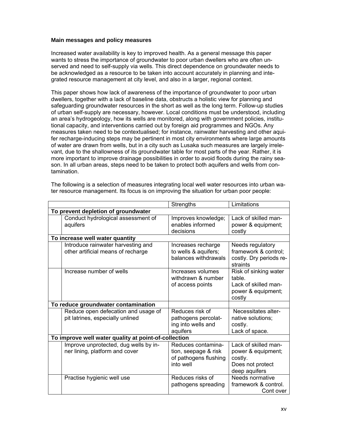#### **Main messages and policy measures**

Increased water availability is key to improved health. As a general message this paper wants to stress the importance of groundwater to poor urban dwellers who are often unserved and need to self-supply via wells. This direct dependence on groundwater needs to be acknowledged as a resource to be taken into account accurately in planning and integrated resource management at city level, and also in a larger, regional context.

This paper shows how lack of awareness of the importance of groundwater to poor urban dwellers, together with a lack of baseline data, obstructs a holistic view for planning and safeguarding groundwater resources in the short as well as the long term. Follow-up studies of urban self-supply are necessary, however. Local conditions must be understood, including an area's hydrogeology, how its wells are monitored, along with government policies, institutional capacity, and interventions carried out by foreign aid programmes and NGOs. Any measures taken need to be contextualised; for instance, rainwater harvesting and other aquifer recharge-inducing steps may be pertinent in most city environments where large amounts of water are drawn from wells, but in a city such as Lusaka such measures are largely irrelevant, due to the shallowness of its groundwater table for most parts of the year. Rather, it is more important to improve drainage possibilities in order to avoid floods during the rainy season. In all urban areas, steps need to be taken to protect both aquifers and wells from contamination.

|                                     | Limitations<br>Strengths                                                 |                                                                                                              |                                                                                            |  |  |  |
|-------------------------------------|--------------------------------------------------------------------------|--------------------------------------------------------------------------------------------------------------|--------------------------------------------------------------------------------------------|--|--|--|
| To prevent depletion of groundwater |                                                                          |                                                                                                              |                                                                                            |  |  |  |
|                                     | Conduct hydrological assessment of<br>aquifers                           | Lack of skilled man-<br>Improves knowledge;<br>enables informed<br>power & equipment;<br>decisions<br>costly |                                                                                            |  |  |  |
|                                     | To increase well water quantity                                          |                                                                                                              |                                                                                            |  |  |  |
|                                     | Introduce rainwater harvesting and<br>other artificial means of recharge | Increases recharge<br>to wells & aquifers;<br>balances withdrawals                                           | Needs regulatory<br>framework & control;<br>costly. Dry periods re-<br>straints            |  |  |  |
|                                     | Increase number of wells                                                 | Increases volumes<br>withdrawn & number<br>of access points                                                  | Risk of sinking water<br>table.<br>Lack of skilled man-<br>power & equipment;<br>costly    |  |  |  |
|                                     | To reduce groundwater contamination                                      |                                                                                                              |                                                                                            |  |  |  |
|                                     | Reduce open defecation and usage of<br>pit latrines, especially unlined  | Reduces risk of<br>pathogens percolat-<br>ing into wells and<br>aquifers                                     | Necessitates alter-<br>native solutions;<br>costly.<br>Lack of space.                      |  |  |  |
|                                     | To improve well water quality at point-of-collection                     |                                                                                                              |                                                                                            |  |  |  |
|                                     | Improve unprotected, dug wells by in-<br>ner lining, platform and cover  | Reduces contamina-<br>tion, seepage & risk<br>of pathogens flushing<br>into well                             | Lack of skilled man-<br>power & equipment;<br>costly.<br>Does not protect<br>deep aquifers |  |  |  |
|                                     | Practise hygienic well use                                               | Reduces risks of<br>pathogens spreading                                                                      | Needs normative<br>framework & control.<br>Cont over                                       |  |  |  |

The following is a selection of measures integrating local well water resources into urban water resource management. Its focus is on improving the situation for urban poor people: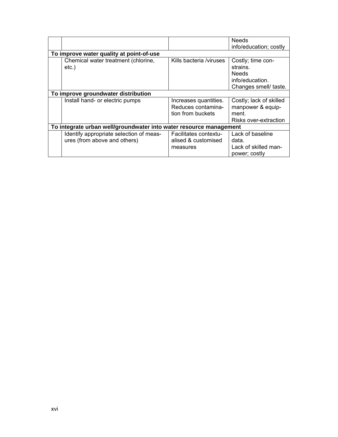|                                                                    |                         | <b>Needs</b>            |  |  |
|--------------------------------------------------------------------|-------------------------|-------------------------|--|--|
|                                                                    |                         | info/education; costly  |  |  |
| To improve water quality at point-of-use                           |                         |                         |  |  |
| Chemical water treatment (chlorine,                                | Kills bacteria /viruses | Costly; time con-       |  |  |
| $etc.$ )                                                           |                         | strains.                |  |  |
|                                                                    |                         | <b>Needs</b>            |  |  |
|                                                                    |                         | info/education.         |  |  |
|                                                                    |                         | Changes smell/ taste.   |  |  |
| To improve groundwater distribution                                |                         |                         |  |  |
| Install hand- or electric pumps                                    | Increases quantities.   | Costly; lack of skilled |  |  |
|                                                                    | Reduces contamina-      | manpower & equip-       |  |  |
|                                                                    | tion from buckets       | ment.                   |  |  |
|                                                                    |                         | Risks over-extraction   |  |  |
| To integrate urban well/groundwater into water resource management |                         |                         |  |  |
| Identify appropriate selection of meas-                            | Facilitates contextu-   | Lack of baseline        |  |  |
| ures (from above and others)                                       | alised & customised     | data.                   |  |  |
|                                                                    | measures                | Lack of skilled man-    |  |  |
|                                                                    |                         | power; costly           |  |  |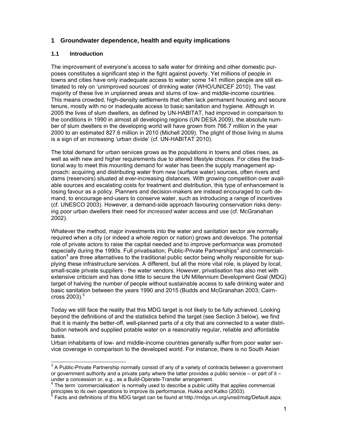## **1 Groundwater dependence, health and equity implications**

## **1.1 Introduction**

The improvement of everyone's access to safe water for drinking and other domestic purposes constitutes a significant step in the fight against poverty. Yet millions of people in towns and cities have only inadequate access to water; some 141 million people are still estimated to rely on 'unimproved sources' of drinking water (WHO/UNICEF 2010). The vast majority of these live in unplanned areas and slums of low- and middle-income countries. This means crowded, high-density settlements that often lack permanent housing and secure tenure, mostly with no or inadequate access to basic sanitation and hygiene. Although in 2005 the lives of slum dwellers, as defined by UN-HABITAT, had improved in comparison to the conditions in 1990 in almost all developing regions (UN DESA 2009), the absolute number of slum dwellers in the developing world will have grown from 766.7 million in the year 2000 to an estimated 827.6 million in 2010 (Michell 2009). The plight of those living in slums is a sign of an increasing 'urban divide' (cf. UN-HABITAT 2010).

The total demand for urban services grows as the populations in towns and cities rises, as well as with new and higher requirements due to altered lifestyle choices. For cities the traditional way to meet this mounting demand for water has been the supply management approach: acquiring and distributing water from new (surface water) sources, often rivers and dams (reservoirs) situated at ever-increasing distances. With growing competition over available sources and escalating costs for treatment and distribution, this type of enhancement is losing favour as a policy. Planners and decision-makers are instead encouraged to curb demand, to encourage end-users to conserve water, such as introducing a range of incentives (cf. UNESCO 2003). However, a demand-side approach favouring conservation risks denying poor urban dwellers their need for *increased* water access and use (cf. McGranahan 2002).

Whatever the method, major investments into the water and sanitation sector are normally required when a city (or indeed a whole region or nation) grows and develops. The potential role of private actors to raise the capital needed and to improve performance was promoted especially during the 1990s. Full privatisation, Public-Private Partnerships<sup>3</sup> and commercialisation<sup>4</sup> are three alternatives to the traditional public sector being wholly responsible for supplying these infrastructure services. A different, but all the more vital role, is played by local, small-scale private suppliers - the water vendors. However, privatisation has also met with extensive criticism and has done little to secure the UN Millennium Development Goal (MDG) target of halving the number of people without sustainable access to safe drinking water and basic sanitation between the years 1990 and 2015 (Budds and McGranahan 2003; Cairncross  $2003$ ).<sup>5</sup>

Today we still face the reality that this MDG target is not likely to be fully achieved. Looking beyond the definitions of and the statistics behind the target (see Section 3 below), we find that it is mainly the better-off, well-planned parts of a city that are connected to a water distribution network and supplied potable water on a reasonably regular, reliable and affordable basis.

Urban inhabitants of low- and middle-income countries generally suffer from poor water service coverage in comparison to the developed world. For instance, there is no South Asian

<sup>&</sup>lt;sup>3</sup> A Public-Private Partnership normally consist of any of a variety of contracts between a government or government authority and a private party where the latter provides a public service – or part of it – under a concession or, e.g., as a Build-Operate-Transfer arrangement.

<sup>&</sup>lt;sup>4</sup> The term 'commercialisation' is normally used to describe a public utility that applies commercial principles to its own operations to improve its performance, Hukka and Katko (2003).

 $<sup>5</sup>$  Facts and definitions of this MDG target can be found at http://mdgs.un.org/unsd/mdg/Default.aspx.</sup>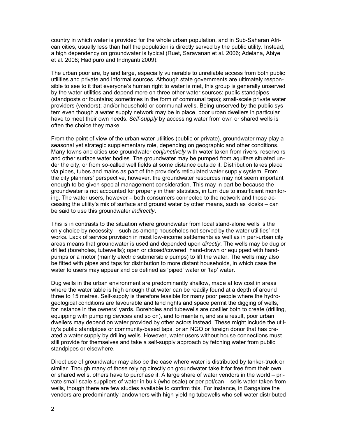country in which water is provided for the whole urban population, and in Sub-Saharan African cities, usually less than half the population is directly served by the public utility. Instead, a high dependency on groundwater is typical (Ruet, Saravanan et al. 2006; Adelana, Abiye et al. 2008; Hadipuro and Indriyanti 2009).

The urban poor are, by and large, especially vulnerable to unreliable access from both public utilities and private and informal sources. Although state governments are ultimately responsible to see to it that everyone's human right to water is met, this group is generally unserved by the water utilities and depend more on three other water sources: public standpipes (standposts or fountains; sometimes in the form of communal taps); small-scale private water providers (vendors); and/or household or communal wells. Being unserved by the public system even though a water supply network may be in place, poor urban dwellers in particular have to meet their own needs. *Self-supply* by accessing water from own or shared wells is often the choice they make.

From the point of view of the urban water utilities (public or private), groundwater may play a seasonal yet strategic supplementary role, depending on geographic and other conditions. Many towns and cities use groundwater *conjunctively* with water taken from rivers, reservoirs and other surface water bodies. The groundwater may be pumped from aquifers situated under the city, or from so-called well fields at some distance outside it. Distribution takes place via pipes, tubes and mains as part of the provider's reticulated water supply system. From the city planners' perspective, however, the groundwater resources may not seem important enough to be given special management consideration. This may in part be because the groundwater is not accounted for properly in their statistics, in turn due to insufficient monitoring. The water users, however – both consumers connected to the network and those accessing the utility's mix of surface and ground water by other means, such as kiosks – can be said to use this groundwater *indirectly*.

This is in contrasts to the situation where groundwater from local stand-alone wells is the only choice by necessity – such as among households not served by the water utilities' networks. Lack of service provision in most low-income settlements as well as in peri-urban city areas means that groundwater is used and depended upon *directly*. The wells may be dug or drilled (boreholes, tubewells); open or closed/covered; hand-drawn or equipped with handpumps or a motor (mainly electric submersible pumps) to lift the water. The wells may also be fitted with pipes and taps for distribution to more distant households, in which case the water to users may appear and be defined as 'piped' water or 'tap' water.

Dug wells in the urban environment are predominantly shallow, made at low cost in areas where the water table is high enough that water can be readily found at a depth of around three to 15 metres. Self-supply is therefore feasible for many poor people where the hydrogeological conditions are favourable and land rights and space permit the digging of wells, for instance in the owners' yards. Boreholes and tubewells are costlier both to create (drilling, equipping with pumping devices and so on), and to maintain, and as a result, poor urban dwellers may depend on water provided by other actors instead. These might include the utility's public standpipes or community-based taps, or an NGO or foreign donor that has created a water supply by drilling wells. However, water users without house connections must still provide for themselves and take a self-supply approach by fetching water from public standpipes or elsewhere.

Direct use of groundwater may also be the case where water is distributed by tanker-truck or similar. Though many of those relying directly on groundwater take it for free from their own or shared wells, others have to purchase it. A large share of water vendors in the world – private small-scale suppliers of water in bulk (wholesale) or per pot/can – sells water taken from wells, though there are few studies available to confirm this. For instance, in Bangalore the vendors are predominantly landowners with high-yielding tubewells who sell water distributed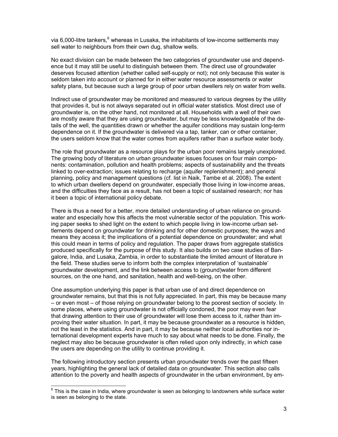via 6,000-litre tankers, <sup>6</sup> whereas in Lusaka, the inhabitants of low-income settlements may sell water to neighbours from their own dug, shallow wells.

No exact division can be made between the two categories of groundwater use and dependence but it may still be useful to distinguish between them. The direct use of groundwater deserves focused attention (whether called self-supply or not); not only because this water is seldom taken into account or planned for in either water resource assessments or water safety plans, but because such a large group of poor urban dwellers rely on water from wells.

Indirect use of groundwater may be monitored and measured to various degrees by the utility that provides it, but is not always separated out in official water statistics. Most direct use of groundwater is, on the other hand, not monitored at all. Households with a well of their own are mostly aware that they are using groundwater, but may be less knowledgeable of the details of the well, the quantities drawn or whether the aquifer conditions may sustain long-term dependence on it. If the groundwater is delivered via a tap, tanker, can or other container, the users seldom know that the water comes from aquifers rather than a surface water body.

The role that groundwater as a resource plays for the urban poor remains largely unexplored. The growing body of literature on urban groundwater issues focuses on four main components: contamination, pollution and health problems; aspects of sustainability and the threats linked to over-extraction; issues relating to recharge (aquifer replenishment); and general planning, policy and management questions (cf. list in Naik, Tambe et al. 2008). The extent to which urban dwellers depend on groundwater, especially those living in low-income areas, and the difficulties they face as a result, has not been a topic of sustained research; nor has it been a topic of international policy debate.

There is thus a need for a better, more detailed understanding of urban reliance on groundwater and especially how this affects the most vulnerable sector of the population. This working paper seeks to shed light on the extent to which people living in low-income urban settlements depend on groundwater for drinking and for other domestic purposes; the ways and means they access it; the implications of a potential dependence on groundwater; and what this could mean in terms of policy and regulation. The paper draws from aggregate statistics produced specifically for the purpose of this study. It also builds on two case studies of Bangalore, India, and Lusaka, Zambia, in order to substantiate the limited amount of literature in the field. These studies serve to inform both the complex interpretation of 'sustainable' groundwater development, and the link between access to (ground)water from different sources, on the one hand, and sanitation, health and well-being, on the other.

One assumption underlying this paper is that urban use of and direct dependence on groundwater remains, but that this is not fully appreciated. In part, this may be because many – or even most – of those relying on groundwater belong to the poorest section of society. In some places, where using groundwater is not officially condoned, the poor may even fear that drawing attention to their use of groundwater will lose them access to it, rather than improving their water situation. In part, it may be because groundwater as a resource is hidden, not the least in the statistics. And in part, it may be because neither local authorities nor international development experts have much to say about what needs to be done. Finally, the neglect may also be because groundwater is often relied upon only indirectly, in which case the users are depending on the utility to continue providing it.

The following introductory section presents urban groundwater trends over the past fifteen years, highlighting the general lack of detailed data on groundwater. This section also calls attention to the poverty and health aspects of groundwater in the urban environment, by em-

 $\overline{a}$ 

 $^6$  This is the case in India, where groundwater is seen as belonging to landowners while surface water is seen as belonging to the state.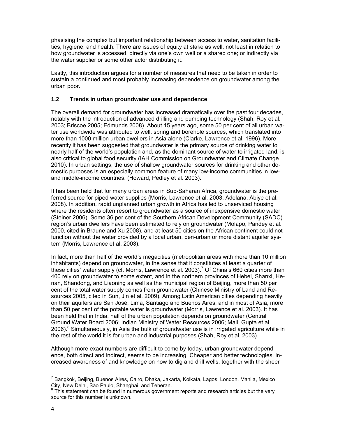phasising the complex but important relationship between access to water, sanitation facilities, hygiene, and health. There are issues of equity at stake as well, not least in relation to how groundwater is accessed: directly via one's own well or a shared one; or indirectly via the water supplier or some other actor distributing it.

Lastly, this introduction argues for a number of measures that need to be taken in order to sustain a continued and most probably increasing dependence on groundwater among the urban poor.

## **1.2 Trends in urban groundwater use and dependence**

The overall demand for groundwater has increased dramatically over the past four decades, notably with the introduction of advanced drilling and pumping technology (Shah, Roy et al. 2003; Briscoe 2005; Edmunds 2008). About 15 years ago, some 50 per cent of all urban water use worldwide was attributed to well, spring and borehole sources, which translated into more than 1000 million urban dwellers in Asia alone (Clarke, Lawrence et al. 1996). More recently it has been suggested that groundwater is the primary source of drinking water to nearly half of the world's population and, as the dominant source of water to irrigated land, is also critical to global food security (IAH Commission on Groundwater and Climate Change 2010). In urban settings, the use of shallow groundwater sources for drinking and other domestic purposes is an especially common feature of many low-income communities in lowand middle-income countries. (Howard, Pedley et al. 2003).

It has been held that for many urban areas in Sub-Saharan Africa, groundwater is the preferred source for piped water supplies (Morris, Lawrence et al. 2003; Adelana, Abiye et al. 2008). In addition, rapid unplanned urban growth in Africa has led to unserviced housing where the residents often resort to groundwater as a source of inexpensive domestic water (Steiner 2006). Some 36 per cent of the Southern African Development Community (SADC) region's urban dwellers have been estimated to rely on groundwater (Molapo, Pandey et al. 2000, cited in Braune and Xu 2008), and at least 50 cities on the African continent could not function without the water provided by a local urban, peri-urban or more distant aquifer system (Morris, Lawrence et al. 2003).

In fact, more than half of the world's megacities (metropolitan areas with more than 10 million inhabitants) depend on groundwater, in the sense that it constitutes at least a quarter of these cities' water supply (cf. Morris, Lawrence et al. 2003).<sup>7</sup> Of China's 660 cities more than 400 rely on groundwater to some extent, and in the northern provinces of Hebei, Shanxi, Henan, Shandong, and Liaoning as well as the municipal region of Beijing, more than 50 per cent of the total water supply comes from groundwater (Chinese Ministry of Land and Resources 2005, cited in Sun, Jin et al. 2009). Among Latin American cities depending heavily on their aquifers are San José, Lima, Santiago and Buenos Aires, and in most of Asia, more than 50 per cent of the potable water is groundwater (Morris, Lawrence et al. 2003). It has been held that in India, half of the urban population depends on groundwater (Central Ground Water Board 2006; Indian Ministry of Water Resources 2006; Mall, Gupta et al. 2006).<sup>8</sup> Simultaneously, in Asia the bulk of groundwater use is in irrigated agriculture while in the rest of the world it is for urban and industrial purposes (Shah, Roy et al. 2003).

Although more exact numbers are difficult to come by today, urban groundwater dependence, both direct and indirect, seems to be increasing. Cheaper and better technologies, increased awareness of and knowledge on how to dig and drill wells, together with the sheer

 $\overline{a}$ <sup>7</sup> Bangkok, Beijing, Buenos Aires, Cairo, Dhaka, Jakarta, Kolkata, Lagos, London, Manila, Mexico City, New Delhi, São Paulo, Shanghai, and Teheran.

<sup>8</sup> This statement can be found in numerous government reports and research articles but the very source for this number is unknown.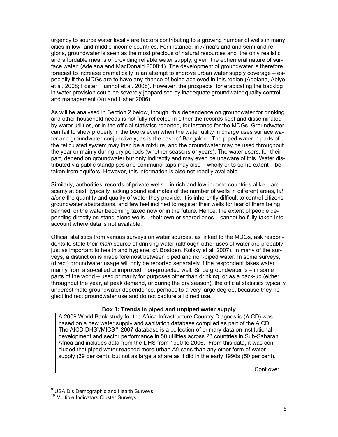urgency to source water locally are factors contributing to a growing number of wells in many cities in low- and middle-income countries. For instance, in Africa's arid and semi-arid regions, groundwater is seen as the most precious of natural resources and 'the only realistic and affordable means of providing reliable water supply, given 'the ephemeral nature of surface water' (Adelana and MacDonald 2008:1). The development of groundwater is therefore forecast to increase dramatically in an attempt to improve urban water supply coverage – especially if the MDGs are to have any chance of being achieved in this region (Adelana, Abiye et al. 2008; Foster, Tuinhof et al. 2008). However, the prospects for eradicating the backlog in water provision could be severely jeopardised by inadequate groundwater quality control and management (Xu and Usher 2006).

As will be analysed in Section 2 below, though, this dependence on groundwater for drinking and other household needs is not fully reflected in either the records kept and disseminated by water utilities, or in the official statistics reported, for instance for the MDGs. Groundwater can fail to show properly in the books even when the water utility in charge uses surface water and groundwater conjunctively, as is the case of Bangalore. The piped water in parts of the reticulated system may then be a mixture, and the groundwater may be used throughout the year or mainly during dry periods (whether seasons or years). The water users, for their part, depend on groundwater but only indirectly and may even be unaware of this. Water distributed via public standpipes and communal taps may also – wholly or to some extent – be taken from aquifers. However, this information is also not readily available.

Similarly, authorities' records of private wells – in rich and low-income countries alike – are scanty at best, typically lacking sound estimates of the number of wells in different areas, l*et al*one the quantity and quality of water they provide. It is inherently difficult to control citizens' groundwater abstractions, and few feel inclined to register their wells for fear of them being banned, or the water becoming taxed now or in the future. Hence, the extent of people depending directly on stand-alone wells – their own or shared ones – cannot be fully taken into account where data is not available.

Official statistics from various surveys on water sources, as linked to the MDGs, ask respondents to state their *main* source of drinking water (although other uses of water are probably just as important to health and hygiene, cf. Bostoen, Kolsky et al. 2007). In many of the surveys, a distinction is made foremost between piped and non-piped water. In some surveys, (direct) groundwater usage will only be reported separately if the respondent takes water mainly from a so-called unimproved, non-protected well. Since groundwater is – in some parts of the world – used primarily for purposes other than drinking, or as a back-up (either throughout the year, at peak demand, or during the dry season), the official statistics typically underestimate groundwater dependence, perhaps to a very large degree, because they neglect indirect groundwater use and do not capture all direct use.

#### **Box 1: Trends in piped and unpiped water supply**

A 2009 World Bank study for the Africa Infrastructure Country Diagnostic (AICD) was based on a new water supply and sanitation database compiled as part of the AICD. The AICD DHS $9/$ MICS<sup>10</sup> 2007 database is a collection of primary data on institutional development and sector performance in 50 utilities across 23 countries in Sub-Saharan Africa and includes data from the DHS from 1990 to 2006. From this data, it was concluded that piped water reached more urban Africans than any other form of water supply (39 per cent), but not as large a share as it did in the early 1990s (50 per cent).

Cont over

 $\overline{a}$ <sup>9</sup> USAID's Demographic and Health Surveys.

<sup>&</sup>lt;sup>10</sup> Multiple Indicators Cluster Surveys.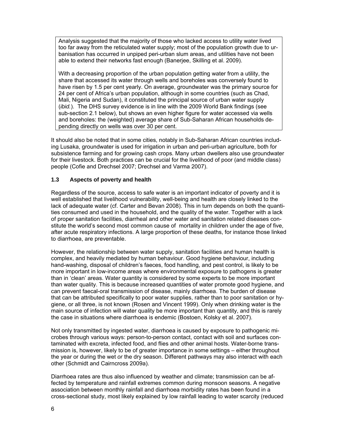Analysis suggested that the majority of those who lacked access to utility water lived too far away from the reticulated water supply; most of the population growth due to urbanisation has occurred in unpiped peri-urban slum areas, and utilities have not been able to extend their networks fast enough (Banerjee, Skilling et al. 2009).

With a decreasing proportion of the urban population getting water from a utility, the share that accessed its water through wells and boreholes was conversely found to have risen by 1.5 per cent yearly. On average, groundwater was the primary source for 24 per cent of Africa's urban population, although in some countries (such as Chad, Mali, Nigeria and Sudan), it constituted the principal source of urban water supply (*ibid.*). The DHS survey evidence is in line with the 2009 World Bank findings (see sub-section 2.1 below), but shows an even higher figure for water accessed via wells and boreholes: the (weighted) average share of Sub-Saharan African households depending directly on wells was over 30 per cent.

It should also be noted that in some cities, notably in Sub-Saharan African countries including Lusaka, groundwater is used for irrigation in urban and peri-urban agriculture, both for subsistence farming and for growing cash crops. Many urban dwellers also use groundwater for their livestock. Both practices can be crucial for the livelihood of poor (and middle class) people (Cofie and Drechsel 2007; Drechsel and Varma 2007).

## **1.3 Aspects of poverty and health**

Regardless of the source, access to safe water is an important indicator of poverty and it is well established that livelihood vulnerability, well-being and health are closely linked to the lack of adequate water (cf. Carter and Bevan 2008). This in turn depends on both the quantities consumed and used in the household, and the quality of the water. Together with a lack of proper sanitation facilities, diarrheal and other water and sanitation related diseases constitute the world's second most common cause of mortality in children under the age of five, after acute respiratory infections. A large proportion of these deaths, for instance those linked to diarrhoea, are preventable.

However, the relationship between water supply, sanitation facilities and human health is complex, and heavily mediated by human behaviour. Good hygiene behaviour, including hand-washing, disposal of children's faeces, food handling, and pest control, is likely to be more important in low-income areas where environmental exposure to pathogens is greater than in 'clean' areas. Water quantity is considered by some experts to be more important than water quality. This is because increased quantities of water promote good hygiene, and can prevent faecal-oral transmission of disease, mainly diarrhoea. The burden of disease that can be attributed specifically to poor water supplies, rather than to poor sanitation or hygiene, or all three, is not known (Rosen and Vincent 1999). Only when drinking water is the main source of infection will water quality be more important than quantity, and this is rarely the case in situations where diarrhoea is endemic (Bostoen, Kolsky et al. 2007).

Not only transmitted by ingested water, diarrhoea is caused by exposure to pathogenic microbes through various ways: person-to-person contact, contact with soil and surfaces contaminated with excreta, infected food, and flies and other animal hosts. Water-borne transmission is, however, likely to be of greater importance in some settings – either throughout the year or during the wet *or* the dry season. Different pathways may also interact with each other (Schmidt and Cairncross 2009a).

Diarrhoea rates are thus also influenced by weather and climate; transmission can be affected by temperature and rainfall extremes common during monsoon seasons. A negative association between monthly rainfall and diarrhoea morbidity rates has been found in a cross-sectional study, most likely explained by low rainfall leading to water scarcity (reduced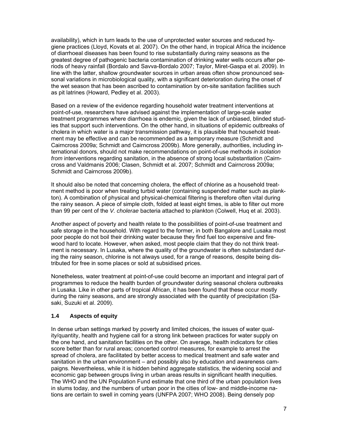availability), which in turn leads to the use of unprotected water sources and reduced hygiene practices (Lloyd, Kovats et al. 2007). On the other hand, in tropical Africa the incidence of diarrhoeal diseases has been found to rise substantially during rainy seasons as the greatest degree of pathogenic bacteria contamination of drinking water wells occurs after periods of heavy rainfall (Bordalo and Savva-Bordalo 2007; Taylor, Miret-Gaspa et al. 2009). In line with the latter, shallow groundwater sources in urban areas often show pronounced seasonal variations in microbiological quality, with a significant deterioration during the onset of the wet season that has been ascribed to contamination by on-site sanitation facilities such as pit latrines (Howard, Pedley et al. 2003).

Based on a review of the evidence regarding household water treatment interventions at point-of-use, researchers have advised against the implementation of large-scale water treatment programmes where diarrhoea is endemic, given the lack of unbiased, blinded studies that support such interventions. On the other hand, in situations of epidemic outbreaks of cholera in which water is a major transmission pathway, it is plausible that household treatment may be effective and can be recommended as a temporary measure (Schmidt and Cairncross 2009a; Schmidt and Cairncross 2009b). More generally, authorities, including international donors, should not make recommendations on point-of-use methods *in isolation from* interventions regarding sanitation, in the absence of strong local substantiation (Cairncross and Valdmanis 2006; Clasen, Schmidt et al. 2007; Schmidt and Cairncross 2009a; Schmidt and Cairncross 2009b).

It should also be noted that concerning cholera, the effect of chlorine as a household treatment method is poor when treating turbid water (containing suspended matter such as plankton). A combination of physical and physical-chemical filtering is therefore often vital during the rainy season. A piece of simple cloth, folded at least eight times, is able to filter out more than 99 per cent of the *V. cholerae* bacteria attached to plankton (Colwell, Huq et al. 2003).

Another aspect of poverty and health relate to the possibilities of point-of-use treatment and safe storage in the household. With regard to the former, in both Bangalore and Lusaka most poor people do not boil their drinking water because they find fuel too expensive and firewood hard to locate. However, when asked, most people claim that they do not think treatment is necessary. In Lusaka, where the quality of the groundwater is often substandard during the rainy season, chlorine is not always used, for a range of reasons, despite being distributed for free in some places or sold at subsidised prices.

Nonetheless, water treatment at point-of-use could become an important and integral part of programmes to reduce the health burden of groundwater during seasonal cholera outbreaks in Lusaka. Like in other parts of tropical African, it has been found that these occur mostly during the rainy seasons, and are strongly associated with the quantity of precipitation (Sasaki, Suzuki et al. 2009).

## **1.4 Aspects of equity**

In dense urban settings marked by poverty and limited choices, the issues of water quality/quantity, health and hygiene call for a strong link between practices for water supply on the one hand, and sanitation facilities on the other. On average, health indicators for cities score better than for rural areas; concerted control measures, for example to arrest the spread of cholera, are facilitated by better access to medical treatment and safe water and sanitation in the urban environment – and possibly also by education and awareness campaigns. Nevertheless, while it is hidden behind aggregate statistics, the widening social and economic gap between groups living in urban areas results in significant health inequities. The WHO and the UN Population Fund estimate that one third of the urban population lives in slums today, and the numbers of urban poor in the cities of low- and middle-income nations are certain to swell in coming years (UNFPA 2007; WHO 2008). Being densely pop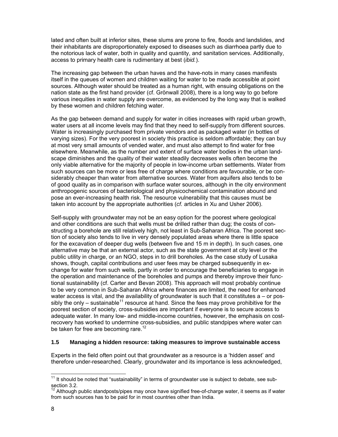lated and often built at inferior sites, these slums are prone to fire, floods and landslides, and their inhabitants are disproportionately exposed to diseases such as diarrhoea partly due to the notorious lack of water, both in quality and quantity, and sanitation services. Additionally, access to primary health care is rudimentary at best (*ibid.*).

The increasing gap between the urban haves and the have-nots in many cases manifests itself in the queues of women and children waiting for water to be made accessible at point sources. Although water should be treated as a human right, with ensuing obligations on the nation state as the first hand provider (cf. Grönwall 2008), there is a long way to go before various inequities in water supply are overcome, as evidenced by the long way that is walked by these women and children fetching water.

As the gap between demand and supply for water in cities increases with rapid urban growth, water users at all income levels may find that they need to self-supply from different sources. Water is increasingly purchased from private vendors and as packaged water (in bottles of varying sizes). For the very poorest in society this practice is seldom affordable; they can buy at most very small amounts of vended water, and must also attempt to find water for free elsewhere. Meanwhile, as the number and extent of surface water bodies in the urban landscape diminishes and the quality of their water steadily decreases wells often become the only viable alternative for the majority of people in low-income urban settlements. Water from such sources can be more or less free of charge where conditions are favourable, or be considerably cheaper than water from alternative sources. Water from aquifers also tends to be of good quality as in comparison with surface water sources, although in the city environment anthropogenic sources of bacteriological and physicochemical contamination abound and pose an ever-increasing health risk. The resource vulnerability that this causes must be taken into account by the appropriate authorities (*cf.* articles in Xu and Usher 2006).

Self-supply with groundwater may not be an easy option for the poorest where geological and other conditions are such that wells must be drilled rather than dug; the costs of constructing a borehole are still relatively high, not least in Sub-Saharan Africa. The poorest section of society also tends to live in very densely populated areas where there is little space for the excavation of deeper dug wells (between five and 15 m in depth). In such cases, one alternative may be that an external actor, such as the state government at city level or the public utility in charge, or an NGO, steps in to drill boreholes. As the case study of Lusaka shows, though, capital contributions and user fees may be charged subsequently in exchange for water from such wells, partly in order to encourage the beneficiaries to engage in the operation and maintenance of the boreholes and pumps and thereby improve their functional sustainability (cf. Carter and Bevan 2008). This approach will most probably continue to be very common in Sub-Saharan Africa where finances are limited, the need for enhanced water access is vital, and the availability of groundwater is such that it constitutes a – or possibly the only – sustainable<sup>11</sup> resource at hand. Since the fees may prove prohibitive for the poorest section of society, cross-subsidies are important if everyone is to secure access to adequate water. In many low- and middle-income countries, however, the emphasis on costrecovery has worked to undermine cross-subsidies, and public standpipes where water can be taken for free are becoming rare.<sup>12</sup>

#### **1.5 Managing a hidden resource: taking measures to improve sustainable access**

Experts in the field often point out that groundwater as a resource is a 'hidden asset' and therefore under-researched. Clearly, groundwater and its importance is less acknowledged,

 $\overline{a}$ 

 $11$  It should be noted that "sustainability" in terms of groundwater use is subject to debate, see subsection 3.2.

Although public standposts/pipes may once have signified free-of-charge water, it seems as if water from such sources has to be paid for in most countries other than India.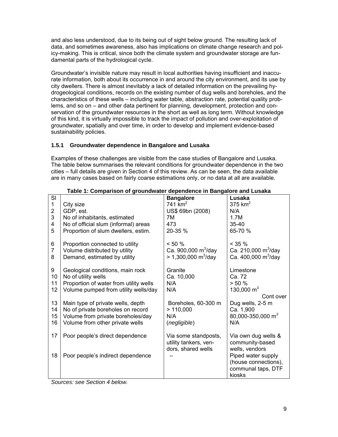and also less understood, due to its being out of sight below ground. The resulting lack of data, and sometimes awareness, also has implications on climate change research and policy-making. This is critical, since both the climate system and groundwater storage are fundamental parts of the hydrological cycle.

Groundwater's invisible nature may result in local authorities having insufficient and inaccurate information, both about its occurrence in and around the city environment, and its use by city dwellers. There is almost inevitably a lack of detailed information on the prevailing hydrogeological conditions, records on the existing number of dug wells and boreholes, and the characteristics of these wells – including water table, abstraction rate, potential quality problems, and so on – and other data pertinent for planning, development, protection and conservation of the groundwater resources in the short as well as long term. Without knowledge of this kind, it is virtually impossible to track the impact of pollution and over-exploitation of groundwater, spatially and over time, in order to develop and implement evidence-based sustainability policies.

## **1.5.1 Groundwater dependence in Bangalore and Lusaka**

Examples of these challenges are visible from the case studies of Bangalore and Lusaka. The table below summarises the relevant conditions for groundwater dependence in the two cities – full details are given in Section 4 of this review. As can be seen, the data available are in many cases based on fairly coarse estimations only, or no data at all are available.

| SI                       |                                                                                                  | <b>Bangalore</b>                                                                | Lusaka                                                            |
|--------------------------|--------------------------------------------------------------------------------------------------|---------------------------------------------------------------------------------|-------------------------------------------------------------------|
| $\mathbf{1}$             | City size                                                                                        | 741 km <sup>2</sup>                                                             | $375$ km <sup>2</sup>                                             |
| $\overline{2}$           | GDP, est.                                                                                        | US\$ 69bn (2008)                                                                | N/A                                                               |
| 3                        | No of inhabitants, estimated                                                                     | 7M                                                                              | 1.7M                                                              |
| 4                        | No of official slum (informal) areas                                                             | 473                                                                             | $35 - 40$                                                         |
| 5                        | Proportion of slum dwellers, estim.                                                              | 20-35 %                                                                         | 65-70 %                                                           |
| 6<br>$\overline{7}$<br>8 | Proportion connected to utility<br>Volume distributed by utility<br>Demand, estimated by utility | $< 50 \%$<br>Ca. 900,000 $\rm m^3$ /day<br>$> 1,300,000 \text{ m}^3/\text{day}$ | $< 35 \%$<br>Ca. 210,000 $\rm m^3$ /day<br>Ca. 400,000 $m^3$ /day |
| 9                        | Geological conditions, main rock                                                                 | Granite                                                                         | Limestone                                                         |
| 10                       | No of utility wells                                                                              | Ca. 10,000                                                                      | Ca. 72                                                            |
| 11                       | Proportion of water from utility wells                                                           | N/A                                                                             | > 50%                                                             |
| 12                       | Volume pumped from utility wells/day                                                             | N/A                                                                             | 130,000 $m3$                                                      |
|                          |                                                                                                  |                                                                                 | Cont over                                                         |
| 13                       | Main type of private wells, depth                                                                | Boreholes, 60-300 m                                                             | Dug wells, 2-5 m                                                  |
| 14                       | No of private boreholes on record                                                                | >110,000                                                                        | Ca. 1,900                                                         |
| 15                       | Volume from private boreholes/day                                                                | N/A                                                                             | 80,000-350,000 m <sup>3</sup>                                     |
| 16                       | Volume from other private wells                                                                  | (negligible)                                                                    | N/A                                                               |
|                          |                                                                                                  |                                                                                 |                                                                   |
| 17                       | Poor people's direct dependence                                                                  | Via some standposts,                                                            | Via own dug wells &                                               |
|                          |                                                                                                  | utility tankers, ven-                                                           | community-based                                                   |
|                          |                                                                                                  | dors, shared wells                                                              | wells, vendors                                                    |
| 18                       | Poor people's indirect dependence                                                                |                                                                                 | Piped water supply                                                |
|                          |                                                                                                  |                                                                                 | (house connections),                                              |
|                          |                                                                                                  |                                                                                 | communal taps, DTF                                                |
|                          |                                                                                                  |                                                                                 | kiosks                                                            |

## **Table 1: Comparison of groundwater dependence in Bangalore and Lusaka**

*Sources: see Section 4 below.*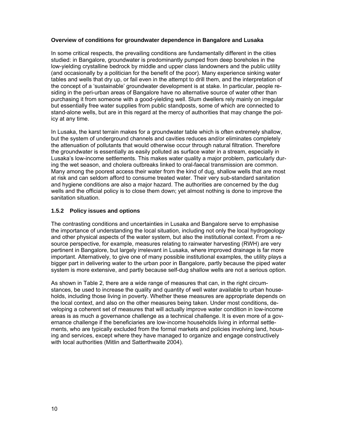#### **Overview of conditions for groundwater dependence in Bangalore and Lusaka**

In some critical respects, the prevailing conditions are fundamentally different in the cities studied: in Bangalore, groundwater is predominantly pumped from deep boreholes in the low-yielding crystalline bedrock by middle and upper class landowners and the public utility (and occasionally by a politician for the benefit of the poor). Many experience sinking water tables and wells that dry up, or fail even in the attempt to drill them, and the interpretation of the concept of a 'sustainable' groundwater development is at stake. In particular, people residing in the peri-urban areas of Bangalore have no alternative source of water other than purchasing it from someone with a good-yielding well. Slum dwellers rely mainly on irregular but essentially free water supplies from public standposts, some of which are connected to stand-alone wells, but are in this regard at the mercy of authorities that may change the policy at any time.

In Lusaka, the karst terrain makes for a groundwater table which is often extremely shallow, but the system of underground channels and cavities reduces and/or eliminates completely the attenuation of pollutants that would otherwise occur through natural filtration. Therefore the groundwater is essentially as easily polluted as surface water in a stream, especially in Lusaka's low-income settlements. This makes water quality a major problem, particularly during the wet season, and cholera outbreaks linked to oral-faecal transmission are common. Many among the poorest access their water from the kind of dug, shallow wells that are most at risk and can seldom afford to consume treated water. Their very sub-standard sanitation and hygiene conditions are also a major hazard. The authorities are concerned by the dug wells and the official policy is to close them down; yet almost nothing is done to improve the sanitation situation.

## **1.5.2 Policy issues and options**

The contrasting conditions and uncertainties in Lusaka and Bangalore serve to emphasise the importance of understanding the local situation, including not only the local hydrogeology and other physical aspects of the water system, but also the institutional context. From a resource perspective, for example, measures relating to rainwater harvesting (RWH) are very pertinent in Bangalore, but largely irrelevant in Lusaka, where improved drainage is far more important. Alternatively, to give one of many possible institutional examples, the utility plays a bigger part in delivering water to the urban poor in Bangalore, partly because the piped water system is more extensive, and partly because self-dug shallow wells are not a serious option.

As shown in Table 2, there are a wide range of measures that can, in the right circumstances, be used to increase the quality and quantity of well water available to urban households, including those living in poverty. Whether these measures are appropriate depends on the local context, and also on the other measures being taken. Under most conditions, developing a coherent set of measures that will actually improve water condition in low-income areas is as much a governance challenge as a technical challenge. It is even more of a governance challenge if the beneficiaries are low-income households living in informal settlements, who are typically excluded from the formal markets and policies involving land, housing and services, except where they have managed to organize and engage constructively with local authorities (Mitlin and Satterthwaite 2004).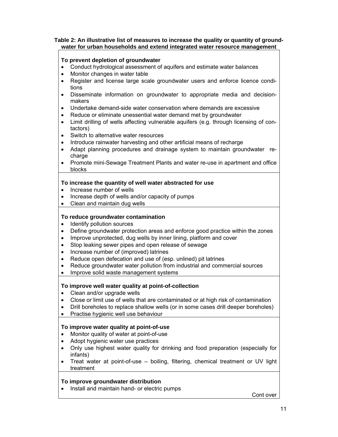### **Table 2: An illustrative list of measures to increase the quality or quantity of groundwater for urban households and extend integrated water resource management**

## **To prevent depletion of groundwater**

- Conduct hydrological assessment of aquifers and estimate water balances
- Monitor changes in water table
- Register and license large scale groundwater users and enforce licence conditions
- Disseminate information on groundwater to appropriate media and decisionmakers
- Undertake demand-side water conservation where demands are excessive
- Reduce or eliminate unessential water demand met by groundwater
- Limit drilling of wells affecting vulnerable aquifers (e.g. through licensing of contactors)
- Switch to alternative water resources
- Introduce rainwater harvesting and other artificial means of recharge
- Adapt planning procedures and drainage system to maintain groundwater recharge
- Promote mini-Sewage Treatment Plants and water re-use in apartment and office blocks

## **To increase the quantity of well water abstracted for use**

- Increase number of wells
- Increase depth of wells and/or capacity of pumps
- Clean and maintain dug wells

## **To reduce groundwater contamination**

- Identify pollution sources
- Define groundwater protection areas and enforce good practice within the zones
- Improve unprotected, dug wells by inner lining, platform and cover
- Stop leaking sewer pipes and open release of sewage
- Increase number of (improved) latrines
- Reduce open defecation and use of (esp. unlined) pit latrines
- Reduce groundwater water pollution from industrial and commercial sources
- Improve solid waste management systems

## **To improve well water quality at point-of-collection**

- Clean and/or upgrade wells
- Close or limit use of wells that are contaminated or at high risk of contamination
- Drill boreholes to replace shallow wells (or in some cases drill deeper boreholes)
- Practise hygienic well use behaviour

## **To improve water quality at point-of-use**

- Monitor quality of water at point-of-use
- Adopt hygienic water use practices
- Only use highest water quality for drinking and food preparation (especially for infants)
- Treat water at point-of-use boiling, filtering, chemical treatment or UV light treatment

## **To improve groundwater distribution**

• Install and maintain hand- or electric pumps

Cont over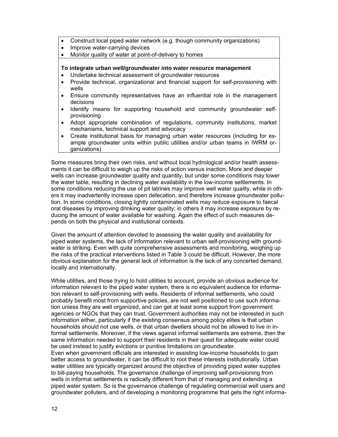- Construct local piped water network (e.g. though community organizations)
- Improve water-carrying devices
- Monitor quality of water at point-of-delivery to homes

#### **To integrate urban well/groundwater into water resource management**

- Undertake technical assessment of groundwater resources
- Provide technical, organizational and financial support for self-provisioning with wells
- Ensure community representatives have an influential role in the management decisions
- Identify means for supporting household and community groundwater selfprovisioning
- Adopt appropriate combination of regulations, community institutions, market mechanisms, technical support and advocacy
- Create institutional basis for managing urban water resources (including for example groundwater units within public utilities and/or urban teams in IWRM organizations)

Some measures bring their own risks, and without local hydrological and/or health assessments it can be difficult to weigh up the risks of action versus inaction. More and deeper wells can increase groundwater quality and quantity, but under some conditions may lower the water table, resulting in declining water availability in the low-income settlements. In some conditions reducing the use of pit latrines may improve well water quality, while in others it may inadvertently increase open defecation, and therefore increase groundwater pollution. In some conditions, closing lightly contaminated wells may reduce exposure to faecal oral diseases by improving drinking water quality; in others it may increase exposure by reducing the amount of water available for washing. Again the effect of such measures depends on both the physical and institutional contexts.

Given the amount of attention devoted to assessing the water quality and availability for piped water systems, the lack of information relevant to urban self-provisioning with groundwater is striking. Even with quite comprehensive assessments and monitoring, weighing up the risks of the practical interventions listed in Table 3 could be difficult. However, the more obvious explanation for the general lack of information is the lack of any concerted demand, locally and internationally.

While utilities, and those trying to hold utilities to account, provide an obvious audience for information relevant to the piped water system, there is no equivalent audience for information relevant to self-provisioning with wells. Residents of informal settlements, who could probably benefit most from supportive policies, are not well positioned to use such information unless they are well organized, and can get at least some support from government agencies or NGOs that they can trust. Government authorities may not be interested in such information either, particularly if the existing consensus among policy elites is that urban households should not use wells, or that urban dwellers should not be allowed to live in informal settlements. Moreover, if the views against informal settlements are extreme, then the same information needed to support their residents in their quest for adequate water could be used instead to justify evictions or punitive limitations on groundwater. Even when government officials are interested in assisting low-income households to gain

better access to groundwater, it can be difficult to root these interests institutionally. Urban water utilities are typically organized around the objective of providing piped water supplies to bill-paying households. The governance challenge of improving self-provisioning from wells in informal settlements is radically different from that of managing and extending a piped water system. So is the governance challenge of regulating commercial well users and groundwater polluters, and of developing a monitoring programme that gets the right informa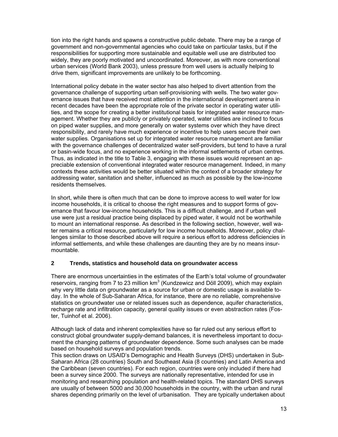tion into the right hands and spawns a constructive public debate. There may be a range of government and non-governmental agencies who could take on particular tasks, but if the responsibilities for supporting more sustainable and equitable well use are distributed too widely, they are poorly motivated and uncoordinated. Moreover, as with more conventional urban services (World Bank 2003), unless pressure from well users is actually helping to drive them, significant improvements are unlikely to be forthcoming.

International policy debate in the water sector has also helped to divert attention from the governance challenge of supporting urban self-provisioning with wells. The two water governance issues that have received most attention in the international development arena in recent decades have been the appropriate role of the private sector in operating water utilities, and the scope for creating a better institutional basis for integrated water resource management. Whether they are publicly or privately operated, water utilities are inclined to focus on piped water supplies, and more generally on water systems over which they have direct responsibility, and rarely have much experience or incentive to help users secure their own water supplies. Organisations set up for integrated water resource management are familiar with the governance challenges of decentralized water self-providers, but tend to have a rural or basin-wide focus, and no experience working in the informal settlements of urban centres. Thus, as indicated in the title to Table 3, engaging with these issues would represent an appreciable extension of conventional integrated water resource management. Indeed, in many contexts these activities would be better situated within the context of a broader strategy for addressing water, sanitation and shelter, influenced as much as possible by the low-income residents themselves.

In short, while there is often much that can be done to improve access to well water for low income households, it is critical to choose the right measures and to support forms of governance that favour low-income households. This is a difficult challenge, and if urban well use were just a residual practice being displaced by piped water, it would not be worthwhile to mount an international response. As described in the following section, however, well water remains a critical resource, particularly for low income households. Moreover, policy challenges similar to those described above will require a serious effort to address deficiencies in informal settlements, and while these challenges are daunting they are by no means insurmountable.

## **2 Trends, statistics and household data on groundwater access**

There are enormous uncertainties in the estimates of the Earth's total volume of groundwater reservoirs, ranging from 7 to 23 million  $km^3$  (Kundzewicz and Döll 2009), which may explain why very little data on groundwater as a source for urban or domestic usage is available today. In the whole of Sub-Saharan Africa, for instance, there are no reliable, comprehensive statistics on groundwater use or related issues such as dependence, aquifer characteristics, recharge rate and infiltration capacity, general quality issues or even abstraction rates (Foster, Tuinhof et al. 2006).

Although lack of data and inherent complexities have so far ruled out any serious effort to construct global groundwater supply-demand balances, it is nevertheless important to document the changing patterns of groundwater dependence. Some such analyses can be made based on household surveys and population trends.

This section draws on USAID's Demographic and Health Surveys (DHS) undertaken in Sub-Saharan Africa (28 countries) South and Southeast Asia (8 countries) and Latin America and the Caribbean (seven countries). For each region, countries were only included if there had been a survey since 2000. The surveys are nationally representative, intended for use in monitoring and researching population and health-related topics. The standard DHS surveys are usually of between 5000 and 30,000 households in the country, with the urban and rural shares depending primarily on the level of urbanisation. They are typically undertaken about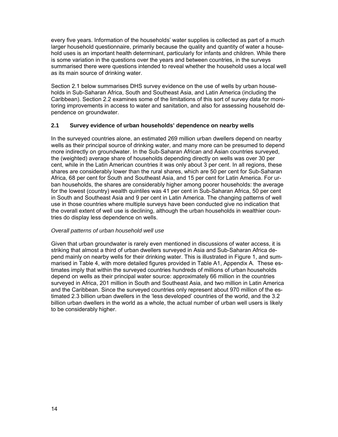every five years. Information of the households' water supplies is collected as part of a much larger household questionnaire, primarily because the quality and quantity of water a household uses is an important health determinant, particularly for infants and children. While there is some variation in the questions over the years and between countries, in the surveys summarised there were questions intended to reveal whether the household uses a local well as its main source of drinking water.

Section 2.1 below summarises DHS survey evidence on the use of wells by urban households in Sub-Saharan Africa, South and Southeast Asia, and Latin America (including the Caribbean). Section 2.2 examines some of the limitations of this sort of survey data for monitoring improvements in access to water and sanitation, and also for assessing household dependence on groundwater.

## **2.1 Survey evidence of urban households' dependence on nearby wells**

In the surveyed countries alone, an estimated 269 million urban dwellers depend on nearby wells as their principal source of drinking water, and many more can be presumed to depend more indirectly on groundwater. In the Sub-Saharan African and Asian countries surveyed, the (weighted) average share of households depending directly on wells was over 30 per cent, while in the Latin American countries it was only about 3 per cent. In all regions, these shares are considerably lower than the rural shares, which are 50 per cent for Sub-Saharan Africa, 68 per cent for South and Southeast Asia, and 15 per cent for Latin America. For urban households, the shares are considerably higher among poorer households: the average for the lowest (country) wealth quintiles was 41 per cent in Sub-Saharan Africa, 50 per cent in South and Southeast Asia and 9 per cent in Latin America. The changing patterns of well use in those countries where multiple surveys have been conducted give no indication that the overall extent of well use is declining, although the urban households in wealthier countries do display less dependence on wells.

#### *Overall patterns of urban household well use*

Given that urban groundwater is rarely even mentioned in discussions of water access, it is striking that almost a third of urban dwellers surveyed in Asia and Sub-Saharan Africa depend mainly on nearby wells for their drinking water. This is illustrated in Figure 1, and summarised in Table 4, with more detailed figures provided in Table A1, Appendix A. These estimates imply that within the surveyed countries hundreds of millions of urban households depend on wells as their principal water source: approximately 66 million in the countries surveyed in Africa, 201 million in South and Southeast Asia, and two million in Latin America and the Caribbean. Since the surveyed countries only represent about 970 million of the estimated 2.3 billion urban dwellers in the 'less developed' countries of the world, and the 3.2 billion urban dwellers in the world as a whole, the actual number of urban well users is likely to be considerably higher.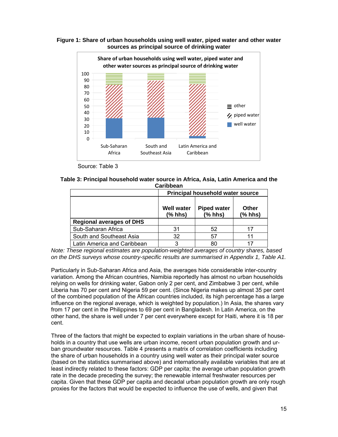

**Figure 1: Share of urban households using well water, piped water and other water sources as principal source of drinking water** 

Source: Table 3

| Table 3: Principal household water source in Africa, Asia, Latin America and the |           |  |
|----------------------------------------------------------------------------------|-----------|--|
|                                                                                  | Caribbean |  |

|                                                                                     | <b>Principal household water source</b> |    |    |  |  |
|-------------------------------------------------------------------------------------|-----------------------------------------|----|----|--|--|
| <b>Piped water</b><br><b>Well water</b><br>Other<br>$(%$ hhs)<br>(% hhs)<br>(% hhs) |                                         |    |    |  |  |
| <b>Regional averages of DHS</b>                                                     |                                         |    |    |  |  |
| Sub-Saharan Africa                                                                  | 31                                      | 52 | 17 |  |  |
| South and Southeast Asia                                                            | 32                                      | 57 | 11 |  |  |
| Latin America and Caribbean                                                         | 3                                       | 80 |    |  |  |

*Note: These regional estimates are population-weighted averages of country shares, based on the DHS surveys whose country-specific results are summarised in Appendix 1, Table A1.* 

Particularly in Sub-Saharan Africa and Asia, the averages hide considerable inter-country variation. Among the African countries, Namibia reportedly has almost no urban households relying on wells for drinking water, Gabon only 2 per cent, and Zimbabwe 3 per cent, while Liberia has 70 per cent and Nigeria 59 per cent. (Since Nigeria makes up almost 35 per cent of the combined population of the African countries included, its high percentage has a large influence on the regional average, which is weighted by population.) In Asia, the shares vary from 17 per cent in the Philippines to 69 per cent in Bangladesh. In Latin America, on the other hand, the share is well under 7 per cent everywhere except for Haiti, where it is 18 per cent.

Three of the factors that might be expected to explain variations in the urban share of households in a country that use wells are urban income, recent urban population growth and urban groundwater resources. Table 4 presents a matrix of correlation coefficients including the share of urban households in a country using well water as their principal water source (based on the statistics summarised above) and internationally available variables that are at least indirectly related to these factors: GDP per capita; the average urban population growth rate in the decade preceding the survey; the renewable internal freshwater resources per capita. Given that these GDP per capita and decadal urban population growth are only rough proxies for the factors that would be expected to influence the use of wells, and given that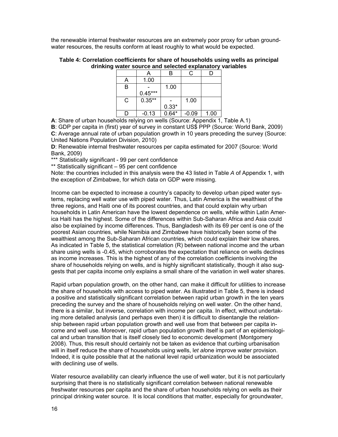the renewable internal freshwater resources are an extremely poor proxy for urban groundwater resources, the results conform at least roughly to what would be expected.

#### **Table 4: Correlation coefficients for share of households using wells as principal drinking water source and selected explanatory variables**

|   |           |         | ◠       |      |
|---|-----------|---------|---------|------|
| Α | 1.00      |         |         |      |
| B |           | 1.00    |         |      |
|   | $0.45***$ |         |         |      |
| C | $0.35***$ |         | 1.00    |      |
|   |           | $0.33*$ |         |      |
|   | $-0.13$   | $0.64*$ | $-0.09$ | 1.00 |

**A**: Share of urban households relying on wells (Source: Appendix 1, Table A.1)

**B**: GDP per capita in (first) year of survey in constant US\$ PPP (Source: World Bank, 2009) **C**: Average annual rate of urban population growth in 10 years preceding the survey (Source: United Nations Population Division, 2010)

**D**: Renewable internal freshwater resources per capita estimated for 2007 (Source: World Bank, 2009)

\*\*\* Statistically significant - 99 per cent confidence

\*\* Statistically significant – 95 per cent confidence

Note: the countries included in this analysis were the 43 listed in Table *A* of Appendix 1, with the exception of Zimbabwe, for which data on GDP were missing.

Income can be expected to increase a country's capacity to develop urban piped water systems, replacing well water use with piped water. Thus, Latin America is the wealthiest of the three regions, and Haiti one of its poorest countries, and that could explain why urban households in Latin American have the lowest dependence on wells, while within Latin America Haiti has the highest. Some of the differences within Sub-Saharan Africa and Asia could also be explained by income differences. Thus, Bangladesh with its 69 per cent is one of the poorest Asian countries, while Namibia and Zimbabwe have historically been some of the wealthiest among the Sub-Saharan African countries, which could explain their low shares. As indicated in Table 5, the statistical correlation (R) between national income and the urban share using wells is -0.45, which corroborates the expectation that reliance on wells declines as income increases. This is the highest of any of the correlation coefficients involving the share of households relying on wells, and is highly significant statistically, though it also suggests that per capita income only explains a small share of the variation in well water shares.

Rapid urban population growth, on the other hand, can make it difficult for utilities to increase the share of households with access to piped water. As illustrated in Table 5, there is indeed a positive and statistically significant correlation between rapid urban growth in the ten years preceding the survey and the share of households relying on well water. On the other hand, there is a similar, but inverse, correlation with income per capita. In effect, without undertaking more detailed analysis (and perhaps even then) it is difficult to disentangle the relationship between rapid urban population growth and well use from that between per capita income and well use. Moreover, rapid urban population growth itself is part of an epidemiological and urban transition that is itself closely tied to economic development (Montgomery 2008). Thus, this result should certainly not be taken as evidence that curbing urbanisation will in itself reduce the share of households using wells, l*et al*one improve water provision. Indeed, it is quite possible that at the national level rapid urbanization would be associated with declining use of wells.

Water resource availability can clearly influence the use of well water, but it is not particularly surprising that there is no statistically significant correlation between national renewable freshwater resources per capita and the share of urban households relying on wells as their principal drinking water source. It is local conditions that matter, especially for groundwater,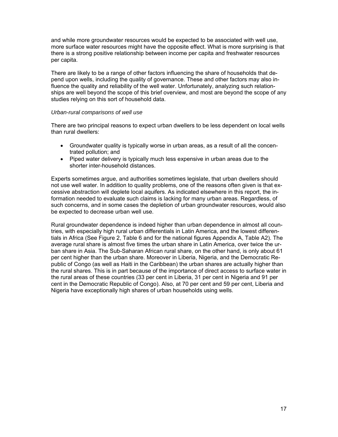and while more groundwater resources would be expected to be associated with well use, more surface water resources might have the opposite effect. What is more surprising is that there is a strong positive relationship between income per capita and freshwater resources per capita.

There are likely to be a range of other factors influencing the share of households that depend upon wells, including the quality of governance. These and other factors may also influence the quality and reliability of the well water. Unfortunately, analyzing such relationships are well beyond the scope of this brief overview, and most are beyond the scope of any studies relying on this sort of household data.

#### *Urban-rural comparisons of well use*

There are two principal reasons to expect urban dwellers to be less dependent on local wells than rural dwellers:

- Groundwater quality is typically worse in urban areas, as a result of all the concentrated pollution; and
- Piped water delivery is typically much less expensive in urban areas due to the shorter inter-household distances.

Experts sometimes argue, and authorities sometimes legislate, that urban dwellers should not use well water. In addition to quality problems, one of the reasons often given is that excessive abstraction will deplete local aquifers. As indicated elsewhere in this report, the information needed to evaluate such claims is lacking for many urban areas. Regardless, of such concerns, and in some cases the depletion of urban groundwater resources, would also be expected to decrease urban well use.

Rural groundwater dependence is indeed higher than urban dependence in almost all countries, with especially high rural urban differentials in Latin America, and the lowest differentials in Africa (See Figure 2, Table 6 and for the national figures Appendix A, Table A2). The average rural share is almost five times the urban share in Latin America, over twice the urban share in Asia. The Sub-Saharan African rural share, on the other hand, is only about 61 per cent higher than the urban share. Moreover in Liberia, Nigeria, and the Democratic Republic of Congo (as well as Haiti in the Caribbean) the urban shares are actually higher than the rural shares. This is in part because of the importance of direct access to surface water in the rural areas of these countries (33 per cent in Liberia, 31 per cent in Nigeria and 91 per cent in the Democratic Republic of Congo). Also, at 70 per cent and 59 per cent, Liberia and Nigeria have exceptionally high shares of urban households using wells.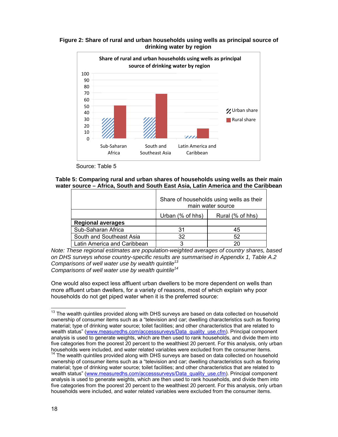**Figure 2: Share of rural and urban households using wells as principal source of drinking water by region** 



Source: Table 5

### **Table 5: Comparing rural and urban shares of households using wells as their main water source – Africa, South and South East Asia, Latin America and the Caribbean**

|                             | Share of households using wells as their<br>main water source |    |  |  |
|-----------------------------|---------------------------------------------------------------|----|--|--|
|                             | Urban (% of hhs)<br>Rural (% of hhs)                          |    |  |  |
| <b>Regional averages</b>    |                                                               |    |  |  |
| Sub-Saharan Africa          | 31                                                            | 45 |  |  |
| South and Southeast Asia    | 32                                                            | 52 |  |  |
| Latin America and Caribbean |                                                               |    |  |  |

*Note: These regional estimates are population-weighted averages of country shares, based on DHS surveys whose country-specific results are summarised in Appendix 1, Table A.2 Comparisons of well water use by wealth quintile<sup>13</sup> Comparisons of well water use by wealth quintile<sup>14</sup>*

One would also expect less affluent urban dwellers to be more dependent on wells than more affluent urban dwellers, for a variety of reasons, most of which explain why poor households do not get piped water when it is the preferred source:

l

 $13$  The wealth quintiles provided along with DHS surveys are based on data collected on household ownership of consumer items such as a "television and car; dwelling characteristics such as flooring material; type of drinking water source; toilet facilities; and other characteristics that are related to wealth status" (www.measuredhs.com/accesssurveys/Data\_quality\_use.cfm). Principal component analysis is used to generate weights, which are then used to rank households, and divide them into five categories from the poorest 20 percent to the wealthiest 20 percent. For this analysis, only urban households were included, and water related variables were excluded from the consumer items.

 $14$  The wealth quintiles provided along with DHS surveys are based on data collected on household ownership of consumer items such as a "television and car; dwelling characteristics such as flooring material; type of drinking water source; toilet facilities; and other characteristics that are related to wealth status" (www.measuredhs.com/accesssurveys/Data\_quality\_use.cfm). Principal component analysis is used to generate weights, which are then used to rank households, and divide them into five categories from the poorest 20 percent to the wealthiest 20 percent. For this analysis, only urban households were included, and water related variables were excluded from the consumer items.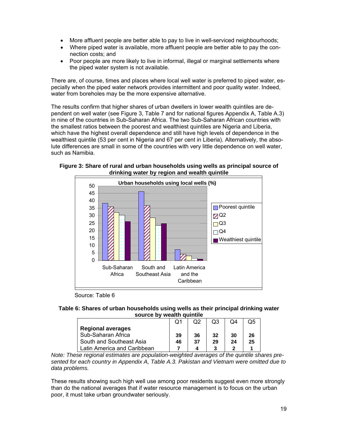- More affluent people are better able to pay to live in well-serviced neighbourhoods;
- Where piped water is available, more affluent people are better able to pay the connection costs; and
- Poor people are more likely to live in informal, illegal or marginal settlements where the piped water system is not available.

There are, of course, times and places where local well water is preferred to piped water, especially when the piped water network provides intermittent and poor quality water. Indeed, water from boreholes may be the more expensive alternative.

The results confirm that higher shares of urban dwellers in lower wealth quintiles are dependent on well water (see Figure 3, Table 7 and for national figures Appendix A, Table A.3) in nine of the countries in Sub-Saharan Africa. The two Sub-Saharan African countries with the smallest ratios between the poorest and wealthiest quintiles are Nigeria and Liberia, which have the highest overall dependence and still have high levels of dependence in the wealthiest quintile (53 per cent in Nigeria and 67 per cent in Liberia). Alternatively, the absolute differences are small in some of the countries with very little dependence on well water, such as Namibia.





Source: Table 6

#### **Table 6: Shares of urban households using wells as their principal drinking water source by wealth quintile**

|                             |    |     |    | O4 | Ο5 |
|-----------------------------|----|-----|----|----|----|
| <b>Regional averages</b>    |    |     |    |    |    |
| Sub-Saharan Africa          | 39 | 36  | 32 | 30 | 26 |
| South and Southeast Asia    | 46 | -37 | 29 | 24 | 25 |
| Latin America and Caribbean |    |     |    |    |    |

*Note: These regional estimates are population-weighted averages of the quintile shares presented for each country in Appendix A, Table A.3. Pakistan and Vietnam were omitted due to data problems.* 

These results showing such high well use among poor residents suggest even more strongly than do the national averages that if water resource management is to focus on the urban poor, it must take urban groundwater seriously.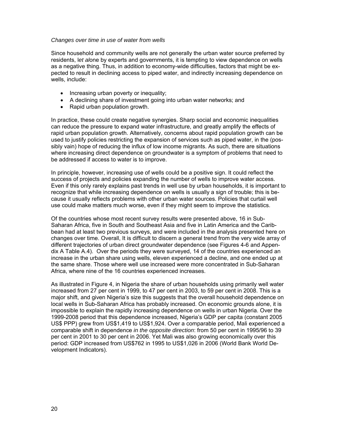#### *Changes over time in use of water from wells*

Since household and community wells are not generally the urban water source preferred by residents, l*et al*one by experts and governments, it is tempting to view dependence on wells as a negative thing. Thus, in addition to economy-wide difficulties, factors that might be expected to result in declining access to piped water, and indirectly increasing dependence on wells, include:

- Increasing urban poverty or inequality;
- A declining share of investment going into urban water networks; and
- Rapid urban population growth.

In practice, these could create negative synergies. Sharp social and economic inequalities can reduce the pressure to expand water infrastructure, and greatly amplify the effects of rapid urban population growth. Alternatively, concerns about rapid population growth can be used to justify policies restricting the expansion of services such as piped water, in the (possibly vain) hope of reducing the influx of low income migrants. As such, there are situations where increasing direct dependence on groundwater is a symptom of problems that need to be addressed if access to water is to improve.

In principle, however, increasing use of wells could be a positive sign. It could reflect the success of projects and policies expanding the number of wells to improve water access. Even if this only rarely explains past trends in well use by urban households, it is important to recognize that while increasing dependence on wells is usually a sign of trouble: this is because it usually reflects problems with other urban water sources. Policies that curtail well use could make matters much worse, even if they might seem to improve the statistics.

Of the countries whose most recent survey results were presented above, 16 in Sub-Saharan Africa, five in South and Southeast Asia and five in Latin America and the Caribbean had at least two previous surveys, and were included in the analysis presented here on changes over time. Overall, It is difficult to discern a general trend from the very wide array of different trajectories of urban direct groundwater dependence (see Figures 4-6 and Appendix A Table A.4). Over the periods they were surveyed, 14 of the countries experienced an increase in the urban share using wells, eleven experienced a decline, and one ended up at the same share. Those where well use increased were more concentrated in Sub-Saharan Africa, where nine of the 16 countries experienced increases.

As illustrated in Figure 4, in Nigeria the share of urban households using primarily well water increased from 27 per cent in 1999, to 47 per cent in 2003, to 59 per cent in 2008. This is a major shift, and given Nigeria's size this suggests that the overall household dependence on local wells in Sub-Saharan Africa has probably increased. On economic grounds alone, it is impossible to explain the rapidly increasing dependence on wells in urban Nigeria. Over the 1999-2008 period that this dependence increased, Nigeria's GDP per capita (constant 2005 US\$ PPP) grew from US\$1,419 to US\$1,924. Over a comparable period, Mali experienced a comparable shift in dependence *in the opposite direction*: from 50 per cent in 1995/96 to 39 per cent in 2001 to 30 per cent in 2006. Yet Mali was also growing economically over this period: GDP increased from US\$762 in 1995 to US\$1,026 in 2006 (World Bank World Development Indicators).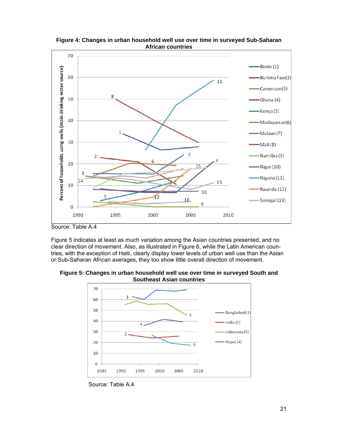

**Figure 4: Changes in urban household well use over time in surveyed Sub-Saharan African countries** 

Figure 5 indicates at least as much variation among the Asian countries presented, and no clear direction of movement. Also, as illustrated in Figure 6, while the Latin American countries, with the exception of Haiti, clearly display lower levels of urban well use than the Asian or Sub-Saharan African averages, they too show little overall direction of movement.





Source: Table A.4

Source: Table A.4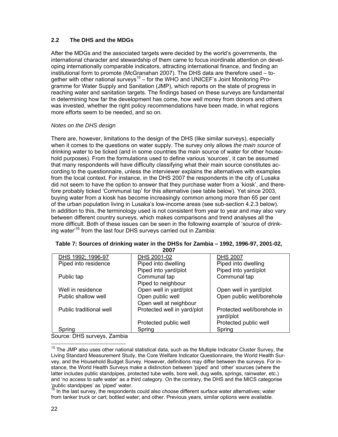# **2.2 The DHS and the MDGs**

After the MDGs and the associated targets were decided by the world's governments, the international character and stewardship of them came to focus inordinate attention on developing internationally comparable indicators, attracting international finance, and finding an institutional form to promote (McGranahan 2007). The DHS data are therefore used – together with other national surveys<sup>15</sup> – for the WHO and UNICEF's Joint Monitoring Programme for Water Supply and Sanitation (JMP), which reports on the state of progress in reaching water and sanitation targets. The findings based on these surveys are fundamental in determining how far the development has come, how well money from donors and others was invested, whether the right policy recommendations have been made, in what regions more efforts seem to be needed, and so on.

### *Notes on the DHS design*

There are, however, limitations to the design of the DHS (like similar surveys), especially when it comes to the questions on water supply. The survey only allows *the main source* of drinking water to be ticked (and in some countries the main source of water for other household purposes). From the formulations used to define various 'sources', it can be assumed that many respondents will have difficulty classifying what their main source constitutes according to the questionnaire, unless the interviewer explains the alternatives with examples from the local context. For instance, in the DHS 2007 the respondents in the city of Lusaka did not seem to have the option to answer that they purchase water from a 'kiosk', and therefore probably ticked 'Communal tap' for this alternative (see table below). Yet since 2003, buying water from a kiosk has become increasingly common among more than 65 per cent of the urban population living in Lusaka's low-income areas (see sub-section 4.2.3 below). In addition to this, the terminology used is not consistent from year to year and may also vary between different country surveys, which makes comparisons and trend analyses all the more difficult. Both of these issues can be seen in the following example of 'source of drinking water'16 from the last four DHS surveys carried out in Zambia:

| ZUU 1                   |                             |                            |
|-------------------------|-----------------------------|----------------------------|
| DHS 1992; 1996-97       | DHS 2001-02                 | <b>DHS 2007</b>            |
| Piped into residence    | Piped into dwelling         | Piped into dwelling        |
|                         | Piped into yard/plot        | Piped into yard/plot       |
| Public tap              | Communal tap                | Communal tap               |
|                         | Piped to neighbour          |                            |
| Well in residence       | Open well in yard/plot      | Open well in yard/plot     |
| Public shallow well     | Open public well            | Open public well/borehole  |
|                         | Open well at neighbour      |                            |
| Public traditional well | Protected well in yard/plot | Protected well/borehole in |
|                         |                             | yard/plot                  |
|                         | Protected public well       | Protected public well      |
| Spring                  | Spring                      | Spring                     |
| - -                     |                             |                            |

| Table 7: Sources of drinking water in the DHSs for Zambia – 1992, 1996-97, 2001-02, |  |
|-------------------------------------------------------------------------------------|--|
| ^^^~                                                                                |  |

Source: DHS surveys, Zambia

 $\overline{a}$  $15$  The JMP also uses other national statistical data, such as the Multiple Indicator Cluster Survey, the Living Standard Measurement Study, the Core Welfare Indicator Questionnaire, the World Health Survey, and the Household Budget Survey. However, definitions may differ between the surveys. For instance, the World Health Surveys make a distinction between 'piped' and 'other' sources (where the latter includes public standpipes, protected tube wells, bore well, dug wells, springs, rainwater, etc.) and 'no access to safe water' as a third category. On the contrary, the DHS and the MICS categorise 'public standpipes' as 'piped' water.

 $\frac{1}{2}$  In the last survey, the respondents could also choose different surface water alternatives; water from tanker truck or cart; bottled water; and other. Previous years, similar options were available.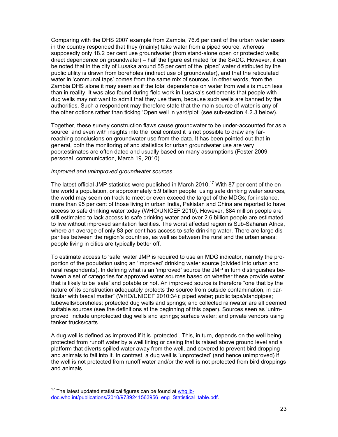Comparing with the DHS 2007 example from Zambia, 76.6 per cent of the urban water users in the country responded that they (mainly) take water from a piped source, whereas supposedly only 18.2 per cent use groundwater (from stand-alone open or protected wells; direct dependence on groundwater) – half the figure estimated for the SADC. However, it can be noted that in the city of Lusaka around 55 per cent of the 'piped' water distributed by the public utility is drawn from boreholes (indirect use of groundwater), and that the reticulated water in 'communal taps' comes from the same mix of sources. In other words, from the Zambia DHS alone it may seem as if the total dependence on water from wells is much less than in reality. It was also found during field work in Lusaka's settlements that people with dug wells may not want to admit that they use them, because such wells are banned by the authorities. Such a respondent may therefore state that the main source of water is any of the other options rather than ticking 'Open well in yard/plot' (see sub-section 4.2.3 below).

Together, these survey construction flaws cause groundwater to be under-accounted for as a source, and even with insights into the local context it is not possible to draw any farreaching conclusions on groundwater use from the data. It has been pointed out that in general, both the monitoring of and statistics for urban groundwater use are very poor;estimates are often dated and usually based on many assumptions (Foster 2009; personal. communication, March 19, 2010).

#### *Improved and unimproved groundwater sources*

The latest official JMP statistics were published in March 2010.<sup>17</sup> With 87 per cent of the entire world's population, or approximately 5.9 billion people, using safe drinking water sources, the world may seem on track to meet or even exceed the target of the MDGs; for instance, more than 95 per cent of those living in urban India, Pakistan and China are reported to have access to safe drinking water today (WHO/UNICEF 2010). However, 884 million people are still estimated to lack access to safe drinking water and over 2.6 billion people are estimated to live without improved sanitation facilities. The worst affected region is Sub-Saharan Africa, where an average of only 83 per cent has access to safe drinking water. There are large disparities between the region's countries, as well as between the rural and the urban areas; people living in cities are typically better off.

To estimate access to 'safe' water JMP is required to use an MDG indicator, namely the proportion of the population using an 'improved' drinking water source (divided into urban and rural respondents). In defining what is an 'improved' source the JMP in turn distinguishes between a set of categories for approved water sources based on whether these provide water that is likely to be 'safe' and potable or not. An improved source is therefore "one that by the nature of its construction adequately protects the source from outside contamination, in particular with faecal matter" (WHO/UNICEF 2010:34): piped water; public taps/standpipes; tubewells/boreholes; protected dug wells and springs; and collected rainwater are all deemed suitable sources (see the definitions at the beginning of this paper). Sources seen as 'unimproved' include unprotected dug wells and springs; surface water; and private vendors using tanker trucks/carts.

A dug well is defined as improved if it is 'protected'. This, in turn, depends on the well being protected from runoff water by a well lining or casing that is raised above ground level and a platform that diverts spilled water away from the well, and covered to prevent bird dropping and animals to fall into it. In contrast, a dug well is 'unprotected' (and hence unimproved) if the well is not protected from runoff water and/or the well is not protected from bird droppings and animals.

 $\overline{a}$  $17$  The latest updated statistical figures can be found at  $whqlib$ doc.who.int/publications/2010/9789241563956\_eng\_Statistical\_table.pdf.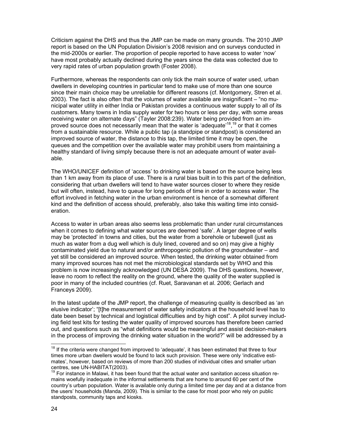Criticism against the DHS and thus the JMP can be made on many grounds. The 2010 JMP report is based on the UN Population Division's 2008 revision and on surveys conducted in the mid-2000s or earlier. The proportion of people reported to have access to water 'now' have most probably actually declined during the years since the data was collected due to very rapid rates of urban population growth (Foster 2008).

Furthermore, whereas the respondents can only tick the main source of water used, urban dwellers in developing countries in particular tend to make use of more than one source since their main choice may be unreliable for different reasons (cf. Montgomery, Stren et al. 2003). The fact is also often that the volumes of water available are insignificant – "no municipal water utility in either India or Pakistan provides a continuous water supply to all of its customers. Many towns in India supply water for two hours or less per day, with some areas receiving water on alternate days" (Tayler 2008:239). Water being provided from an improved source does not necessarily mean that the water is 'adequate'<sup>18</sup>,<sup>19</sup> or that it comes from a sustainable resource. While a public tap (a standpipe or standpost) is considered an improved source of water, the distance to this tap, the limited time it may be open, the queues and the competition over the available water may prohibit users from maintaining a healthy standard of living simply because there is not an adequate amount of water available.

The WHO/UNICEF definition of 'access' to drinking water is based on the source being less than 1 km away from its place of use. There is a rural bias built in to this part of the definition, considering that urban dwellers will tend to have water sources closer to where they reside but will often, instead, have to queue for long periods of time in order to access water. The effort involved in fetching water in the urban environment is hence of a somewhat different kind and the definition of access should, preferably, also take this waiting time into consideration.

Access to water in urban areas also seems less problematic than under rural circumstances when it comes to defining what water sources are deemed 'safe'. A larger degree of wells may be 'protected' in towns and cities, but the water from a borehole or tubewell (just as much as water from a dug well which is duly lined, covered and so on) may give a highly contaminated yield due to natural and/or anthropogenic pollution of the groundwater – and yet still be considered an improved source. When tested, the drinking water obtained from many improved sources has not met the microbiological standards set by WHO and this problem is now increasingly acknowledged (UN DESA 2009). The DHS questions, however, leave no room to reflect the reality on the ground, where the quality of the water supplied is poor in many of the included countries (cf. Ruet, Saravanan et al. 2006; Gerlach and Franceys 2009).

In the latest update of the JMP report, the challenge of measuring quality is described as 'an elusive indicator'; "[t]he measurement of water safety indicators at the household level has to date been beset by technical and logistical difficulties and by high cost". A pilot survey including field test kits for testing the water quality of improved sources has therefore been carried out, and questions such as "what definitions would be meaningful and assist decision-makers in the process of improving the drinking water situation in the world?" will be addressed by a

l

 $18$  If the criteria were changed from improved to 'adequate', it has been estimated that three to four times more urban dwellers would be found to lack such provision. These were only 'indicative estimates', however, based on reviews of more than 200 studies of individual cities and smaller urban centres, see UN-HABITAT(2003).

 $19$  For instance in Malawi, it has been found that the actual water and sanitation access situation remains woefully inadequate in the informal settlements that are home to around 60 per cent of the country's urban population. Water is available only during a limited time per day and at a distance from the users' households (Manda, 2009). This is similar to the case for most poor who rely on public standposts, community taps and kiosks.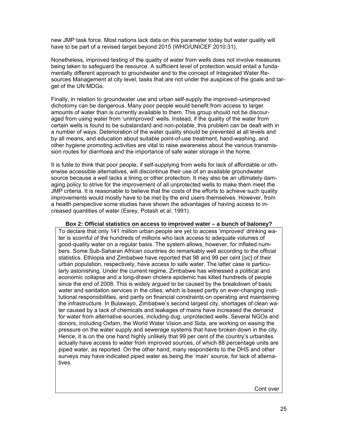new JMP task force. Most nations lack data on this parameter today but water quality will have to be part of a revised target beyond 2015 (WHO/UNICEF 2010:31).

Nonetheless, improved testing of the quality of water from wells does not involve measures being taken to safeguard the resource. A sufficient level of protection would entail a fundamentally different approach to groundwater and to the concept of Integrated Water Resources Management at city level, tasks that are not under the auspices of the goals and target of the UN MDGs.

Finally, in relation to groundwater use and urban self-supply the improved–unimproved dichotomy can be dangerous. Many poor people would benefit from access to larger amounts of water than is currently available to them. This group should not be discouraged from using water from 'unimproved' wells. Instead, if the quality of the water from certain wells is found to be substandard and non-potable, this problem can be dealt with in a number of ways. Deterioration of the water quality should be prevented at all levels and by all means, and education about suitable point-of-use treatment, hand-washing, and other hygiene promoting activities are vital to raise awareness about the various transmission routes for diarrhoea and the importance of safe water storage in the home.

It is futile to think that poor people, if self-supplying from wells for lack of affordable or otherwise accessible alternatives, will discontinue their use of an available groundwater source because a well lacks a lining or other protection. It may also be an ultimately damaging policy to strive for the improvement of all unprotected wells to make them meet the JMP criteria. It is reasonable to believe that the costs of the efforts to achieve such quality improvements would mostly have to be met by the end users themselves. However, from a health perspective some studies have shown the advantages of having access to increased quantities of water (Esrey, Potash et al. 1991).

#### **Box 2: Official statistics on access to improved water – a bunch of baloney?**

To declare that only 141 million urban people are yet to access 'improved' drinking water is scornful of the hundreds of millions who lack access to adequate volumes of good-quality water on a regular basis. The system allows, however, for inflated numbers. Some Sub-Saharan African countries do remarkably well according to the official statistics. Ethiopia and Zimbabwe have reported that 98 and 99 per cent [*sic*] of their urban population, respectively, have access to safe water. The latter case is particularly astonishing. Under the current regime, Zimbabwe has witnessed a political and economic collapse and a long-drawn cholera epidemic has killed hundreds of people since the end of 2008. This is widely argued to be caused by the breakdown of basic water and sanitation services in the cities, which is based partly on ever-changing institutional responsibilities, and partly on financial constraints on operating and maintaining the infrastructure. In Bulawayo, Zimbabwe's second largest city, shortages of clean water caused by a lack of chemicals and leakages of mains have increased the demand for water from alternative sources, including dug, unprotected wells. Several NGOs and donors, including Oxfam, the World Water Vision and Sida, are working on easing the pressure on the water supply and sewerage systems that have broken down in the city. Hence, it is on the one hand highly unlikely that 99 per cent of the country's urbanites actually have access to water from improved sources, of which 88 percentage units are piped water, as reported. On the other hand, many respondents to the DHS and other surveys may have indicated piped water as being the 'main' source, for lack of alternatives.

Cont over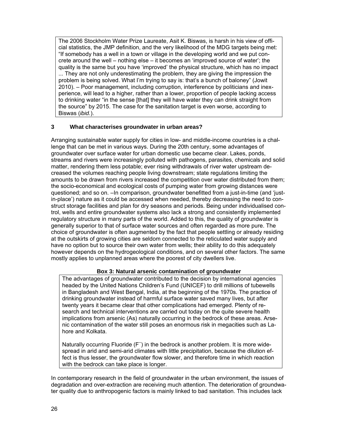The 2006 Stockholm Water Prize Laureate, Asit K. Biswas, is harsh in his view of official statistics, the JMP definition, and the very likelihood of the MDG targets being met: "If somebody has a well in a town or village in the developing world and we put concrete around the well – nothing else – it becomes an 'improved source of water'; the quality is the same but you have 'improved' the physical structure, which has no impact ... They are not only underestimating the problem, they are giving the impression the problem is being solved. What I'm trying to say is: that's a bunch of baloney" (Jowit 2010). – Poor management, including corruption, interference by politicians and inexperience, will lead to a higher, rather than a lower, proportion of people lacking access to drinking water "in the sense [that] they will have water they can drink straight from the source" by 2015. The case for the sanitation target is even worse, according to Biswas (*ibid.*).

## **3 What characterises groundwater in urban areas?**

Arranging sustainable water supply for cities in low- and middle-income countries is a challenge that can be met in various ways. During the 20th century, some advantages of groundwater over surface water for urban domestic use became clear. Lakes, ponds, streams and rivers were increasingly polluted with pathogens, parasites, chemicals and solid matter, rendering them less potable; ever rising withdrawals of river water upstream decreased the volumes reaching people living downstream; state regulations limiting the amounts to be drawn from rivers increased the competition over water distributed from them; the socio-economical and ecological costs of pumping water from growing distances were questioned; and so on. –In comparison, groundwater benefitted from a just-in-time (and 'justin-place') nature as it could be accessed when needed, thereby decreasing the need to construct storage facilities and plan for dry seasons and periods. Being under individualised control, wells and entire groundwater systems also lack a strong and consistently implemented regulatory structure in many parts of the world. Added to this, the quality of groundwater is generally superior to that of surface water sources and often regarded as more pure. The choice of groundwater is often augmented by the fact that people settling or already residing at the outskirts of growing cities are seldom connected to the reticulated water supply and have no option but to source their own water from wells; their ability to do this adequately however depends on the hydrogeological conditions, and on several other factors. The same mostly applies to unplanned areas where the poorest of city dwellers live.

### **Box 3: Natural arsenic contamination of groundwater**

The advantages of groundwater contributed to the decision by international agencies headed by the United Nations Children's Fund (UNICEF) to drill millions of tubewells in Bangladesh and West Bengal, India, at the beginning of the 1970s. The practice of drinking groundwater instead of harmful surface water saved many lives, but after twenty years it became clear that other complications had emerged. Plenty of research and technical interventions are carried out today on the quite severe health implications from arsenic (As) naturally occurring in the bedrock of these areas. Arsenic contamination of the water still poses an enormous risk in megacities such as Lahore and Kolkata.

Naturally occurring Fluoride (F<sup>-</sup>) in the bedrock is another problem. It is more widespread in arid and semi-arid climates with little precipitation, because the dilution effect is thus lesser, the groundwater flow slower, and therefore time in which reaction with the bedrock can take place is longer.

In contemporary research in the field of groundwater in the urban environment, the issues of degradation and over-extraction are receiving much attention. The deterioration of groundwater quality due to anthropogenic factors is mainly linked to bad sanitation. This includes lack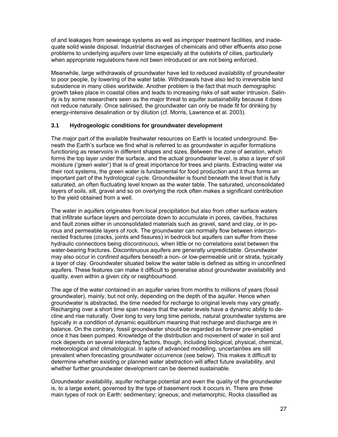of and leakages from sewerage systems as well as improper treatment facilities, and inadequate solid waste disposal. Industrial discharges of chemicals and other effluents also pose problems to underlying aquifers over time especially at the outskirts of cities, particularly when appropriate regulations have not been introduced or are not being enforced.

Meanwhile, large withdrawals of groundwater have led to reduced availability of groundwater to poor people, by lowering of the water table. Withdrawals have also led to irreversible land subsidence in many cities worldwide. Another problem is the fact that much demographic growth takes place in coastal cities and leads to increasing risks of salt water intrusion. Salinity is by some researchers seen as the major threat to aquifer sustainability because it does not reduce naturally. Once salinised, the groundwater can only be made fit for drinking by energy-intensive desalination or by dilution (cf. Morris, Lawrence et al. 2003).

### **3.1 Hydrogeologic conditions for groundwater development**

The major part of the available freshwater resources on Earth is located underground. Beneath the Earth's surface we find what is referred to as groundwater in aquifer formations functioning as reservoirs in different shapes and sizes. Between the zone of aeration, which forms the top layer under the surface, and the actual groundwater level, is also a layer of soil moisture ('green water') that is of great importance for trees and plants. Extracting water via their root systems, the green water is fundamental for food production and it thus forms an important part of the hydrological cycle. Groundwater is found beneath the level that is fully saturated, an often fluctuating level known as the water table. The saturated, unconsolidated layers of soils, silt, gravel and so on overlying the rock often makes a significant contribution to the yield obtained from a well.

The water in aquifers originates from local precipitation but also from other surface waters that infiltrate surface layers and percolate down to accumulate in pores, cavities, fractures and fault zones either in unconsolidated materials such as gravel, sand and clay, or in porous and permeable layers of rock. The groundwater can normally flow between interconnected fractures (cracks, joints and fissures) in bedrock but aquifers can suffer from these hydraulic connections being *discontinuous*, when little or no correlations exist between the water-bearing fractures. Discontinuous aquifers are generally unpredictable. Groundwater may also occur in *confined* aquifers beneath a non- or low-permeable unit or strata, typically a layer of clay. Groundwater situated below the water table is defined as sitting in unconfined aquifers. These features can make it difficult to generalise about groundwater availability and quality, even within a given city or neighbourhood.

The age of the water contained in an aquifer varies from months to millions of years (fossil groundwater), mainly, but not only, depending on the depth of the aquifer. Hence when groundwater is abstracted, the time needed for recharge to original levels may vary greatly. Recharging over a short time span means that the water levels have a dynamic ability to decline and rise naturally. Over long to very long time periods, natural groundwater systems are typically in a condition of dynamic equilibrium meaning that recharge and discharge are in balance. On the contrary, fossil groundwater should be regarded as forever pre-emptied once it has been pumped. Knowledge of the distribution and movement of water in soil and rock depends on several interacting factors, though, including biological, physical, chemical, meteorological and climatological. In spite of advanced modelling, uncertainties are still prevalent when forecasting groundwater occurrence (see below). This makes it difficult to determine whether existing or planned water abstraction will affect future availability, and whether further groundwater development can be deemed sustainable.

Groundwater availability, aquifer recharge potential and even the quality of the groundwater is, to a large extent, governed by the type of basement rock it occurs in. There are three main types of rock on Earth: sedimentary; igneous; and metamorphic. Rocks classified as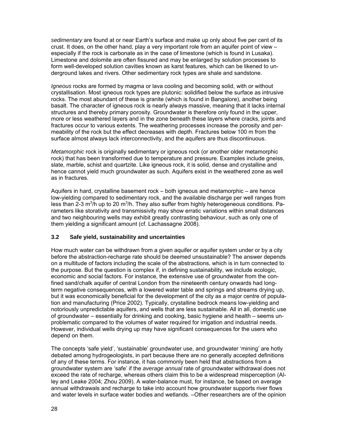*sedimentary* are found at or near Earth's surface and make up only about five per cent of its crust. It does, on the other hand, play a very important role from an aquifer point of view – especially if the rock is carbonate as in the case of limestone (which is found in Lusaka). Limestone and dolomite are often fissured and may be enlarged by solution processes to form well-developed solution cavities known as karst features, which can be likened to underground lakes and rivers. Other sedimentary rock types are shale and sandstone.

*Igneous* rocks are formed by magma or lava cooling and becoming solid, with or without crystallisation. Most igneous rock types are plutonic: solidified below the surface as intrusive rocks. The most abundant of these is granite (which is found in Bangalore), another being basalt. The character of igneous rock is nearly always massive, meaning that it lacks internal structures and thereby primary porosity. Groundwater is therefore only found in the upper. more or less weathered layers and in the zone beneath these layers where cracks, joints and fractures occur to various extents. The weathering processes increase the porosity and permeability of the rock but the effect decreases with depth. Fractures below 100 m from the surface almost always lack interconnectivity, and the aquifers are thus discontinuous.

*Metamorphic* rock is originally sedimentary or igneous rock (or another older metamorphic rock) that has been transformed due to temperature and pressure. Examples include gneiss, slate, marble, schist and quartzite. Like igneous rock, it is solid, dense and crystalline and hence cannot yield much groundwater as such. Aquifers exist in the weathered zone as well as in fractures.

Aquifers in hard, crystalline basement rock – both igneous and metamorphic – are hence low-yielding compared to sedimentary rock, and the available discharge per well ranges from less than 2-3 m<sup>3</sup>/h up to 20 m<sup>3</sup>/h. They also suffer from highly heterogeneous conditions. Parameters like storativity and transmissivity may show erratic variations within small distances and two neighbouring wells may exhibit greatly contrasting behaviour, such as only one of them yielding a significant amount (cf. Lachassagne 2008).

### **3.2 Safe yield, sustainability and uncertainties**

How much water can be withdrawn from a given aquifer or aquifer system under or by a city before the abstraction-recharge rate should be deemed unsustainable? The answer depends on a multitude of factors including the scale of the abstractions, which is in turn connected to the purpose. But the question is complex if, in defining sustainability, we include ecologic, economic and social factors. For instance, the extensive use of groundwater from the confined sand/chalk aquifer of central London from the nineteenth century onwards had longterm negative consequences, with a lowered water table and springs and streams drying up, but it was economically beneficial for the development of the city as a major centre of population and manufacturing (Price 2002). Typically, crystalline bedrock means low-yielding and notoriously unpredictable aquifers, and wells that are less sustainable. All in all, domestic use of groundwater – essentially for drinking and cooking, basic hygiene and health – seems unproblematic compared to the volumes of water required for irrigation and industrial needs. However, individual wells drying up may have significant consequences for the users who depend on them.

The concepts 'safe yield', 'sustainable' groundwater use, and groundwater 'mining' are hotly debated among hydrogeologists, in part because there are no generally accepted definitions of any of these terms. For instance, it has commonly been held that abstractions from a groundwater system are 'safe' if the *average annual* rate of groundwater withdrawal does not exceed the rate of recharge, whereas others claim this to be a widespread misperception (Alley and Leake 2004; Zhou 2009). A water-balance must, for instance, be based on average annual withdrawals and recharge to take into account how groundwater supports river flows and water levels in surface water bodies and wetlands. –Other researchers are of the opinion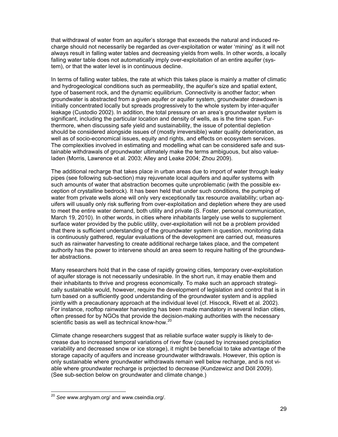that withdrawal of water from an aquifer's storage that exceeds the natural and induced recharge should not necessarily be regarded as *over*-exploitation or water 'mining' as it will not always result in falling water tables and decreasing yields from wells. In other words, a locally falling water table does not automatically imply over-exploitation of an entire aquifer (system), or that the water level is in continuous decline.

In terms of falling water tables, the rate at which this takes place is mainly a matter of climatic and hydrogeological conditions such as permeability, the aquifer's size and spatial extent, type of basement rock, and the dynamic equilibrium. Connectivity is another factor; when groundwater is abstracted from a given aquifer or aquifer system, groundwater drawdown is initially concentrated locally but spreads progressively to the whole system by inter-aquifer leakage (Custodio 2002). In addition, the total pressure on an area's groundwater system is significant, including the particular location and density of wells, as is the time span. Furthermore, when discussing safe yield and sustainability, the issue of potential depletion should be considered alongside issues of (mostly irreversible) water quality deterioration, as well as of socio-economical issues, equity and rights, and effects on ecosystem services. The complexities involved in estimating and modelling what can be considered safe and sustainable withdrawals of groundwater ultimately make the terms ambiguous, but also valueladen (Morris, Lawrence et al. 2003; Alley and Leake 2004; Zhou 2009).

The additional recharge that takes place in urban areas due to import of water through leaky pipes (see following sub-section) may rejuvenate local aquifers and aquifer systems with such amounts of water that abstraction becomes quite unproblematic (with the possible exception of crystalline bedrock). It has been held that under such conditions, the pumping of water from private wells alone will only very exceptionally tax resource availability; urban aquifers will usually only risk suffering from over-exploitation and depletion where they are used to meet the entire water demand, both utility and private (S. Foster, personal communication, March 19, 2010). In other words, in cities where inhabitants largely use wells to supplement surface water provided by the public utility, over-exploitation will not be a problem provided that there is sufficient understanding of the groundwater system in question, monitoring data is continuously gathered, regular evaluations of the development are carried out, measures such as rainwater harvesting to create additional recharge takes place, and the competent authority has the power to intervene should an area seem to require halting of the groundwater abstractions.

Many researchers hold that in the case of rapidly growing cities, temporary over-exploitation of aquifer storage is not necessarily undesirable. In the short run, it may enable them and their inhabitants to thrive and progress economically. To make such an approach strategically sustainable would, however, require the development of legislation and control that is in turn based on a sufficiently good understanding of the groundwater system and is applied jointly with a precautionary approach at the individual level (cf. Hiscock, Rivett et al. 2002). For instance, rooftop rainwater harvesting has been made mandatory in several Indian cities, often pressed for by NGOs that provide the decision-making authorities with the necessary scientific basis as well as technical know-how.<sup>20</sup>

Climate change researchers suggest that as reliable surface water supply is likely to decrease due to increased temporal variations of river flow (caused by increased precipitation variability and decreased snow or ice storage), it might be beneficial to take advantage of the storage capacity of aquifers and increase groundwater withdrawals. However, this option is only sustainable where groundwater withdrawals remain well below recharge, and is not viable where groundwater recharge is projected to decrease (Kundzewicz and Döll 2009). (See sub-section below on groundwater and climate change.)

l

<sup>20</sup> *See* www.arghyam.org/ and www.cseindia.org/.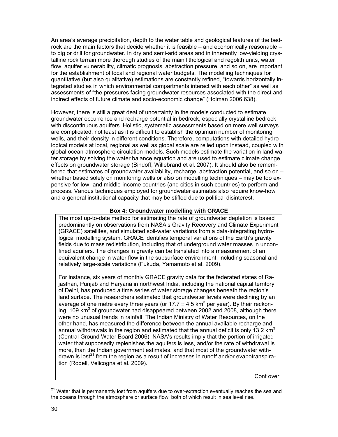An area's average precipitation, depth to the water table and geological features of the bedrock are the main factors that decide whether it is feasible – and economically reasonable – to dig or drill for groundwater. In dry and semi-arid areas and in inherently low-yielding crystalline rock terrain more thorough studies of the main lithological and regolith units, water flow, aquifer vulnerability, climatic prognosis, abstraction pressure, and so on, are important for the establishment of local and regional water budgets. The modelling techniques for quantitative (but also qualitative) estimations are constantly refined, "towards horizontally integrated studies in which environmental compartments interact with each other" as well as assessments of "the pressures facing groundwater resources associated with the direct and indirect effects of future climate and socio-economic change" (Holman 2006:638).

However, there is still a great deal of uncertainty in the models conducted to estimate groundwater occurrence and recharge potential in bedrock, especially crystalline bedrock with discontinuous aquifers. Holistic, systematic assessments based on mere well surveys are complicated, not least as it is difficult to establish the optimum number of monitoring wells, and their density in different conditions. Therefore, computations with detailed hydrological models at local, regional as well as global scale are relied upon instead, coupled with global ocean-atmosphere circulation models. Such models estimate the variation in land water storage by solving the water balance equation and are used to estimate climate change effects on groundwater storage (Bindoff, Willebrand et al. 2007). It should also be remembered that estimates of groundwater availability, recharge, abstraction potential, and so on – whether based solely on monitoring wells or also on modelling techniques – may be too expensive for low- and middle-income countries (and cities in such countries) to perform and process. Various techniques employed for groundwater estimates also require know-how and a general institutional capacity that may be stifled due to political disinterest.

### **Box 4: Groundwater modelling with GRACE**

The most up-to-date method for estimating the rate of groundwater depletion is based predominantly on observations from NASA's Gravity Recovery and Climate Experiment (GRACE) satellites, and simulated soil-water variations from a data-integrating hydrological modelling system. GRACE identifies temporal variations of the Earth's gravity fields due to mass redistribution, including that of underground water masses in unconfined aquifers. The changes in gravity can be translated into a measurement of an equivalent change in water flow in the subsurface environment, including seasonal and relatively large-scale variations (Fukuda, Yamamoto et al. 2009).

For instance, six years of monthly GRACE gravity data for the federated states of Rajasthan, Punjab and Haryana in northwest India, including the national capital territory of Delhi, has produced a time series of water storage changes beneath the region's land surface. The researchers estimated that groundwater levels were declining by an average of one metre every three years (or 17.7  $\pm$  4.5 km<sup>3</sup> per year). By their reckoning, 109 km<sup>3</sup> of groundwater had disappeared between 2002 and 2008, although there were no unusual trends in rainfall. The Indian Ministry of Water Resources, on the other hand, has measured the difference between the annual available recharge and annual withdrawals in the region and estimated that the annual deficit is only 13.2  $km<sup>3</sup>$ (Central Ground Water Board 2006). NASA's results imply that the portion of irrigated water that supposedly replenishes the aquifers is less, and/or the rate of withdrawal is more, than the Indian government estimates, and that most of the groundwater withdrawn is lost<sup>21</sup> from the region as a result of increases in runoff and/or evapotranspiration (Rodell, Velicogna et al. 2009).

Cont over

<sup>&</sup>lt;sup>21</sup> Water that is permanently lost from aquifers due to over-extraction eventually reaches the sea and the oceans through the atmosphere or surface flow, both of which result in sea level rise.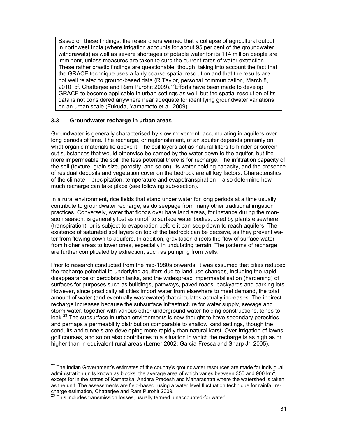Based on these findings, the researchers warned that a collapse of agricultural output in northwest India (where irrigation accounts for about 95 per cent of the groundwater withdrawals) as well as severe shortages of potable water for its 114 million people are imminent, unless measures are taken to curb the current rates of water extraction. These rather drastic findings are questionable, though, taking into account the fact that the GRACE technique uses a fairly coarse spatial resolution and that the results are not well related to ground-based data (R Taylor, personal communication, March 8, 2010, cf. Chatterjee and Ram Purohit  $2009$ .<sup>22</sup> Efforts have been made to develop GRACE to become applicable in urban settings as well, but the spatial resolution of its data is not considered anywhere near adequate for identifying groundwater variations on an urban scale (Fukuda, Yamamoto et al. 2009).

#### **3.3 Groundwater recharge in urban areas**

Groundwater is generally characterised by slow movement, accumulating in aquifers over long periods of time. The recharge, or replenishment, of an aquifer depends primarily on what organic materials lie above it. The soil layers act as natural filters to hinder or screen out substances that would otherwise be carried by the water down to the aquifer, but the more impermeable the soil, the less potential there is for recharge. The infiltration capacity of the soil (texture, grain size, porosity, and so on), its water-holding capacity, and the presence of residual deposits and vegetation cover on the bedrock are all key factors. Characteristics of the climate – precipitation, temperature and evapotranspiration – also determine how much recharge can take place (see following sub-section).

In a rural environment, rice fields that stand under water for long periods at a time usually contribute to groundwater recharge, as do seepage from many other traditional irrigation practices. Conversely, water that floods over bare land areas, for instance during the monsoon season, is generally lost as runoff to surface water bodies, used by plants elsewhere (transpiration), or is subject to evaporation before it can seep down to reach aquifers. The existence of saturated soil layers on top of the bedrock can be decisive, as they prevent water from flowing down to aquifers. In addition, gravitation directs the flow of surface water from higher areas to lower ones, especially in undulating terrain. The patterns of recharge are further complicated by extraction, such as pumping from wells.

Prior to research conducted from the mid-1980s onwards, it was assumed that cities reduced the recharge potential to underlying aquifers due to land-use changes, including the rapid disappearance of percolation tanks, and the widespread impermeabilisation (hardening) of surfaces for purposes such as buildings, pathways, paved roads, backyards and parking lots. However, since practically all cities import water from elsewhere to meet demand, the total amount of water (and eventually wastewater) that circulates actually increases. The indirect recharge increases because the subsurface infrastructure for water supply, sewage and storm water, together with various other underground water-holding constructions, tends to leak.<sup>23</sup> The subsurface in urban environments is now thought to have secondary porosities and perhaps a permeability distribution comparable to shallow karst settings, though the conduits and tunnels are developing more rapidly than natural karst. Over-irrigation of lawns, golf courses, and so on also contributes to a situation in which the recharge is as high as or higher than in equivalent rural areas (Lerner 2002; Garcia-Fresca and Sharp Jr. 2005).

l

 $22$  The Indian Government's estimates of the country's groundwater resources are made for individual administration units known as blocks, the average area of which varies between 350 and 900 km<sup>2</sup>, except for in the states of Karnataka, Andhra Pradesh and Maharashtra where the watershed is taken as the unit. The assessments are field-based, using a water level fluctuation technique for rainfall recharge estimation, Chatterjee and Ram Purohit 2009.

 $^{23}$  This includes transmission losses, usually termed 'unaccounted-for water'.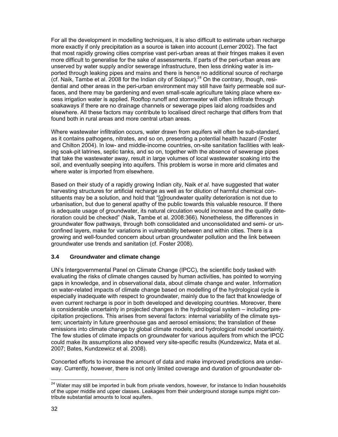For all the development in modelling techniques, it is also difficult to estimate urban recharge more exactly if only precipitation as a source is taken into account (Lerner 2002). The fact that most rapidly growing cities comprise vast peri-urban areas at their fringes makes it even more difficult to generalise for the sake of assessments. If parts of the peri-urban areas are unserved by water supply and/or sewerage infrastructure, then less drinking water is imported through leaking pipes and mains and there is hence no additional source of recharge (cf. Naik, Tambe et al. 2008 for the Indian city of Solapur).<sup>24</sup> On the contrary, though, residential and other areas in the peri-urban environment may still have fairly permeable soil surfaces, and there may be gardening and even small-scale agriculture taking place where excess irrigation water is applied. Rooftop runoff and stormwater will often infiltrate through soakaways if there are no drainage channels or sewerage pipes laid along roadsides and elsewhere. All these factors may contribute to localised direct recharge that differs from that found both in rural areas and more central urban areas.

Where wastewater infiltration occurs, water drawn from aquifers will often be sub-standard, as it contains pathogens, nitrates, and so on, presenting a potential health hazard (Foster and Chilton 2004). In low- and middle-income countries, on-site sanitation facilities with leaking soak-pit latrines, septic tanks, and so on, together with the absence of sewerage pipes that take the wastewater away, result in large volumes of local wastewater soaking into the soil, and eventually seeping into aquifers. This problem is worse in more arid climates and where water is imported from elsewhere.

Based on their study of a rapidly growing Indian city, Naik *et al*. have suggested that water harvesting structures for artificial recharge as well as for dilution of harmful chemical constituents may be a solution, and hold that "[g]roundwater quality deterioration is not due to urbanisation, but due to general apathy of the public towards this valuable resource. If there is adequate usage of groundwater, its natural circulation would increase and the quality deterioration could be checked" (Naik, Tambe et al. 2008:366). Nonetheless, the differences in groundwater flow pathways, through both consolidated and unconsolidated and semi- or unconfined layers, make for variations in vulnerability between and within cities. There is a growing and well-founded concern about urban groundwater pollution and the link between groundwater use trends and sanitation (cf. Foster 2008).

# **3.4 Groundwater and climate change**

UN's Intergovernmental Panel on Climate Change (IPCC), the scientific body tasked with evaluating the risks of climate changes caused by human activities, has pointed to worrying gaps in knowledge, and in observational data, about climate change and water. Information on water-related impacts of climate change based on modelling of the hydrological cycle is especially inadequate with respect to groundwater, mainly due to the fact that knowledge of even current recharge is poor in both developed and developing countries. Moreover, there is considerable uncertainty in projected changes in the hydrological system – including precipitation projections. This arises from several factors: internal variability of the climate system; uncertainty in future greenhouse gas and aerosol emissions; the translation of these emissions into climate change by global climate models; and hydrological model uncertainty. The few studies of climate impacts on groundwater for various aquifers from which the IPCC could make its assumptions also showed very site-specific results (Kundzewicz, Mata et al. 2007; Bates, Kundzewicz et al. 2008).

Concerted efforts to increase the amount of data and make improved predictions are underway. Currently, however, there is not only limited coverage and duration of groundwater ob-

 $\overline{a}$ <sup>24</sup> Water may still be imported in bulk from private vendors, however, for instance to Indian households of the upper middle and upper classes. Leakages from their underground storage sumps might contribute substantial amounts to local aquifers.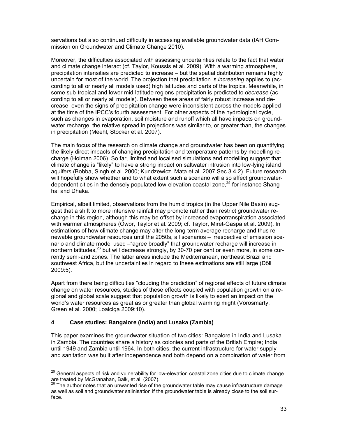servations but also continued difficulty in accessing available groundwater data (IAH Commission on Groundwater and Climate Change 2010).

Moreover, the difficulties associated with assessing uncertainties relate to the fact that water and climate change interact (cf. Taylor, Koussis et al. 2009). With a warming atmosphere, precipitation intensities are predicted to increase – but the spatial distribution remains highly uncertain for most of the world. The projection that precipitation is *increasing* applies to (according to all or nearly all models used) high latitudes and parts of the tropics. Meanwhile, in some sub-tropical and lower mid-latitude regions precipitation is predicted to *decrease* (according to all or nearly all models). Between these areas of fairly robust increase and decrease, even the signs of precipitation change were inconsistent across the models applied at the time of the IPCC's fourth assessment. For other aspects of the hydrological cycle, such as changes in evaporation, soil moisture and runoff which all have impacts on groundwater recharge, the relative spread in projections was similar to, or greater than, the changes in precipitation (Meehl, Stocker et al. 2007).

The main focus of the research on climate change and groundwater has been on quantifying the likely direct impacts of changing precipitation and temperature patterns by modelling recharge (Holman 2006). So far, limited and localised simulations and modelling suggest that climate change is "likely" to have a strong impact on saltwater intrusion into low-lying island aquifers (Bobba, Singh et al. 2000; Kundzewicz, Mata et al. 2007 Sec 3.4.2). Future research will hopefully show whether and to what extent such a scenario will also affect groundwaterdependent cities in the densely populated low-elevation coastal zone, $^{25}$  for instance Shanghai and Dhaka.

Empirical, albeit limited, observations from the humid tropics (in the Upper Nile Basin) suggest that a shift to more intensive rainfall may promote rather than restrict groundwater recharge in this region, although this may be offset by increased evapotranspiration associated with warmer atmospheres (Owor, Taylor et al. 2009; cf. Taylor, Miret-Gaspa et al. 2009). In estimations of how climate change may alter the long-term average recharge and thus renewable groundwater resources until the 2050s, all scenarios – irrespective of emission scenario and climate model used –"agree broadly" that groundwater recharge will increase in northern latitudes,<sup>26</sup> but will decrease strongly, by 30-70 per cent or even more, in some currently semi-arid zones. The latter areas include the Mediterranean, northeast Brazil and southwest Africa, but the uncertainties in regard to these estimations are still large (Döll 2009:5).

Apart from there being difficulties "clouding the prediction" of regional effects of future climate change on water resources, studies of these effects coupled with population growth on a regional and global scale suggest that population growth is likely to exert an impact on the world's water resources as great as or greater than global warming might (Vörösmarty, Green et al. 2000; Loaiciga 2009:10).

### **4 Case studies: Bangalore (India) and Lusaka (Zambia)**

 $\overline{a}$ 

This paper examines the groundwater situation of two cities: Bangalore in India and Lusaka in Zambia. The countries share a history as colonies and parts of the British Empire; India until 1949 and Zambia until 1964. In both cities, the current infrastructure for water supply and sanitation was built after independence and both depend on a combination of water from

 $^{25}$  General aspects of risk and vulnerability for low-elevation coastal zone cities due to climate change are treated by McGranahan, Balk, et al. (2007).

The author notes that an unwanted rise of the groundwater table may cause infrastructure damage as well as soil and groundwater salinisation if the groundwater table is already close to the soil surface.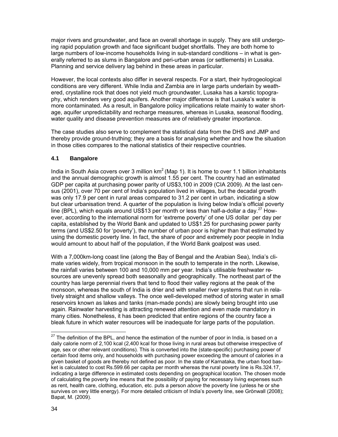major rivers and groundwater, and face an overall shortage in supply. They are still undergoing rapid population growth and face significant budget shortfalls. They are both home to large numbers of low-income households living in sub-standard conditions – in what is generally referred to as slums in Bangalore and peri-urban areas (or settlements) in Lusaka. Planning and service delivery lag behind in these areas in particular.

However, the local contexts also differ in several respects. For a start, their hydrogeological conditions are very different. While India and Zambia are in large parts underlain by weathered, crystalline rock that does not yield much groundwater, Lusaka has a karstic topography, which renders very good aquifers. Another major difference is that Lusaka's water is more contaminated. As a result, in Bangalore policy implications relate mainly to water shortage, aquifer unpredictability and recharge measures, whereas in Lusaka, seasonal flooding, water quality and disease prevention measures are of relatively greater importance.

The case studies also serve to complement the statistical data from the DHS and JMP and thereby provide ground-truthing; they are a basis for analysing whether and how the situation in those cities compares to the national statistics of their respective countries.

# **4.1 Bangalore**

India in South Asia covers over 3 million  $km^2$  (Map 1). It is home to over 1.1 billion inhabitants and the annual demographic growth is almost 1.55 per cent. The country had an estimated GDP per capita at purchasing power parity of US\$3,100 in 2009 (CIA 2009). At the last census (2001), over 70 per cent of India's population lived in villages, but the decadal growth was only 17.9 per cent in rural areas compared to 31.2 per cent in urban, indicating a slow but clear urbanisation trend. A quarter of the population is living below India's official poverty line (BPL), which equals around US\$13 per month or less than half-a-dollar a day.<sup>27</sup> However, according to the international norm for 'extreme poverty' of one US dollar per day per capita, established by the World Bank and updated to US\$1.25 for purchasing power parity terms (and US\$2.50 for 'poverty'), the number of urban poor is higher than that estimated by using the domestic poverty line. In fact, the share of poor and extremely poor people in India would amount to about half of the population, if the World Bank goalpost was used.

With a 7,000km-long coast line (along the Bay of Bengal and the Arabian Sea), India's climate varies widely, from tropical monsoon in the south to temperate in the north. Likewise, the rainfall varies between 100 and 10,000 mm per year. India's utilisable freshwater resources are unevenly spread both seasonally and geographically. The northeast part of the country has large perennial rivers that tend to flood their valley regions at the peak of the monsoon, whereas the south of India is drier and with smaller river systems that run in relatively straight and shallow valleys. The once well-developed method of storing water in small reservoirs known as lakes and tanks (man-made ponds) are slowly being brought into use again. Rainwater harvesting is attracting renewed attention and even made mandatory in many cities. Nonetheless, it has been predicted that entire regions of the country face a bleak future in which water resources will be inadequate for large parts of the population.

 $27$  The definition of the BPL, and hence the estimation of the number of poor in India, is based on a daily calorie norm of 2,100 kcal (2,400 kcal for those living in rural areas but otherwise irrespective of age, sex or other relevant conditions). This is converted into the (state-specific) purchasing power of certain food items only, and households with purchasing power exceeding the amount of calories in a given basket of goods are thereby not defined as poor. In the state of Karnataka, the urban food basket is calculated to cost Rs.599.66 per capita per month whereas the rural poverty line is Rs.324.17, indicating a large difference in estimated costs depending on geographical location. The chosen mode of calculating the poverty line means that the possibility of paying for necessary living expenses such as rent, health care, clothing, education, etc. puts a person *above* the poverty line (unless he or she survives on very little energy). For more detailed criticism of India's poverty line, see Grönwall (2008); Bapat, M. (2009).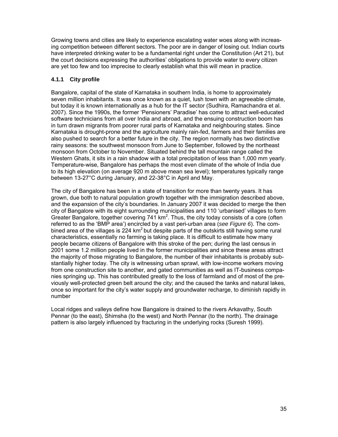Growing towns and cities are likely to experience escalating water woes along with increasing competition between different sectors. The poor are in danger of losing out. Indian courts have interpreted drinking water to be a fundamental right under the Constitution (Art 21), but the court decisions expressing the authorities' obligations to provide water to every citizen are yet too few and too imprecise to clearly establish what this will mean in practice.

## **4.1.1 City profile**

Bangalore, capital of the state of Karnataka in southern India, is home to approximately seven million inhabitants. It was once known as a quiet, lush town with an agreeable climate, but today it is known internationally as a hub for the IT sector (Sudhira, Ramachandra et al. 2007). Since the 1990s, the former 'Pensioners' Paradise' has come to attract well-educated software technicians from all over India and abroad, and the ensuing construction boom has in turn drawn migrants from poorer rural parts of Karnataka and neighbouring states. Since Karnataka is drought-prone and the agriculture mainly rain-fed, farmers and their families are also pushed to search for a better future in the city. The region normally has two distinctive rainy seasons: the southwest monsoon from June to September, followed by the northeast monsoon from October to November. Situated behind the tall mountain range called the Western Ghats, it sits in a rain shadow with a total precipitation of less than 1,000 mm yearly. Temperature-wise, Bangalore has perhaps the most even climate of the whole of India due to its high elevation (on average 920 m above mean sea level); temperatures typically range between 13-27°C during January, and 22-38°C in April and May.

The city of Bangalore has been in a state of transition for more than twenty years. It has grown, due both to natural population growth together with the immigration described above, and the expansion of the city's boundaries. In January 2007 it was decided to merge the then city of Bangalore with its eight surrounding municipalities and 110 'urbanised' villages to form Greater Bangalore, together covering 741 km<sup>2</sup>. Thus, the city today consists of a core (often referred to as the 'BMP area') encircled by a vast peri-urban area (*see Figure 6*). The combined area of the villages is 224  $km^2$  but despite parts of the outskirts still having some rural characteristics, essentially no farming is taking place. It is difficult to estimate how many people became citizens of Bangalore with this stroke of the pen; during the last census in 2001 some 1.2 million people lived in the former municipalities and since these areas attract the majority of those migrating to Bangalore, the number of their inhabitants is probably substantially higher today. The city is witnessing urban sprawl, with low-income workers moving from one construction site to another, and gated communities as well as IT-business companies springing up. This has contributed greatly to the loss of farmland and of most of the previously well-protected green belt around the city; and the caused the tanks and natural lakes, once so important for the city's water supply and groundwater recharge, to diminish rapidly in number

Local ridges and valleys define how Bangalore is drained to the rivers Arkavathy, South Pennar (to the east), Shimsha (to the west) and North Pennar (to the north). The drainage pattern is also largely influenced by fracturing in the underlying rocks (Suresh 1999).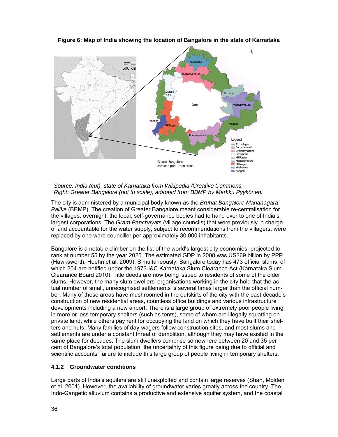

**Figure 6: Map of India showing the location of Bangalore in the state of Karnataka** 

#### *Source: India (cut), state of Karnataka from Wikipedia /Creative Commons. Right: Greater Bangalore (not to scale), adapted from BBMP by Markku Pyykönen.*

The city is administered by a municipal body known as the *Bruhat Bangalore Mahanagara Palike* (BBMP). The creation of Greater Bangalore meant considerable re-centralisation for the villages: overnight, the local, self-governance bodies had to hand over to one of India's largest corporations. The *Gram Panchayats* (village councils) that were previously in charge of and accountable for the water supply, subject to recommendations from the villagers, were replaced by one ward councillor per approximately 30,000 inhabitants.

Bangalore is a notable climber on the list of the world's largest city economies, projected to rank at number 55 by the year 2025. The estimated GDP in 2008 was US\$69 billion by PPP (Hawksworth, Hoehn et al. 2009). Simultaneously, Bangalore today has 473 official slums, of which 204 are notified under the 1973 I&C Karnataka Slum Clearance Act (Karnataka Slum Clearance Board 2010). Title deeds are now being issued to residents of some of the older slums. However, the many slum dwellers' organisations working in the city hold that the actual number of small, unrecognised settlements is several times larger than the official number. Many of these areas have mushroomed in the outskirts of the city with the past decade's construction of new residential areas, countless office buildings and various infrastructure developments including a new airport. There is a large group of extremely poor people living in more or less temporary shelters (such as tents), some of whom are illegally squatting on private land, while others pay rent for occupying the land on which they have built their shelters and huts. Many families of day-wagers follow construction sites, and most slums and settlements are under a constant threat of demolition, although they may have existed in the same place for decades. The slum dwellers comprise somewhere between 20 and 35 per cent of Bangalore's total population, the uncertainty of this figure being due to official and scientific accounts' failure to include this large group of people living in temporary shelters.

### **4.1.2 Groundwater conditions**

Large parts of India's aquifers are still unexploited and contain large reserves (Shah, Molden et al. 2001). However, the availability of groundwater varies greatly across the country. The Indo-Gangetic alluvium contains a productive and extensive aquifer system, and the coastal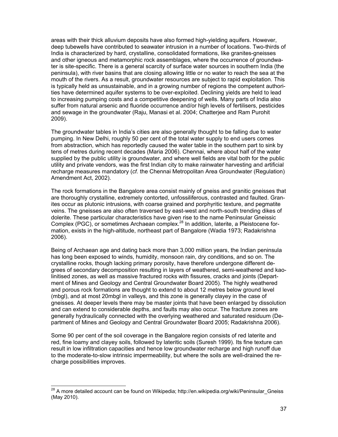areas with their thick alluvium deposits have also formed high-yielding aquifers. However, deep tubewells have contributed to seawater intrusion in a number of locations. Two-thirds of India is characterized by hard, crystalline, consolidated formations, like granites-gneisses and other igneous and metamorphic rock assemblages, where the occurrence of groundwater is site-specific. There is a general scarcity of surface water sources in southern India (the peninsula), with river basins that are closing allowing little or no water to reach the sea at the mouth of the rivers. As a result, groundwater resources are subject to rapid exploitation. This is typically held as unsustainable, and in a growing number of regions the competent authorities have determined aquifer systems to be over-exploited. Declining yields are held to lead to increasing pumping costs and a competitive deepening of wells. Many parts of India also suffer from natural arsenic and fluoride occurrence and/or high levels of fertilisers, pesticides and sewage in the groundwater (Raju, Manasi et al. 2004; Chatterjee and Ram Purohit 2009).

The groundwater tables in India's cities are also generally thought to be falling due to water pumping. In New Delhi, roughly 50 per cent of the total water supply to end users comes from abstraction, which has reportedly caused the water table in the southern part to sink by tens of metres during recent decades (Maria 2006). Chennai, where about half of the water supplied by the public utility is groundwater, and where well fields are vital both for the public utility and private vendors, was the first Indian city to make rainwater harvesting and artificial recharge measures mandatory (*cf.* the Chennai Metropolitan Area Groundwater (Regulation) Amendment Act, 2002).

The rock formations in the Bangalore area consist mainly of gneiss and granitic gneisses that are thoroughly crystalline, extremely contorted, unfossiliferous, contrasted and faulted. Granites occur as plutonic intrusions, with coarse grained and porphyritic texture, and pegmatite veins. The gneisses are also often traversed by east-west and north-south trending dikes of dolerite. These particular characteristics have given rise to the name Peninsular Gneissic Complex (PGC), or sometimes Archaean complex.28 In addition, laterite, a Pleistocene formation, exists in the high-altitude, northeast part of Bangalore (Wadia 1973; Radakrishna 2006).

Being of Archaean age and dating back more than 3,000 million years, the Indian peninsula has long been exposed to winds, humidity, monsoon rain, dry conditions, and so on. The crystalline rocks, though lacking primary porosity, have therefore undergone different degrees of secondary decomposition resulting in layers of weathered, semi-weathered and kaolinitised zones, as well as massive fractured rocks with fissures, cracks and joints (Department of Mines and Geology and Central Groundwater Board 2005). The highly weathered and porous rock formations are thought to extend to about 12 metres below ground level (mbgl), and at most 20mbgl in valleys, and this zone is generally clayey in the case of gneisses. At deeper levels there may be master joints that have been enlarged by dissolution and can extend to considerable depths, and faults may also occur. The fracture zones are generally hydraulically connected with the overlying weathered and saturated residuum (Department of Mines and Geology and Central Groundwater Board 2005; Radakrishna 2006).

Some 90 per cent of the soil coverage in the Bangalore region consists of red laterite and red, fine loamy and clayey soils, followed by lateritic soils (Suresh 1999). Its fine texture can result in low infiltration capacities and hence low groundwater recharge and high runoff due to the moderate-to-slow intrinsic impermeability, but where the soils are well-drained the recharge possibilities improves.

<sup>&</sup>lt;sup>28</sup> A more detailed account can be found on Wikipedia; http://en.wikipedia.org/wiki/Peninsular\_Gneiss (May 2010).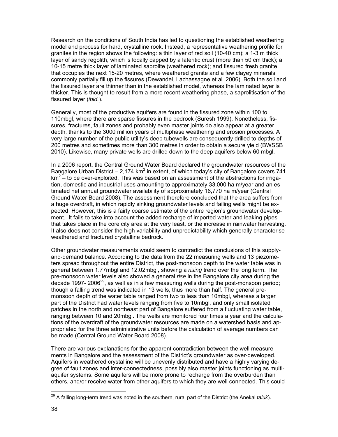Research on the conditions of South India has led to questioning the established weathering model and process for hard, crystalline rock. Instead, a representative weathering profile for granites in the region shows the following: a thin layer of red soil (10-40 cm); a 1-3 m thick layer of sandy regolith, which is locally capped by a lateritic crust (more than 50 cm thick); a 10-15 metre thick layer of laminated saprolite (weathered rock); and fissured fresh granite that occupies the next 15-20 metres, where weathered granite and a few clayey minerals commonly partially fill up the fissures (Dewandel, Lachassagne et al. 2006). Both the soil and the fissured layer are thinner than in the established model, whereas the laminated layer is thicker. This is thought to result from a more recent weathering phase, a saprolitisation of the fissured layer (*ibid.*).

Generally, most of the productive aquifers are found in the fissured zone within 100 to 110mbgl, where there are sparse fissures in the bedrock (Suresh 1999). Nonetheless, fissures, fractures, fault zones and probably even master joints do also appear at a greater depth, thanks to the 3000 million years of multiphase weathering and erosion processes. A very large number of the public utility's deep tubewells are consequently drilled to depths of 200 metres and sometimes more than 300 metres in order to obtain a secure yield (BWSSB 2010). Likewise, many private wells are drilled down to the deep aquifers below 60 mbgl.

In a 2006 report, the Central Ground Water Board declared the groundwater resources of the Bangalore Urban District  $-2,174$  km<sup>2</sup> in extent, of which today's city of Bangalore covers 741 km<sup>2</sup> – to be over-exploited. This was based on an assessment of the abstractions for irrigation, domestic and industrial uses amounting to approximately 33,000 ha m/year and an estimated net annual groundwater availability of approximately 16,770 ha m/year (Central Ground Water Board 2008). The assessment therefore concluded that the area suffers from a huge overdraft, in which rapidly sinking groundwater levels and failing wells might be expected. However, this is a fairly coarse estimate of the entire region's groundwater development. It fails to take into account the added recharge of imported water and leaking pipes that takes place in the core city area at the very least, or the increase in rainwater harvesting. It also does not consider the high variability and unpredictability which generally characterise weathered and fractured crystalline bedrock.

Other groundwater measurements would seem to contradict the conclusions of this supplyand-demand balance. According to the data from the 22 measuring wells and 13 piezometers spread throughout the entire District, the post-monsoon depth to the water table was in general between 1.77mbgl and 12.02mbgl, showing a *rising* trend over the long term. The pre-monsoon water levels also showed a general *rise* in the Bangalore city area during the decade 1997- 2006 $^{29}$ , as well as in a few measuring wells during the post-monsoon period; though a falling trend was indicated in 13 wells, thus more than half. The general premonsoon depth of the water table ranged from two to less than 10mbgl, whereas a larger part of the District had water levels ranging from five to 10mbgl, and only small isolated patches in the north and northeast part of Bangalore suffered from a fluctuating water table, ranging between 10 and 20mbgl. The wells are monitored four times a year and the calculations of the overdraft of the groundwater resources are made on a watershed basis and appropriated for the three administrative units before the calculation of average numbers can be made (Central Ground Water Board 2008).

There are various explanations for the apparent contradiction between the well measurements in Bangalore and the assessment of the District's groundwater as over-developed. Aquifers in weathered crystalline will be unevenly distributed and have a highly varying degree of fault zones and inter-connectedness, possibly also master joints functioning as multiaquifer systems. Some aquifers will be more prone to recharge from the overburden than others, and/or receive water from other aquifers to which they are well connected. This could

l

<sup>29</sup> A falling long-term trend was noted in the southern, rural part of the District (the Anekal *taluk*).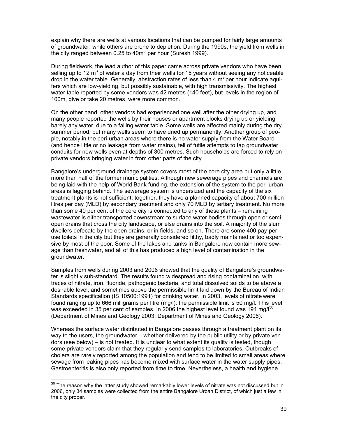explain why there are wells at various locations that can be pumped for fairly large amounts of groundwater, while others are prone to depletion. During the 1990s, the yield from wells in the city ranged between  $0.25$  to  $40m<sup>3</sup>$  per hour (Suresh 1999).

During fieldwork, the lead author of this paper came across private vendors who have been selling up to 12  $m^3$  of water a day from their wells for 15 years without seeing any noticeable drop in the water table. Generally, abstraction rates of less than 4  $m<sup>3</sup>$  per hour indicate aquifers which are low-yielding, but possibly sustainable, with high transmissivity. The highest water table reported by some vendors was 42 metres (140 feet), but levels in the region of 100m, give or take 20 metres, were more common.

On the other hand, other vendors had experienced one well after the other drying up, and many people reported the wells by their houses or apartment blocks drying up or yielding barely any water, due to a falling water table. Some wells are affected mainly during the dry summer period, but many wells seem to have dried up permanently. Another group of people, notably in the peri-urban areas where there is no water supply from the Water Board (and hence little or no leakage from water mains), tell of futile attempts to tap groundwater conduits for new wells even at depths of 300 metres. Such households are forced to rely on private vendors bringing water in from other parts of the city.

Bangalore's underground drainage system covers most of the core city area but only a little more than half of the former municipalities. Although new sewerage pipes and channels are being laid with the help of World Bank funding, the extension of the system to the peri-urban areas is lagging behind. The sewerage system is undersized and the capacity of the six treatment plants is not sufficient; together, they have a planned capacity of about 700 million litres per day (MLD) by secondary treatment and only 70 MLD by tertiary treatment. No more than some 40 per cent of the core city is connected to any of these plants – remaining wastewater is either transported downstream to surface water bodies through open or semiopen drains that cross the city landscape, or else drains into the soil. A majority of the slum dwellers defecate by the open drains, or in fields, and so on. There are some 400 pay-peruse toilets in the city but they are generally considered filthy, badly maintained or too expensive by most of the poor. Some of the lakes and tanks in Bangalore now contain more sewage than freshwater, and all of this has produced a high level of contamination in the groundwater.

Samples from wells during 2003 and 2006 showed that the quality of Bangalore's groundwater is slightly sub-standard. The results found widespread and rising contamination, with traces of nitrate, iron, fluoride, pathogenic bacteria, and total dissolved solids to be above a desirable level, and sometimes above the permissible limit laid down by the Bureau of Indian Standards specification (IS 10500:1991) for drinking water. In 2003, levels of nitrate were found ranging up to 666 milligrams per litre (mg/l); the permissible limit is 50 mg/l. This level was exceeded in 35 per cent of samples. In 2006 the highest level found was 194 mg/l<sup>30</sup> (Department of Mines and Geology 2003; Department of Mines and Geology 2006).

Whereas the surface water distributed in Bangalore passes through a treatment plant on its way to the users, the groundwater – whether delivered by the public utility or by private vendors (see below) – is not treated. It is unclear to what extent its quality is tested, though some private vendors claim that they regularly send samples to laboratories. Outbreaks of cholera are rarely reported among the population and tend to be limited to small areas where sewage from leaking pipes has become mixed with surface water in the water supply pipes. Gastroenteritis is also only reported from time to time. Nevertheless, a health and hygiene

 $30$  The reason why the latter study showed remarkably lower levels of nitrate was not discussed but in 2006, only 34 samples were collected from the entire Bangalore Urban District, of which just a few in the city proper.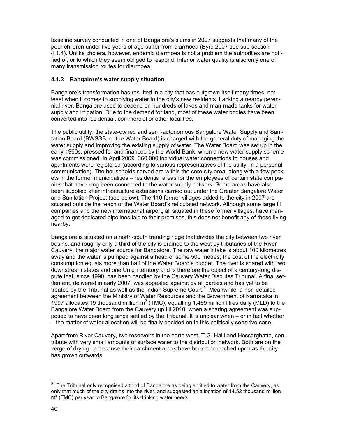baseline survey conducted in one of Bangalore's slums in 2007 suggests that many of the poor children under five years of age suffer from diarrhoea (Byrd 2007 see sub-section 4.1.4). Unlike cholera, however, endemic diarrhoea is not a problem the authorities are notified of, or to which they seem obliged to respond. Inferior water quality is also only one of many transmission routes for diarrhoea.

## **4.1.3 Bangalore's water supply situation**

Bangalore's transformation has resulted in a city that has outgrown itself many times, not least when it comes to supplying water to the city's new residents. Lacking a nearby perennial river, Bangalore used to depend on hundreds of lakes and man-made tanks for water supply and irrigation. Due to the demand for land, most of these water bodies have been converted into residential, commercial or other localities.

The public utility, the state-owned and semi-autonomous Bangalore Water Supply and Sanitation Board (BWSSB, or the Water Board) is charged with the general duty of managing the water supply and improving the existing supply of water. The Water Board was set up in the early 1960s, pressed for and financed by the World Bank, when a new water supply scheme was commissioned. In April 2009, 360,000 individual water connections to houses and apartments were registered (according to various representatives of the utility, in a personal communication). The households served are within the core city area, along with a few pockets in the former municipalities – residential areas for the employees of certain state companies that have long been connected to the water supply network. Some areas have also been supplied after infrastructure extensions carried out under the Greater Bangalore Water and Sanitation Project (see below). The 110 former villages added to the city in 2007 are situated outside the reach of the Water Board's reticulated network. Although some large IT companies and the new international airport, all situated in these former villages, have managed to get dedicated pipelines laid to their premises, this does not benefit any of those living nearby.

Bangalore is situated on a north-south trending ridge that divides the city between two river basins, and roughly only a third of the city is drained to the west by tributaries of the River Cauvery, the major water source for Bangalore. The raw water intake is about 100 kilometres away and the water is pumped against a head of some 500 metres; the cost of the electricity consumption equals more than half of the Water Board's budget. The river is shared with two downstream states and one Union territory and is therefore the object of a century-long dispute that, since 1990, has been handled by the Cauvery Water Disputes Tribunal. A final settlement, delivered in early 2007, was appealed against by all parties and has yet to be treated by the Tribunal as well as the Indian Supreme Court. $3<sup>1</sup>$  Meanwhile, a non-detailed agreement between the Ministry of Water Resources and the Government of Karnataka in 1997 allocates 19 thousand million  $m^3$  (TMC), equalling 1,469 million litres daily (MLD) to the Bangalore Water Board from the Cauvery up till 2010, when a sharing agreement was supposed to have been long since settled by the Tribunal. It is unclear when – or in fact whether – the matter of water allocation will be finally decided on in this politically sensitive case.

Apart from River Cauvery, two reservoirs in the north-west, T.G. Halli and Hessarghatta, contribute with very small amounts of surface water to the distribution network. Both are on the verge of drying up because their catchment areas have been encroached upon as the city has grown outwards.

 $31$  The Tribunal only recognised a third of Bangalore as being entitled to water from the Cauvery, as only that much of the city drains into the river, and suggested an allocation of 14.52 thousand million  $m^2$  (TMC) per year to Bangalore for its drinking water needs.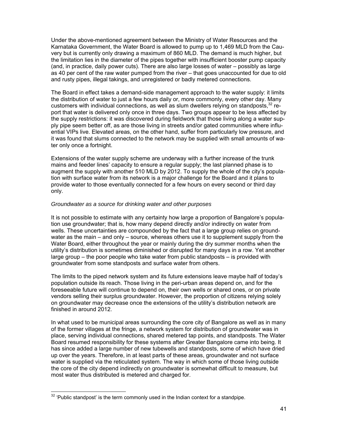Under the above-mentioned agreement between the Ministry of Water Resources and the Karnataka Government, the Water Board is allowed to pump up to 1,469 MLD from the Cauvery but is currently only drawing a maximum of 860 MLD. The demand is much higher, but the limitation lies in the diameter of the pipes together with insufficient booster pump capacity (and, in practice, daily power cuts). There are also large losses of water – possibly as large as 40 per cent of the raw water pumped from the river – that goes unaccounted for due to old and rusty pipes, illegal takings, and unregistered or badly metered connections.

The Board in effect takes a demand-side management approach to the water supply: it limits the distribution of water to just a few hours daily or, more commonly, every other day. Many customers with individual connections, as well as slum dwellers relying on standposts, $32$  report that water is delivered only once in three days. Two groups appear to be less affected by the supply restrictions: it was discovered during fieldwork that those living along a water supply pipe seem better off, as are those living in streets and/or gated communities where influential VIPs live. Elevated areas, on the other hand, suffer from particularly low pressure, and it was found that slums connected to the network may be supplied with small amounts of water only once a fortnight.

Extensions of the water supply scheme are underway with a further increase of the trunk mains and feeder lines' capacity to ensure a regular supply; the last planned phase is to augment the supply with another 510 MLD by 2012. To supply the whole of the city's population with surface water from its network is a major challenge for the Board and it plans to provide water to those eventually connected for a few hours on every second or third day only.

#### *Groundwater as a source for drinking water and other purposes*

It is not possible to estimate with any certainty how large a proportion of Bangalore's population use groundwater; that is, how many depend directly and/or indirectly on water from wells. These uncertainties are compounded by the fact that a large group relies on groundwater as the main – and only – source, whereas others use it to supplement supply from the Water Board, either throughout the year or mainly during the dry summer months when the utility's distribution is sometimes diminished or disrupted for many days in a row. Yet another large group – the poor people who take water from public standposts – is provided with groundwater from some standposts and surface water from others.

The limits to the piped network system and its future extensions leave maybe half of today's population outside its reach. Those living in the peri-urban areas depend on, and for the foreseeable future will continue to depend on, their own wells or shared ones, or on private vendors selling their surplus groundwater. However, the proportion of citizens relying solely on groundwater may decrease once the extensions of the utility's distribution network are finished in around 2012.

In what used to be municipal areas surrounding the core city of Bangalore as well as in many of the former villages at the fringe, a network system for distribution of groundwater was in place, serving individual connections, shared metered tap points, and standposts. The Water Board resumed responsibility for these systems after Greater Bangalore came into being. It has since added a large number of new tubewells and standposts, some of which have dried up over the years. Therefore, in at least parts of these areas, groundwater and not surface water is supplied via the reticulated system. The way in which some of those living outside the core of the city depend indirectly on groundwater is somewhat difficult to measure, but most water thus distributed is metered and charged for.

l

 $32$  'Public standpost' is the term commonly used in the Indian context for a standpipe.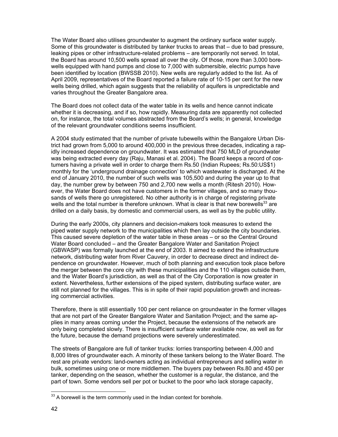The Water Board also utilises groundwater to augment the ordinary surface water supply. Some of this groundwater is distributed by tanker trucks to areas that – due to bad pressure, leaking pipes or other infrastructure-related problems – are temporarily not served. In total, the Board has around 10,500 wells spread all over the city. Of those, more than 3,000 borewells equipped with hand pumps and close to 7,000 with submersible, electric pumps have been identified by location (BWSSB 2010). New wells are regularly added to the list. As of April 2009, representatives of the Board reported a failure rate of 10-15 per cent for the new wells being drilled, which again suggests that the reliability of aquifers is unpredictable and varies throughout the Greater Bangalore area.

The Board does not collect data of the water table in its wells and hence cannot indicate whether it is decreasing, and if so, how rapidly. Measuring data are apparently not collected on, for instance, the total volumes abstracted from the Board's wells; in general, knowledge of the relevant groundwater conditions seems insufficient.

A 2004 study estimated that the number of private tubewells within the Bangalore Urban District had grown from 5,000 to around 400,000 in the previous three decades, indicating a rapidly increased dependence on groundwater. It was estimated that 750 MLD of groundwater was being extracted every day (Raju, Manasi et al. 2004). The Board keeps a record of costumers having a private well in order to charge them Rs.50 (Indian Rupees; Rs.50:US\$1) monthly for the 'underground drainage connection' to which wastewater is discharged. At the end of January 2010, the number of such wells was 105,500 and during the year up to that day, the number grew by between 750 and 2,700 new wells a month (Ritesh 2010). However, the Water Board does not have customers in the former villages, and so many thousands of wells there go unregistered. No other authority is in charge of registering private wells and the total number is therefore unknown. What is clear is that new borewells $^{33}$  are drilled on a daily basis, by domestic and commercial users, as well as by the public utility.

During the early 2000s, city planners and decision-makers took measures to extend the piped water supply network to the municipalities which then lay outside the city boundaries. This caused severe depletion of the water table in these areas – or so the Central Ground Water Board concluded – and the Greater Bangalore Water and Sanitation Project (GBWASP) was formally launched at the end of 2003. It aimed to extend the infrastructure network, distributing water from River Cauvery, in order to decrease direct and indirect dependence on groundwater. However, much of both planning and execution took place before the merger between the core city with these municipalities and the 110 villages outside them, and the Water Board's jurisdiction, as well as that of the City Corporation is now greater in extent. Nevertheless, further extensions of the piped system, distributing surface water, are still not planned for the villages. This is in spite of their rapid population growth and increasing commercial activities.

Therefore, there is still essentially 100 per cent reliance on groundwater in the former villages that are not part of the Greater Bangalore Water and Sanitation Project; and the same applies in many areas coming under the Project, because the extensions of the network are only being completed slowly. There is insufficient surface water available now, as well as for the future, because the demand projections were severely underestimated.

The streets of Bangalore are full of tanker trucks: lorries transporting between 4,000 and 8,000 litres of groundwater each. A minority of these tankers belong to the Water Board. The rest are private vendors: land-owners acting as individual entrepreneurs and selling water in bulk, sometimes using one or more middlemen. The buyers pay between Rs.80 and 450 per tanker, depending on the season, whether the customer is a regular, the distance, and the part of town. Some vendors sell per pot or bucket to the poor who lack storage capacity,

l

 $33$  A borewell is the term commonly used in the Indian context for borehole.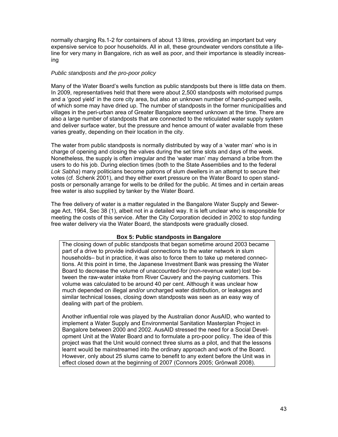normally charging Rs.1-2 for containers of about 13 litres, providing an important but very expensive service to poor households. All in all, these groundwater vendors constitute a lifeline for very many in Bangalore, rich as well as poor, and their importance is steadily increasing

## *Public standposts and the pro-poor policy*

Many of the Water Board's wells function as public standposts but there is little data on them. In 2009, representatives held that there were about 2,500 standposts with motorised pumps and a 'good yield' in the core city area, but also an unknown number of hand-pumped wells, of which some may have dried up. The number of standposts in the former municipalities and villages in the peri-urban area of Greater Bangalore seemed unknown at the time. There are also a large number of standposts that are connected to the reticulated water supply system and deliver surface water, but the pressure and hence amount of water available from these varies greatly, depending on their location in the city.

The water from public standposts is normally distributed by way of a 'water man' who is in charge of opening and closing the valves during the set time slots and days of the week. Nonetheless, the supply is often irregular and the 'water man' may demand a bribe from the users to do his job. During election times (both to the State Assemblies and to the federal *Lok Sabha*) many politicians become patrons of slum dwellers in an attempt to secure their votes (cf. Schenk 2001), and they either exert pressure on the Water Board to open standposts or personally arrange for wells to be drilled for the public. At times and in certain areas free water is also supplied by tanker by the Water Board.

The free delivery of water is a matter regulated in the Bangalore Water Supply and Sewerage Act, 1964, Sec 38 (1), albeit not in a detailed way. It is left unclear who is responsible for meeting the costs of this service. After the City Corporation decided in 2002 to stop funding free water delivery via the Water Board, the standposts were gradually closed.

### **Box 5: Public standposts in Bangalore**

The closing down of public standposts that began sometime around 2003 became part of a drive to provide individual connections to the water network in slum households– but in practice, it was also to force them to take up metered connections. At this point in time, the Japanese Investment Bank was pressing the Water Board to decrease the volume of unaccounted-for (non-revenue water) lost between the raw-water intake from River Cauvery and the paying customers. This volume was calculated to be around 40 per cent. Although it was unclear how much depended on illegal and/or uncharged water distribution, or leakages and similar technical losses, closing down standposts was seen as an easy way of dealing with part of the problem.

Another influential role was played by the Australian donor AusAID, who wanted to implement a Water Supply and Environmental Sanitation Masterplan Project in Bangalore between 2000 and 2002. AusAID stressed the need for a Social Development Unit at the Water Board and to formulate a pro-poor policy. The idea of this project was that the Unit would connect three slums as a pilot, and that the lessons learnt would be mainstreamed into the ordinary approach and work of the Board. However, only about 25 slums came to benefit to any extent before the Unit was in effect closed down at the beginning of 2007 (Connors 2005; Grönwall 2008).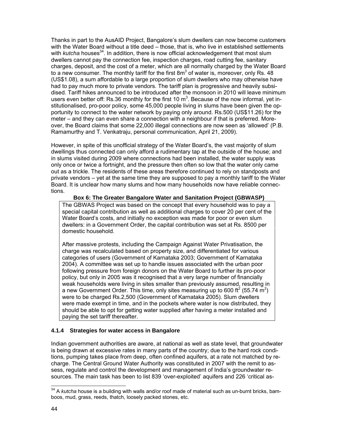Thanks in part to the AusAID Project, Bangalore's slum dwellers can now become customers with the Water Board without a title deed – those, that is, who live in established settlements with *kutcha* houses<sup>34</sup>. In addition, there is now official acknowledgement that most slum dwellers cannot pay the connection fee, inspection charges, road cutting fee, sanitary charges, deposit, and the cost of a meter, which are all normally charged by the Water Board to a new consumer. The monthly tariff for the first  $8m<sup>3</sup>$  of water is, moreover, only Rs. 48 (US\$1.08), a sum affordable to a large proportion of slum dwellers who may otherwise have had to pay much more to private vendors. The tariff plan is progressive and heavily subsidised. Tariff hikes announced to be introduced after the monsoon in 2010 will leave minimum users even better off: Rs.36 monthly for the first 10  $m^3$ . Because of the now informal, yet institutionalised, pro-poor policy, some 45,000 people living in slums have been given the opportunity to connect to the water network by paying only around. Rs.500 (US\$11.26) for the meter – and they can even share a connection with a neighbour if that is preferred. Moreover, the Board claims that some 22,000 illegal connections are now seen as 'allowed' (P.B. Ramamurthy and T. Venkatraju, personal communication, April 21, 2009).

However, in spite of this unofficial strategy of the Water Board's, the vast majority of slum dwellings thus connected can only afford a rudimentary tap at the outside of the house; and in slums visited during 2009 where connections had been installed, the water supply was only once or twice a fortnight, and the pressure then often so low that the water only came out as a trickle. The residents of these areas therefore continued to rely on standposts and private vendors – yet at the same time they are supposed to pay a monthly tariff to the Water Board. It is unclear how many slums and how many households now have reliable connections.

### **Box 6: The Greater Bangalore Water and Sanitation Project (GBWASP)**

The GBWAS Project was based on the concept that every household was to pay a special capital contribution as well as additional charges to cover 20 per cent of the Water Board's costs, and initially no exception was made for poor or even slum dwellers: in a Government Order, the capital contribution was set at Rs. 8500 per domestic household.

After massive protests, including the Campaign Against Water Privatisation, the charge was recalculated based on property size, and differentiated for various categories of users (Government of Karnataka 2003; Government of Karnataka 2004). A committee was set up to handle issues associated with the urban poor following pressure from foreign donors on the Water Board to further its pro-poor policy, but only in 2005 was it recognised that a very large number of financially weak households were living in sites smaller than previously assumed, resulting in a new Government Order. This time, only sites measuring up to 600 ft<sup>2</sup> (55.74 m<sup>2</sup>) were to be charged Rs.2,500 (Government of Karnataka 2005). Slum dwellers were made exempt in time, and in the pockets where water is now distributed, they should be able to opt for getting water supplied after having a meter installed and paying the set tariff thereafter.

### **4.1.4 Strategies for water access in Bangalore**

Indian government authorities are aware, at national as well as state level, that groundwater is being drawn at excessive rates in many parts of the country; due to the hard rock conditions, pumping takes place from deep, often confined aquifers, at a rate not matched by recharge. The Central Ground Water Authority was constituted in 2007 with the remit to assess, regulate and control the development and management of India's groundwater resources. The main task has been to list 839 'over-exploited' aquifers and 226 'critical as-

 $\overline{a}$ <sup>34</sup> A *kutcha* house is a building with walls and/or roof made of material such as un-burnt bricks, bamboos, mud, grass, reeds, thatch, loosely packed stones, etc.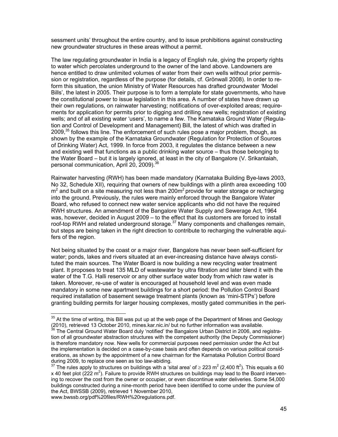sessment units' throughout the entire country, and to issue prohibitions against constructing new groundwater structures in these areas without a permit.

The law regulating groundwater in India is a legacy of English rule, giving the property rights to water which percolates underground to the owner of the land above. Landowners are hence entitled to draw unlimited volumes of water from their own wells without prior permission or registration, regardless of the purpose (for details, cf. Grönwall 2008). In order to reform this situation, the union Ministry of Water Resources has drafted groundwater 'Model Bills', the latest in 2005. Their purpose is to form a template for state governments, who have the constitutional power to issue legislation in this area. A number of states have drawn up their own regulations, on rainwater harvesting; notifications of over-exploited areas; requirements for application for permits prior to digging and drilling new wells; registration of existing wells; and of all existing water 'users', to name a few. The Karnataka Ground Water (Regulation and Control of Development and Management) Bill, the latest of which was drafted in  $2009<sup>35</sup>$  follows this line. The enforcement of such rules pose a major problem, though, as shown by the example of the Karnataka Groundwater (Regulation for Protection of Sources of Drinking Water) Act, 1999. In force from 2003, it regulates the distance between a new and existing well that functions as a public drinking water source – thus those belonging to the Water Board – but it is largely ignored, at least in the city of Bangalore (V. Srikantaiah, personal communication, April 20, 2009).<sup>36</sup>

Rainwater harvesting (RWH) has been made mandatory (Karnataka Building Bye-laws 2003, No 32, Schedule XII), requiring that owners of new buildings with a plinth area exceeding 100  $m<sup>2</sup>$  and built on a site measuring not less than 200 $m<sup>2</sup>$  provide for water storage or recharging into the ground. Previously, the rules were mainly enforced through the Bangalore Water Board, who refused to connect new water service applicants who did not have the required RWH structures. An amendment of the Bangalore Water Supply and Sewerage Act, 1964 was, however, decided in August 2009 – to the effect that its customers are forced to install roof-top RWH and related underground storage.<sup>37</sup> Many components and challenges remain, but steps are being taken in the right direction to contribute to recharging the vulnerable aquifers of the region.

Not being situated by the coast or a major river, Bangalore has never been self-sufficient for water; ponds, lakes and rivers situated at an ever-increasing distance have always constituted the main sources. The Water Board is now building a new recycling water treatment plant. It proposes to treat 135 MLD of wastewater by ultra filtration and later blend it with the water of the T.G. Halli reservoir or any other surface water body from which raw water is taken. Moreover, re-use of water is encouraged at household level and was even made mandatory in some new apartment buildings for a short period: the Pollution Control Board required installation of basement sewage treatment plants (known as 'mini-STPs') before granting building permits for larger housing complexes, mostly gated communities in the peri-

www.bwssb.org/pdf%20files/RWH%20regulations.pdf.

l

 $35$  At the time of writing, this Bill was put up at the web page of the Department of Mines and Geology (2010), retrieved 13 October 2010, mines.kar.nic.in/ but no further information was available.

The Central Ground Water Board duly 'notified' the Bangalore Urban District in 2006, and registration of all groundwater abstraction structures with the competent authority (the Deputy Commissioner) is therefore mandatory now. New wells for commercial purposes need permission under the Act but the implementation is decided on a case-by-case basis and often depends on various political considerations, as shown by the appointment of a new chairman for the Karnataka Pollution Control Board during 2009, to replace one seen as too law-abiding.

<sup>&</sup>lt;sup>37</sup> The rules apply to structures on buildings with a 'sital area' of ≥ 223 m<sup>2</sup> (2,400 ft<sup>2</sup>). This equals a 60 x 40 feet plot (222 m<sup>2</sup>). Failure to provide RWH structures on buildings may lead to the Board intervening to recover the cost from the owner or occupier, or even discontinue water deliveries. Some 54,000 buildings constructed during a nine-month period have been identified to come under the purview of the Act, BWSSB (2009), retrieved 1 November 2010,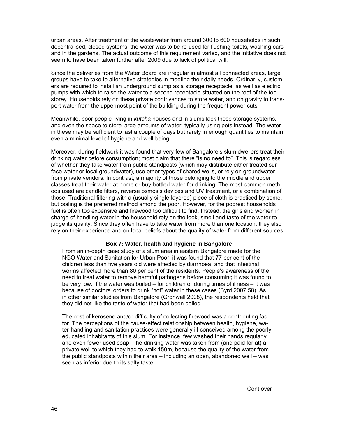urban areas. After treatment of the wastewater from around 300 to 600 households in such decentralised, closed systems, the water was to be re-used for flushing toilets, washing cars and in the gardens. The actual outcome of this requirement varied, and the initiative does not seem to have been taken further after 2009 due to lack of political will.

Since the deliveries from the Water Board are irregular in almost all connected areas, large groups have to take to alternative strategies in meeting their daily needs. Ordinarily, customers are required to install an underground sump as a storage receptacle, as well as electric pumps with which to raise the water to a second receptacle situated on the roof of the top storey. Households rely on these private contrivances to store water, and on gravity to transport water from the uppermost point of the building during the frequent power cuts.

Meanwhile, poor people living in *kutcha* houses and in slums lack these storage systems, and even the space to store large amounts of water, typically using pots instead. The water in these may be sufficient to last a couple of days but rarely in enough quantities to maintain even a minimal level of hygiene and well-being.

Moreover, during fieldwork it was found that very few of Bangalore's slum dwellers treat their drinking water before consumption; most claim that there "is no need to". This is regardless of whether they take water from public standposts (which may distribute either treated surface water or local groundwater), use other types of shared wells, or rely on groundwater from private vendors. In contrast, a majority of those belonging to the middle and upper classes treat their water at home or buy bottled water for drinking. The most common methods used are candle filters, reverse osmosis devices and UV treatment, or a combination of those. Traditional filtering with a (usually single-layered) piece of cloth is practiced by some, but boiling is the preferred method among the poor. However, for the poorest households fuel is often too expensive and firewood too difficult to find. Instead, the girls and women in charge of handling water in the household rely on the look, smell and taste of the water to judge its quality. Since they often have to take water from more than one location, they also rely on their experience and on local beliefs about the quality of water from different sources.

#### **Box 7: Water, health and hygiene in Bangalore**

From an in-depth case study of a slum area in eastern Bangalore made for the NGO Water and Sanitation for Urban Poor, it was found that 77 per cent of the children less than five years old were affected by diarrhoea, and that intestinal worms affected more than 80 per cent of the residents. People's awareness of the need to treat water to remove harmful pathogens before consuming it was found to be very low. If the water was boiled – for children or during times of illness – it was because of doctors' orders to drink "hot" water in these cases (Byrd 2007:58). As in other similar studies from Bangalore (Grönwall 2008), the respondents held that they did not like the taste of water that had been boiled.

The cost of kerosene and/or difficulty of collecting firewood was a contributing factor. The perceptions of the cause-effect relationship between health, hygiene, water-handling and sanitation practices were generally ill-conceived among the poorly educated inhabitants of this slum. For instance, few washed their hands regularly and even fewer used soap. The drinking water was taken from (and paid for at) a private well to which they had to walk 150m, because the quality of the water from the public standposts within their area – including an open, abandoned well – was seen as inferior due to its salty taste.

Cont over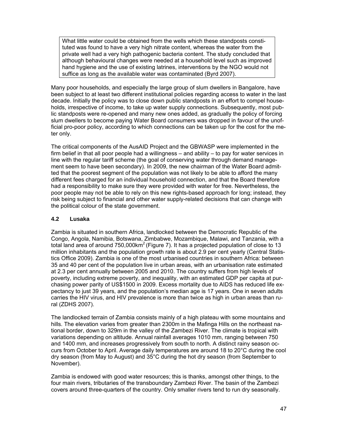What little water could be obtained from the wells which these standposts constituted was found to have a very high nitrate content, whereas the water from the private well had a very high pathogenic bacteria content. The study concluded that although behavioural changes were needed at a household level such as improved hand hygiene and the use of existing latrines, interventions by the NGO would not suffice as long as the available water was contaminated (Byrd 2007).

Many poor households, and especially the large group of slum dwellers in Bangalore, have been subject to at least two different institutional policies regarding access to water in the last decade. Initially the policy was to close down public standposts in an effort to compel households, irrespective of income, to take up water supply connections. Subsequently, most public standposts were re-opened and many new ones added, as gradually the policy of forcing slum dwellers to become paying Water Board consumers was dropped in favour of the unofficial pro-poor policy, according to which connections can be taken up for the cost for the meter only.

The critical components of the AusAID Project and the GBWASP were implemented in the firm belief in that all poor people had a willingness – and ability – to pay for water services in line with the regular tariff scheme (the goal of conserving water through demand management seem to have been secondary). In 2009, the new chairman of the Water Board admitted that the poorest segment of the population was not likely to be able to afford the many different fees charged for an individual household connection, and that the Board therefore had a responsibility to make sure they were provided with water for free. Nevertheless, the poor people may not be able to rely on this new rights-based approach for long; instead, they risk being subject to financial and other water supply-related decisions that can change with the political colour of the state government.

# **4.2 Lusaka**

Zambia is situated in southern Africa, landlocked between the Democratic Republic of the Congo, Angola, Namibia, Botswana, Zimbabwe, Mozambique, Malawi, and Tanzania, with a total land area of around  $750,000 \text{km}^2$  (Figure 7). It has a projected population of close to 13 million inhabitants and the population growth rate is about 2.9 per cent yearly (Central Statistics Office 2009). Zambia is one of the most urbanised countries in southern Africa: between 35 and 40 per cent of the population live in urban areas, with an urbanisation rate estimated at 2.3 per cent annually between 2005 and 2010. The country suffers from high levels of poverty, including extreme poverty, and inequality, with an estimated GDP per capita at purchasing power parity of US\$1500 in 2009. Excess mortality due to AIDS has reduced life expectancy to just 39 years, and the population's median age is 17 years. One in seven adults carries the HIV virus, and HIV prevalence is more than twice as high in urban areas than rural (ZDHS 2007).

The landlocked terrain of Zambia consists mainly of a high plateau with some mountains and hills. The elevation varies from greater than 2300m in the Mafinga Hills on the northeast national border, down to 329m in the valley of the Zambezi River. The climate is tropical with variations depending on altitude. Annual rainfall averages 1010 mm, ranging between 750 and 1400 mm, and increases progressively from south to north. A distinct rainy season occurs from October to April. Average daily temperatures are around 18 to 20°C during the cool dry season (from May to August) and 35°C during the hot dry season (from September to November).

Zambia is endowed with good water resources; this is thanks, amongst other things, to the four main rivers, tributaries of the transboundary Zambezi River. The basin of the Zambezi covers around three-quarters of the country. Only smaller rivers tend to run dry seasonally.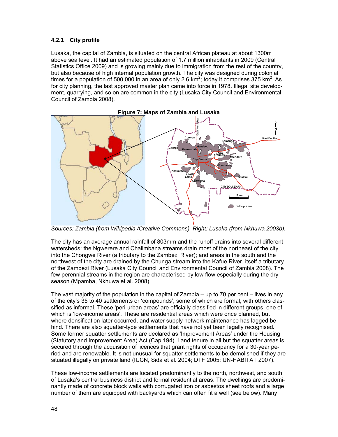# **4.2.1 City profile**

Lusaka, the capital of Zambia, is situated on the central African plateau at about 1300m above sea level. It had an estimated population of 1.7 million inhabitants in 2009 (Central Statistics Office 2009) and is growing mainly due to immigration from the rest of the country, but also because of high internal population growth. The city was designed during colonial times for a population of 500,000 in an area of only 2.6 km<sup>2</sup>; today it comprises 375 km<sup>2</sup>. As for city planning, the last approved master plan came into force in 1978. Illegal site development, quarrying, and so on are common in the city (Lusaka City Council and Environmental Council of Zambia 2008).





*Sources: Zambia (from Wikipedia /Creative Commons). Right: Lusaka (from Nkhuwa 2003b).* 

The city has an average annual rainfall of 803mm and the runoff drains into several different watersheds: the Ngwerere and Chalimbana streams drain most of the northeast of the city into the Chongwe River (a tributary to the Zambezi River); and areas in the south and the northwest of the city are drained by the Chunga stream into the Kafue River, itself a tributary of the Zambezi River (Lusaka City Council and Environmental Council of Zambia 2008). The few perennial streams in the region are characterised by low flow especially during the dry season (Mpamba, Nkhuwa et al. 2008).

The vast majority of the population in the capital of Zambia – up to 70 per cent – lives in any of the city's 35 to 40 settlements or 'compounds', some of which are formal, with others classified as informal. These 'peri-urban areas' are officially classified in different groups, one of which is 'low-income areas'. These are residential areas which were once planned, but where densification later occurred, and water supply network maintenance has lagged behind. There are also squatter-type settlements that have not yet been legally recognised*.*  Some former squatter settlements are declared as 'Improvement Areas' under the Housing (Statutory and Improvement Area) Act (Cap 194). Land tenure in all but the squatter areas is secured through the acquisition of licences that grant rights of occupancy for a 30-year period and are renewable. It is not unusual for squatter settlements to be demolished if they are situated illegally on private land (IUCN, Sida et al. 2004; DTF 2005; UN-HABITAT 2007).

These low-income settlements are located predominantly to the north, northwest, and south of Lusaka's central business district and formal residential areas. The dwellings are predominantly made of concrete block walls with corrugated iron or asbestos sheet roofs and a large number of them are equipped with backyards which can often fit a well (see below). Many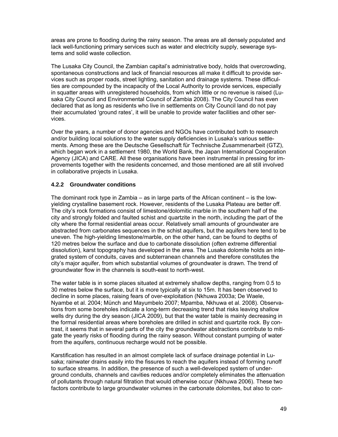areas are prone to flooding during the rainy season. The areas are all densely populated and lack well-functioning primary services such as water and electricity supply, sewerage systems and solid waste collection.

The Lusaka City Council, the Zambian capital's administrative body, holds that overcrowding, spontaneous constructions and lack of financial resources all make it difficult to provide services such as proper roads, street lighting, sanitation and drainage systems. These difficulties are compounded by the incapacity of the Local Authority to provide services, especially in squatter areas with unregistered households, from which little or no revenue is raised (Lusaka City Council and Environmental Council of Zambia 2008). The City Council has even declared that as long as residents who live in settlements on City Council land do not pay their accumulated 'ground rates', it will be unable to provide water facilities and other services.

Over the years, a number of donor agencies and NGOs have contributed both to research and/or building local solutions to the water supply deficiencies in Lusaka's various settlements. Among these are the Deutsche Gesellschaft für Technische Zusammenarbeit (GTZ), which began work in a settlement 1980, the World Bank, the Japan International Cooperation Agency (JICA) and CARE. All these organisations have been instrumental in pressing for improvements together with the residents concerned, and those mentioned are all still involved in collaborative projects in Lusaka.

## **4.2.2 Groundwater conditions**

The dominant rock type in Zambia – as in large parts of the African continent – is the lowyielding crystalline basement rock. However, residents of the Lusaka Plateau are better off. The city's rock formations consist of limestone/dolomitic marble in the southern half of the city and strongly folded and faulted schist and quartzite in the north, including the part of the city where the formal residential areas occur. Relatively small amounts of groundwater are abstracted from carbonates sequences in the schist aquifers, but the aquifers here tend to be uneven. The high-yielding limestone/marble, on the other hand, can be found to depths of 120 metres below the surface and due to carbonate dissolution (often extreme differential dissolution), karst topography has developed in the area. The Lusaka dolomite holds an integrated system of conduits, caves and subterranean channels and therefore constitutes the city's major aquifer, from which substantial volumes of groundwater is drawn. The trend of groundwater flow in the channels is south-east to north-west.

The water table is in some places situated at extremely shallow depths, ranging from 0.5 to 30 metres below the surface, but it is more typically at six to 15m. It has been observed to decline in some places, raising fears of over-exploitation (Nkhuwa 2003a; De Waele, Nyambe et al. 2004; Münch and Mayumbelo 2007; Mpamba, Nkhuwa et al. 2008). Observations from some boreholes indicate a long-term decreasing trend that risks leaving shallow wells dry during the dry season (JICA 2009), but that the water table is mainly decreasing in the formal residential areas where boreholes are drilled in schist and quartzite rock. By contrast, it seems that in several parts of the city the groundwater abstractions contribute to mitigate the yearly risks of flooding during the rainy season. Without constant pumping of water from the aquifers, continuous recharge would not be possible.

Karstification has resulted in an almost complete lack of surface drainage potential in Lusaka; rainwater drains easily into the fissures to reach the aquifers instead of forming runoff to surface streams. In addition, the presence of such a well-developed system of underground conduits, channels and cavities reduces and/or completely eliminates the attenuation of pollutants through natural filtration that would otherwise occur (Nkhuwa 2006). These two factors contribute to large groundwater volumes in the carbonate dolomites, but also to con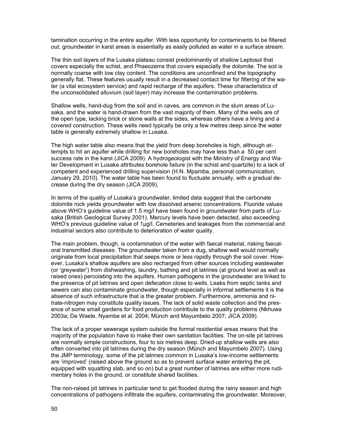tamination occurring in the entire aquifer. With less opportunity for contaminants to be filtered out, groundwater in karst areas is essentially as easily polluted as water in a surface stream.

The thin soil layers of the Lusaka plateau consist predominantly of shallow Leptosol that covers especially the schist, and Phaeozems that covers especially the dolomite. The soil is normally coarse with low clay content. The conditions are unconfined and the topography generally flat. These features usually result in a decreased contact time for filtering of the water (a vital ecosystem service) and rapid recharge of the aquifers. These characteristics of the unconsolidated alluvium (soil layer) may increase the contamination problems.

Shallow wells, hand-dug from the soil and in caves, are common in the slum areas of Lusaka, and the water is hand-drawn from the vast majority of them. Many of the wells are of the open type, lacking brick or stone walls at the sides, whereas others have a lining and a covered construction. These wells need typically be only a few metres deep since the water table is generally extremely shallow in Lusaka.

The high water table also means that the yield from deep boreholes is high, although attempts to hit an aquifer while drilling for new boreholes may have less than a 50 per cent success rate in the karst (JICA 2009). A hydrogeologist with the Ministry of Energy and Water Development in Lusaka attributes borehole failure (in the schist and quartzite) to a lack of competent and experienced drilling supervision (H.N. Mpamba, personal communication, January 29, 2010). The water table has been found to fluctuate annually, with a gradual decrease during the dry season (JICA 2009).

In terms of the quality of Lusaka's groundwater, limited data suggest that the carbonate dolomite rock yields groundwater with low dissolved arsenic concentrations. Fluoride values above WHO's guideline value of 1.5 mg/l have been found in groundwater from parts of Lusaka (British Geological Survey 2001). Mercury levels have been detected, also exceeding WHO's previous guideline value of 1µg/l. Cemeteries and leakages from the commercial and industrial sectors also contribute to deterioration of water quality.

The main problem, though, is contamination of the water with faecal material, risking faecaloral transmitted diseases. The groundwater taken from a dug, shallow well would normally originate from local precipitation that seeps more or less rapidly through the soil cover. However, Lusaka's shallow aquifers are also recharged from other sources including wastewater (or 'greywater') from dishwashing, laundry, bathing and pit latrines (at ground level as well as raised ones) percolating into the aquifers. Human pathogens in the groundwater are linked to the presence of pit latrines and open defecation close to wells. Leaks from septic tanks and sewers can also contaminate groundwater, though especially in informal settlements it is the absence of such infrastructure that is the greater problem. Furthermore, ammonia and nitrate-nitrogen may constitute quality issues. The lack of solid waste collection and the presence of some small gardens for food production contribute to the quality problems (Nkhuwa 2003a; De Waele, Nyambe et al. 2004; Münch and Mayumbelo 2007; JICA 2009).

The lack of a proper sewerage system outside the formal residential areas means that the majority of the population have to make their own sanitation facilities. The on-site pit latrines are normally simple constructions, four to six metres deep. Dried-up shallow wells are also often converted into pit latrines during the dry season (Münch and Mayumbelo 2007). Using the JMP terminology, some of the pit latrines common in Lusaka's low-income settlements are 'improved' (raised above the ground so as to prevent surface water entering the pit, equipped with squatting slab, and so on) but a great number of latrines are either more rudimentary holes in the ground, or constitute shared facilities.

The non-raised pit latrines in particular tend to get flooded during the rainy season and high concentrations of pathogens infiltrate the aquifers, contaminating the groundwater. Moreover,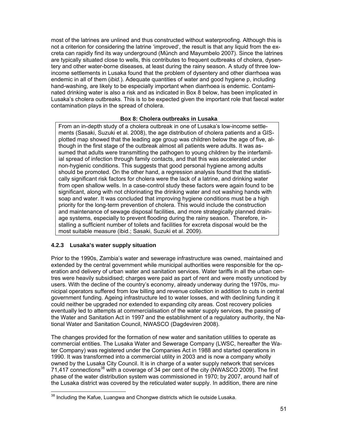most of the latrines are unlined and thus constructed without waterproofing. Although this is not a criterion for considering the latrine 'improved', the result is that any liquid from the excreta can rapidly find its way underground (Münch and Mayumbelo 2007). Since the latrines are typically situated close to wells, this contributes to frequent outbreaks of cholera, dysentery and other water-borne diseases, at least during the rainy season. A study of three lowincome settlements in Lusaka found that the problem of dysentery and other diarrhoea was endemic in all of them (*ibid.*). Adequate quantities of water and good hygiene p, including hand-washing, are likely to be especially important when diarrhoea is endemic. Contaminated drinking water is also a risk and as indicated in Box 8 below, has been implicated in Lusaka's cholera outbreaks. This is to be expected given the important role that faecal water contamination plays in the spread of cholera.

## **Box 8: Cholera outbreaks in Lusaka**

From an in-depth study of a cholera outbreak in one of Lusaka's low-income settlements (Sasaki, Suzuki et al. 2008), the age distribution of cholera patients and a GISplotted map showed that the leading age group was children below the age of five, although in the first stage of the outbreak almost all patients were adults. It was assumed that adults were transmitting the pathogen to young children by the interfamilial spread of infection through family contacts, and that this was accelerated under non-hygienic conditions. This suggests that good personal hygiene among adults should be promoted. On the other hand, a regression analysis found that the statistically significant risk factors for cholera were the lack of a latrine, and drinking water from open shallow wells. In a case-control study these factors were again found to be significant, along with not chlorinating the drinking water and not washing hands with soap and water. It was concluded that improving hygiene conditions must be a high priority for the long-term prevention of cholera. This would include the construction and maintenance of sewage disposal facilities, and more strategically planned drainage systems, especially to prevent flooding during the rainy season. Therefore, installing a sufficient number of toilets and facilities for excreta disposal would be the most suitable measure (ibid.; Sasaki, Suzuki et al. 2009).

# **4.2.3 Lusaka's water supply situation**

Prior to the 1990s, Zambia's water and sewerage infrastructure was owned, maintained and extended by the central government while municipal authorities were responsible for the operation and delivery of urban water and sanitation services. Water tariffs in all the urban centres were heavily subsidised; charges were paid as part of rent and were mostly unnoticed by users. With the decline of the country's economy, already underway during the 1970s, municipal operators suffered from low billing and revenue collection in addition to cuts in central government funding. Ageing infrastructure led to water losses, and with declining funding it could neither be upgraded nor extended to expanding city areas. Cost recovery policies eventually led to attempts at commercialisation of the water supply services, the passing of the Water and Sanitation Act in 1997 and the establishment of a regulatory authority, the National Water and Sanitation Council, NWASCO (Dagdeviren 2008).

The changes provided for the formation of new water and sanitation utilities to operate as commercial entities. The Lusaka Water and Sewerage Company (LWSC, hereafter the Water Company) was registered under the Companies Act in 1988 and started operations in 1990. It was transformed into a commercial utility in 2003 and is now a company wholly owned by the Lusaka City Council. It is in charge of a water supply network that services 71,417 connections<sup>38</sup> with a coverage of 34 per cent of the city (NWASCO 2009). The first phase of the water distribution system was commissioned in 1970; by 2007, around half of the Lusaka district was covered by the reticulated water supply. In addition, there are nine

l  $38$  Including the Kafue, Luangwa and Chongwe districts which lie outside Lusaka.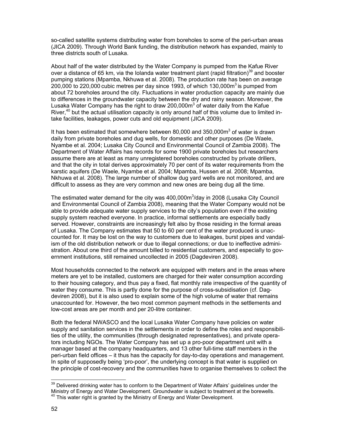so-called satellite systems distributing water from boreholes to some of the peri-urban areas (JICA 2009). Through World Bank funding, the distribution network has expanded, mainly to three districts south of Lusaka.

About half of the water distributed by the Water Company is pumped from the Kafue River over a distance of 65 km, via the Iolanda water treatment plant (rapid filtration) $39$  and booster pumping stations (Mpamba, Nkhuwa et al. 2008). The production rate has been on average 200,000 to 220,000 cubic metres per day since 1993, of which 130,000 $m<sup>3</sup>$  is pumped from about 72 boreholes around the city. Fluctuations in water production capacity are mainly due to differences in the groundwater capacity between the dry and rainy season. Moreover, the Lusaka Water Company has the right to draw 200,000m<sup>3</sup> of water daily from the Kafue River, $40$  but the actual utilisation capacity is only around half of this volume due to limited intake facilities, leakages, power cuts and old equipment (JICA 2009).

It has been estimated that somewhere between 80,000 and 350,000 $m<sup>3</sup>$  of water is drawn daily from private boreholes and dug wells, for domestic and other purposes (De Waele, Nyambe et al. 2004; Lusaka City Council and Environmental Council of Zambia 2008). The Department of Water Affairs has records for some 1900 private boreholes but researchers assume there are at least as many unregistered boreholes constructed by private drillers, and that the city in total derives approximately 70 per cent of its water requirements from the karstic aquifers (De Waele, Nyambe et al. 2004; Mpamba, Hussen et al. 2008; Mpamba, Nkhuwa et al. 2008). The large number of shallow dug yard wells are not monitored, and are difficult to assess as they are very common and new ones are being dug all the time.

The estimated water demand for the city was  $400,000m^3$ /day in 2008 (Lusaka City Council and Environmental Council of Zambia 2008), meaning that the Water Company would not be able to provide adequate water supply services to the city's population even if the existing supply system reached everyone. In practice, informal settlements are especially badly served. However, constraints are increasingly felt also by those residing in the formal areas of Lusaka. The Company estimates that 50 to 60 per cent of the water produced is unaccounted for. It may be lost on the way to customers due to leakages, burst pipes and vandalism of the old distribution network or due to illegal connections; or due to ineffective administration. About one third of the amount billed to residential customers, and especially to government institutions, still remained uncollected in 2005 (Dagdeviren 2008).

Most households connected to the network are equipped with meters and in the areas where meters are yet to be installed, customers are charged for their water consumption according to their housing category, and thus pay a fixed, flat monthly rate irrespective of the quantity of water they consume. This is partly done for the purpose of cross-subsidisation (cf. Dagdeviren 2008), but it is also used to explain some of the high volume of water that remains unaccounted for. However, the two most common payment methods in the settlements and low-cost areas are per month and per 20-litre container.

Both the federal NWASCO and the local Lusaka Water Company have policies on water supply and sanitation services in the settlements in order to define the roles and responsibilities of the utility, the communities (through designated representatives), and private operators including NGOs. The Water Company has set up a pro-poor department unit with a manager based at the company headquarters, and 13 other full-time staff members in the peri-urban field offices – it thus has the capacity for day-to-day operations and management. In spite of supposedly being 'pro-poor', the underlying concept is that water is supplied on the principle of cost-recovery and the communities have to organise themselves to collect the

 $39$  Delivered drinking water has to conform to the Department of Water Affairs' guidelines under the Ministry of Energy and Water Development. Groundwater is subject to treatment at the borewells.<br><sup>40</sup> This water right is granted by the Ministry of Energy and Water Development.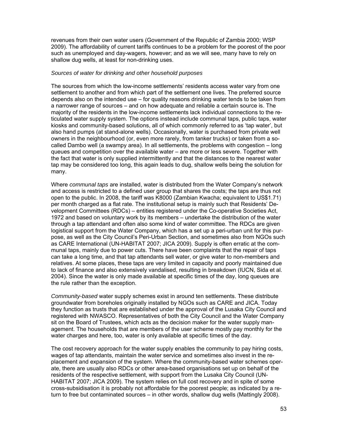revenues from their own water users (Government of the Republic of Zambia 2000; WSP 2009). The affordability of current tariffs continues to be a problem for the poorest of the poor such as unemployed and day-wagers, however; and as we will see, many have to rely on shallow dug wells, at least for non-drinking uses.

### *Sources of water for drinking and other household purposes*

The sources from which the low-income settlements' residents access water vary from one settlement to another and from which part of the settlement one lives. The preferred source depends also on the intended use – for quality reasons drinking water tends to be taken from a narrower range of sources – and on how adequate and reliable a certain source is. The majority of the residents in the low-income settlements lack individual connections to the reticulated water supply system. The options instead include communal taps, public taps, water kiosks and community-based solutions, all of which commonly referred to as 'tap water', but also hand pumps (at stand-alone wells). Occasionally, water is purchased from private well owners in the neighbourhood (or, even more rarely, from tanker trucks) or taken from a socalled Dambo well (a swampy area). In all settlements, the problems with congestion – long queues and competition over the available water – are more or less severe. Together with the fact that water is only supplied intermittently and that the distances to the nearest water tap may be considered too long, this again leads to dug, shallow wells being the solution for many.

Where *communal taps* are installed, water is distributed from the Water Company's network and access is restricted to a defined user group that shares the costs; the taps are thus not open to the public. In 2008, the tariff was K8000 (Zambian Kwacha; equivalent to US\$1.71) per month charged as a flat rate. The institutional setup is mainly such that Residents' Development Committees (RDCs) – entities registered under the Co-operative Societies Act, 1972 and based on voluntary work by its members – undertake the distribution of the water through a tap attendant and often also some kind of water committee. The RDCs are given logistical support from the Water Company, which has a set up a peri-urban unit for this purpose, as well as the City Council's Peri-Urban Section, and sometimes also from NGOs such as CARE International (UN-HABITAT 2007; JICA 2009). Supply is often erratic at the communal taps, mainly due to power cuts. There have been complaints that the repair of taps can take a long time, and that tap attendants sell water, or give water to non-members and relatives. At some places, these taps are very limited in capacity and poorly maintained due to lack of finance and also extensively vandalised, resulting in breakdown (IUCN, Sida et al. 2004). Since the water is only made available at specific times of the day, long queues are the rule rather than the exception.

*Community-based* water supply schemes exist in around ten settlements. These distribute groundwater from boreholes originally installed by NGOs such as CARE and JICA. Today they function as trusts that are established under the approval of the Lusaka City Council and registered with NWASCO. Representatives of both the City Council and the Water Company sit on the Board of Trustees, which acts as the decision maker for the water supply management. The households that are members of the user scheme mostly pay monthly for the water charges and here, too, water is only available at specific times of the day.

The cost recovery approach for the water supply enables the community to pay hiring costs, wages of tap attendants, maintain the water service and sometimes also invest in the replacement and expansion of the system. Where the community-based water schemes operate, there are usually also RDCs or other area-based organisations set up on behalf of the residents of the respective settlement, with support from the Lusaka City Council (UN-HABITAT 2007; JICA 2009). The system relies on full cost recovery and in spite of some cross-subsidisation it is probably not affordable for the poorest people; as indicated by a return to free but contaminated sources – in other words, shallow dug wells (Mattingly 2008).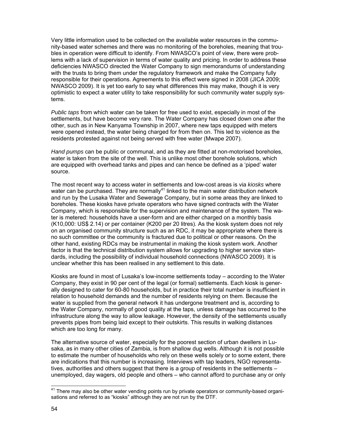Very little information used to be collected on the available water resources in the community-based water schemes and there was no monitoring of the boreholes, meaning that troubles in operation were difficult to identify. From NWASCO's point of view, there were problems with a lack of supervision in terms of water quality and pricing. In order to address these deficiencies NWASCO directed the Water Company to sign memorandums of understanding with the trusts to bring them under the regulatory framework and make the Company fully responsible for their operations. Agreements to this effect were signed in 2008 (JICA 2009; NWASCO 2009). It is yet too early to say what differences this may make, though it is very optimistic to expect a water utility to take responsibility for such community water supply systems.

*Public taps* from which water can be taken for free used to exist, especially in most of the settlements, but have become very rare. The Water Company has closed down one after the other, such as in New Kanyama Township in 2007, where new taps equipped with meters were opened instead, the water being charged for from then on. This led to violence as the residents protested against not being served with free water (Mwape 2007).

*Hand pumps* can be public or communal, and as they are fitted at non-motorised boreholes, water is taken from the site of the well. This is unlike most other borehole solutions, which are equipped with overhead tanks and pipes and can hence be defined as a 'piped' water source.

The most recent way to access water in settlements and low-cost areas is via *kiosks* where water can be purchased. They are normally<sup>41</sup> linked to the main water distribution network and run by the Lusaka Water and Sewerage Company, but in some areas they are linked to boreholes. These kiosks have private operators who have signed contracts with the Water Company, which is responsible for the supervision and maintenance of the system. The water is metered: households have a user-form and are either charged on a monthly basis (K10,000: US\$ 2.14) or per container (K200 per 20 litres). As the kiosk system does not rely on an organised community structure such as an RDC, it may be appropriate where there is no such committee or the community is fractured due to political or other reasons. On the other hand, existing RDCs may be instrumental in making the kiosk system work. Another factor is that the technical distribution system allows for upgrading to higher service standards, including the possibility of individual household connections (NWASCO 2009). It is unclear whether this has been realised in any settlement to this date.

Kiosks are found in most of Lusaka's low-income settlements today – according to the Water Company, they exist in 90 per cent of the legal (or formal) settlements. Each kiosk is generally designed to cater for 60-80 households, but in practice their total number is insufficient in relation to household demands and the number of residents relying on them. Because the water is supplied from the general network it has undergone treatment and is, according to the Water Company, normally of good quality at the taps, unless damage has occurred to the infrastructure along the way to allow leakage. However, the density of the settlements usually prevents pipes from being laid except to their outskirts. This results in walking distances which are too long for many.

The alternative source of water, especially for the poorest section of urban dwellers in Lusaka, as in many other cities of Zambia, is from shallow dug wells. Although it is not possible to estimate the number of households who rely on these wells solely or to some extent, there are indications that this number is increasing. Interviews with tap leaders, NGO representatives, authorities and others suggest that there is a group of residents in the settlements – unemployed, day wagers, old people and others – who cannot afford to purchase any or only

<sup>&</sup>lt;sup>41</sup> There may also be other water vending points run by private operators or community-based organisations and referred to as "kiosks" although they are not run by the DTF.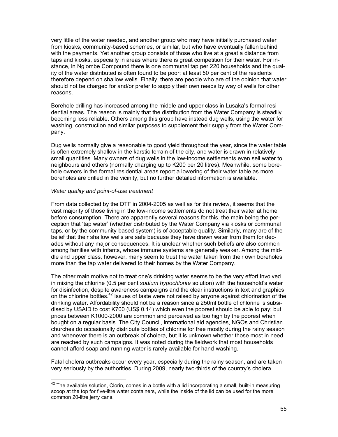very little of the water needed, and another group who may have initially purchased water from kiosks, community-based schemes, or similar, but who have eventually fallen behind with the payments. Yet another group consists of those who live at a great a distance from taps and kiosks, especially in areas where there is great competition for their water. For instance, in Ng'ombe Compound there is one communal tap per 220 households and the quality of the water distributed is often found to be poor; at least 50 per cent of the residents therefore depend on shallow wells. Finally, there are people who are of the opinion that water should not be charged for and/or prefer to supply their own needs by way of wells for other reasons.

Borehole drilling has increased among the middle and upper class in Lusaka's formal residential areas. The reason is mainly that the distribution from the Water Company is steadily becoming less reliable. Others among this group have instead dug wells, using the water for washing, construction and similar purposes to supplement their supply from the Water Company.

Dug wells normally give a reasonable to good yield throughout the year, since the water table is often extremely shallow in the karstic terrain of the city, and water is drawn in relatively small quantities. Many owners of dug wells in the low-income settlements even sell water to neighbours and others (normally charging up to K200 per 20 litres). Meanwhile, some borehole owners in the formal residential areas report a lowering of their water table as more boreholes are drilled in the vicinity, but no further detailed information is available.

### *Water quality and point-of-use treatment*

From data collected by the DTF in 2004-2005 as well as for this review, it seems that the vast majority of those living in the low-income settlements do not treat their water at home before consumption. There are apparently several reasons for this, the main being the perception that 'tap water' (whether distributed by the Water Company via kiosks or communal taps, or by the community-based system) is of acceptable quality. Similarly, many are of the belief that their shallow wells are safe because they have drawn water from them for decades without any major consequences. It is unclear whether such beliefs are also common among families with infants, whose immune systems are generally weaker. Among the middle and upper class, however, many seem to trust the water taken from their own boreholes more than the tap water delivered to their homes by the Water Company.

The other main motive not to treat one's drinking water seems to be the very effort involved in mixing the chlorine (0.5 per cent *sodium hypochlorite* solution) with the household's water for disinfection, despite awareness campaigns and the clear instructions in text and graphics on the chlorine bottles.42 Issues of taste were not raised by anyone against chlorination of the drinking water. Affordability should not be a reason since a 250ml bottle of chlorine is subsidised by USAID to cost K700 (US\$ 0.14) which even the poorest should be able to pay; but prices between K1000-2000 are common and perceived as too high by the poorest when bought on a regular basis. The City Council, international aid agencies, NGOs and Christian churches do occasionally distribute bottles of chlorine for free mostly during the rainy season and whenever there is an outbreak of cholera, but it is unknown whether those most in need are reached by such campaigns. It was noted during the fieldwork that most households cannot afford soap and running water is rarely available for hand-washing.

Fatal cholera outbreaks occur every year, especially during the rainy season, and are taken very seriously by the authorities. During 2009, nearly two-thirds of the country's cholera

 $\overline{a}$  $42$  The available solution, Clorin, comes in a bottle with a lid incorporating a small, built-in measuring scoop at the top for five-litre water containers, while the inside of the lid can be used for the more common 20-litre jerry cans.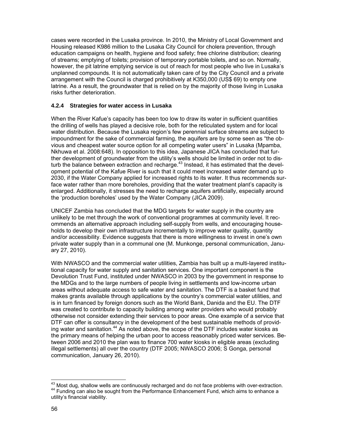cases were recorded in the Lusaka province. In 2010, the Ministry of Local Government and Housing released K986 million to the Lusaka City Council for cholera prevention, through education campaigns on health, hygiene and food safety; free chlorine distribution; clearing of streams; emptying of toilets; provision of temporary portable toilets, and so on. Normally, however, the pit latrine emptying service is out of reach for most people who live in Lusaka's unplanned compounds. It is not automatically taken care of by the City Council and a private arrangement with the Council is charged prohibitively at K350,000 (US\$ 69) to empty one latrine. As a result, the groundwater that is relied on by the majority of those living in Lusaka risks further deterioration.

### **4.2.4 Strategies for water access in Lusaka**

When the River Kafue's capacity has been too low to draw its water in sufficient quantities the drilling of wells has played a decisive role, both for the reticulated system and for local water distribution. Because the Lusaka region's few perennial surface streams are subject to impoundment for the sake of commercial farming, the aquifers are by some seen as "the obvious and cheapest water source option for all competing water users" in Lusaka (Mpamba, Nkhuwa et al. 2008:648). In opposition to this idea, Japanese JICA has concluded that further development of groundwater from the utility's wells should be limited in order not to disturb the balance between extraction and recharge.<sup>43</sup> Instead, it has estimated that the development potential of the Kafue River is such that it could meet increased water demand up to 2030, if the Water Company applied for increased rights to its water. It thus recommends surface water rather than more boreholes, providing that the water treatment plant's capacity is enlarged. Additionally, it stresses the need to recharge aquifers artificially, especially around the 'production boreholes' used by the Water Company (JICA 2009).

UNICEF Zambia has concluded that the MDG targets for water supply in the country are unlikely to be met through the work of conventional programmes at community level. It recommends an alternative approach including self-supply from wells, and encouraging households to develop their own infrastructure incrementally to improve water quality, quantity and/or accessibility. Evidence suggests that there is more willingness to invest in one's own private water supply than in a communal one (M. Munkonge, personal communication, January 27, 2010).

With NWASCO and the commercial water utilities, Zambia has built up a multi-layered institutional capacity for water supply and sanitation services. One important component is the Devolution Trust Fund, instituted under NWASCO in 2003 by the government in response to the MDGs and to the large numbers of people living in settlements and low-income urban areas without adequate access to safe water and sanitation. The DTF is a basket fund that makes grants available through applications by the country's commercial water utilities, and is in turn financed by foreign donors such as the World Bank, Danida and the EU. The DTF was created to contribute to capacity building among water providers who would probably otherwise not consider extending their services to poor areas. One example of a service that DTF can offer is consultancy in the development of the best sustainable methods of providing water and sanitation.<sup>44</sup> As noted above, the scope of the DTF includes water kiosks as the primary means of helping the urban poor to access reasonably priced water services. Between 2006 and 2010 the plan was to finance 700 water kiosks in eligible areas (excluding illegal settlements) all over the country (DTF 2005; NWASCO 2006; S Gonga, personal communication, January 26, 2010).

 $^{43}$  Most dug, shallow wells are continuously recharged and do not face problems with over-extraction.<br><sup>44</sup> Funding can also be sought from the Performance Enhancement Fund, which aims to enhance a utility's financial viability.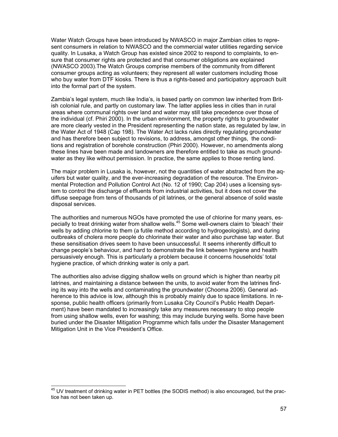Water Watch Groups have been introduced by NWASCO in major Zambian cities to represent consumers in relation to NWASCO and the commercial water utilities regarding service quality. In Lusaka, a Watch Group has existed since 2002 to respond to complaints, to ensure that consumer rights are protected and that consumer obligations are explained (NWASCO 2003).The Watch Groups comprise members of the community from different consumer groups acting as volunteers; they represent all water customers including those who buy water from DTF kiosks. There is thus a rights-based and participatory approach built into the formal part of the system.

Zambia's legal system, much like India's, is based partly on common law inherited from British colonial rule, and partly on customary law. The latter applies less in cities than in rural areas where communal rights over land and water may still take precedence over those of the individual (cf. Phiri 2000). In the urban environment, the property rights to groundwater are more clearly vested in the President representing the nation state, as regulated by law, in the Water Act of 1948 (Cap 198). The Water Act lacks rules directly regulating groundwater and has therefore been subject to revisions, to address, amongst other things, the conditions and registration of borehole construction (Phiri 2000). However, no amendments along these lines have been made and landowners are therefore entitled to take as much groundwater as they like without permission. In practice, the same applies to those renting land.

The major problem in Lusaka is, however, not the quantities of water abstracted from the aquifers but water quality, and the ever-increasing degradation of the resource. The Environmental Protection and Pollution Control Act (No. 12 of 1990; Cap 204) uses a licensing system to control the discharge of effluents from industrial activities, but it does not cover the diffuse seepage from tens of thousands of pit latrines, or the general absence of solid waste disposal services.

The authorities and numerous NGOs have promoted the use of chlorine for many years, especially to treat drinking water from shallow wells.<sup>45</sup> Some well-owners claim to 'bleach' their wells by adding chlorine to them (a futile method according to hydrogeologists), and during outbreaks of cholera more people do chlorinate their water and also purchase tap water. But these sensitisation drives seem to have been unsuccessful. It seems inherently difficult to change people's behaviour, and hard to demonstrate the link between hygiene and health persuasively enough. This is particularly a problem because it concerns households' total hygiene practice, of which drinking water is only a part.

The authorities also advise digging shallow wells on ground which is higher than nearby pit latrines, and maintaining a distance between the units, to avoid water from the latrines finding its way into the wells and contaminating the groundwater (Chooma 2006). General adherence to this advice is low, although this is probably mainly due to space limitations. In response, public health officers (primarily from Lusaka City Council's Public Health Department) have been mandated to increasingly take any measures necessary to stop people from using shallow wells, even for washing; this may include burying wells. Some have been buried under the Disaster Mitigation Programme which falls under the Disaster Management Mitigation Unit in the Vice President's Office.

<sup>&</sup>lt;sup>45</sup> UV treatment of drinking water in PET bottles (the SODIS method) is also encouraged, but the practice has not been taken up.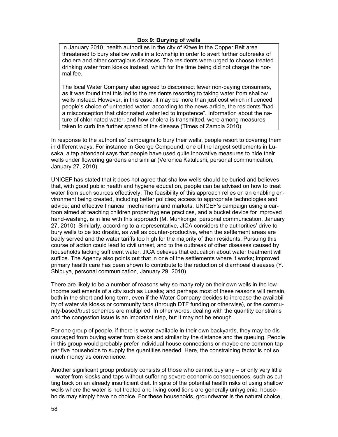## **Box 9: Burying of wells**

In January 2010, health authorities in the city of Kitwe in the Copper Belt area threatened to bury shallow wells in a township in order to avert further outbreaks of cholera and other contagious diseases. The residents were urged to choose treated drinking water from kiosks instead, which for the time being did not charge the normal fee.

The local Water Company also agreed to disconnect fewer non-paying consumers, as it was found that this led to the residents resorting to taking water from shallow wells instead. However, in this case, it may be more than just cost which influenced people's choice of untreated water: according to the news article, the residents "had a misconception that chlorinated water led to impotence". Information about the nature of chlorinated water, and how cholera is transmitted, were among measures taken to curb the further spread of the disease (Times of Zambia 2010).

In response to the authorities' campaigns to bury their wells, people resort to covering them in different ways. For instance in George Compound, one of the largest settlements in Lusaka, a tap attendant says that people have used quite innovative measures to hide their wells under flowering gardens and similar (Veronica Katulushi, personal communication, January 27, 2010).

UNICEF has stated that it does not agree that shallow wells should be buried and believes that, with good public health and hygiene education, people can be advised on how to treat water from such sources effectively. The feasibility of this approach relies on an enabling environment being created, including better policies; access to appropriate technologies and advice; and effective financial mechanisms and markets. UNICEF's campaign using a cartoon aimed at teaching children proper hygiene practices, and a bucket device for improved hand-washing, is in line with this approach (M. Munkonge, personal communication, January 27, 2010). Similarly, according to a representative, JICA considers the authorities' drive to bury wells to be too drastic, as well as counter-productive, when the settlement areas are badly served and the water tariffs too high for the majority of their residents. Pursuing this course of action could lead to civil unrest, and to the outbreak of other diseases caused by households lacking sufficient water. JICA believes that education about water treatment will suffice. The Agency also points out that in one of the settlements where it works; improved primary health care has been shown to contribute to the reduction of diarrhoeal diseases (Y. Shibuya, personal communication, January 29, 2010).

There are likely to be a number of reasons why so many rely on their own wells in the lowincome settlements of a city such as Lusaka; and perhaps most of these reasons will remain, both in the short and long term, even if the Water Company decides to increase the availability of water via kiosks or community taps (through DTF funding or otherwise), or the community-based/trust schemes are multiplied. In other words, dealing with the quantity constrains and the congestion issue is an important step, but it may not be enough.

For one group of people, if there is water available in their own backyards, they may be discouraged from buying water from kiosks and similar by the distance and the queuing. People in this group would probably prefer individual house connections or maybe one common tap per five households to supply the quantities needed. Here, the constraining factor is not so much money as convenience.

Another significant group probably consists of those who cannot buy any – or only very little – water from kiosks and taps without suffering severe economic consequences, such as cutting back on an already insufficient diet. In spite of the potential health risks of using shallow wells where the water is not treated and living conditions are generally unhygienic, households may simply have no choice. For these households, groundwater is the natural choice,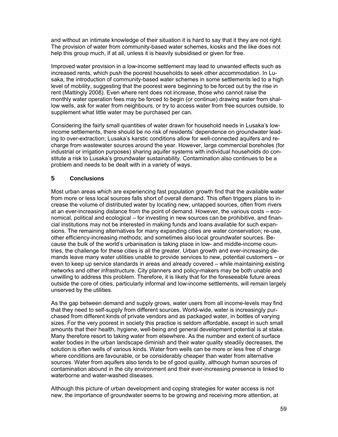and without an intimate knowledge of their situation it is hard to say that it they are not right. The provision of water from community-based water schemes, kiosks and the like does not help this group much, if at all, unless it is heavily subsidised or given for free.

Improved water provision in a low-income settlement may lead to unwanted effects such as increased rents, which push the poorest households to seek other accommodation. In Lusaka, the introduction of community-based water schemes in some settlements led to a high level of mobility, suggesting that the poorest were beginning to be forced out by the rise in rent (Mattingly 2008). Even where rent does not increase, those who cannot raise the monthly water operation fees may be forced to begin (or continue) drawing water from shallow wells, ask for water from neighbours, or try to access water from free sources outside, to supplement what little water may be purchased per can.

Considering the fairly small quantities of water drawn for household needs in Lusaka's lowincome settlements, there should be no risk of residents' dependence on groundwater leading to over-extraction; Lusaka's karstic conditions allow for well-connected aquifers and recharge from wastewater sources around the year. However, large commercial boreholes (for industrial or irrigation purposes) sharing aquifer systems with individual households do constitute a risk to Lusaka's groundwater sustainability. Contamination also continues to be a problem and needs to be dealt with in a variety of ways.

# **5 Conclusions**

Most urban areas which are experiencing fast population growth find that the available water from more or less local sources falls short of overall demand. This often triggers plans to increase the volume of distributed water by locating new, untapped sources, often from rivers at an ever-increasing distance from the point of demand. However, the various costs – economical, political and ecological – for investing in new sources can be prohibitive, and financial institutions may not be interested in making funds and loans available for such expansions. The remaining alternatives for many expanding cities are water conservation; re-use, other efficiency-increasing methods; and sometimes also local groundwater sources. Because the bulk of the world's urbanisation is taking place in low- and middle-income countries, the challenge for these cities is all the greater. Urban growth and ever-increasing demands leave many water utilities unable to provide services to new, potential customers – or even to keep up service standards in areas and already covered – while maintaining existing networks and other infrastructure. City planners and policy-makers may be both unable and unwilling to address this problem. Therefore, it is likely that for the foreseeable future areas outside the core of cities, particularly informal and low-income settlements, will remain largely unserved by the utilities.

As the gap between demand and supply grows, water users from all income-levels may find that they need to self-supply from different sources. World-wide, water is increasingly purchased from different kinds of private vendors and as packaged water, in bottles of varying sizes. For the very poorest in society this practice is seldom affordable, except in such small amounts that their health, hygiene, well-being and general development potential is at stake. Many therefore resort to taking water from elsewhere. As the number and extent of surface water bodies in the urban landscape diminish and their water quality steadily decreases, the solution is often wells of various kinds. Water from wells can be more or less free of charge where conditions are favourable, or be considerably cheaper than water from alternative sources. Water from aquifers also tends to be of good quality, although human sources of contamination abound in the city environment and their ever-increasing presence is linked to waterborne and water-washed diseases.

Although this picture of urban development and coping strategies for water access is not new, the importance of groundwater seems to be growing and receiving more attention, at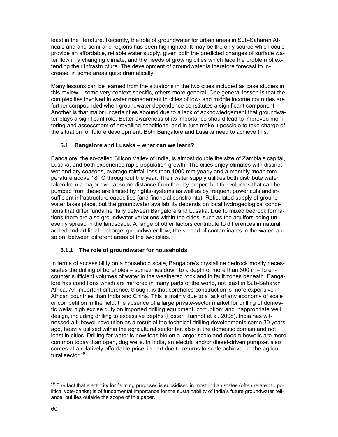least in the literature. Recently, the role of groundwater for urban areas in Sub-Saharan Africa's arid and semi-arid regions has been highlighted. It may be the only source which could provide an affordable, reliable water supply, given both the predicted changes of surface water flow in a changing climate, and the needs of growing cities which face the problem of extending their infrastructure. The development of groundwater is therefore forecast to increase, in some areas quite dramatically.

Many lessons can be learned from the situations in the two cities included as case studies in this review – some very context-specific, others more general. One general lesson is that the complexities involved in water management in cities of low- and middle income countries are further compounded when groundwater dependence constitutes a significant component. Another is that major uncertainties abound due to a lack of acknowledgement that groundwater plays a significant role. Better awareness of its importance should lead to improved monitoring and assessment of prevailing conditions, and in turn make it possible to take charge of the situation for future development. Both Bangalore and Lusaka need to achieve this.

# **5.1 Bangalore and Lusaka – what can we learn?**

Bangalore, the so-called Silicon Valley of India, is almost double the size of Zambia's capital, Lusaka, and both experience rapid population growth. The cities enjoy climates with distinct wet and dry seasons, average rainfall less than 1000 mm yearly and a monthly mean temperature above 18° C throughout the year. Their water supply utilities both distribute water taken from a major river at some distance from the city proper, but the volumes that can be pumped from these are limited by rights-systems as well as by frequent power cuts and insufficient infrastructure capacities (and financial constraints). Reticulated supply of groundwater takes place, but the groundwater availability depends on local hydrogeological conditions that differ fundamentally between Bangalore and Lusaka. Due to mixed bedrock formations there are also groundwater variations within the cities, such as the aquifers being unevenly spread in the landscape. A range of other factors contribute to differences in natural, added and artificial recharge, groundwater flow, the spread of contaminants in the water, and so on, between different areas of the two cities.

# **5.1.1 The role of groundwater for households**

In terms of accessibility on a household scale, Bangalore's crystalline bedrock mostly necessitates the drilling of boreholes – sometimes down to a depth of more than  $300 \text{ m} - \text{to}$  encounter sufficient volumes of water in the weathered rock and in fault zones beneath. Bangalore has conditions which are mirrored in many parts of the world, not least in Sub-Saharan Africa. An important difference, though, is that boreholes construction is more expensive in African countries than India and China. This is mainly due to a lack of any economy of scale or competition in the field; the absence of a large private-sector market for drilling of domestic wells; high excise duty on imported drilling equipment; corruption; and inappropriate well design, including drilling to excessive depths (Foster, Tuinhof et al. 2008). India has witnessed a tubewell revolution as a result of the technical drilling developments some 30 years ago, heavily utilised within the agricultural sector but also in the domestic domain and not least in cities. Drilling for water is now feasible on a larger scale and deep tubewells are more common today than open, dug wells. In India, an electric and/or diesel-driven pumpset also comes at a relatively affordable price, in part due to returns to scale achieved in the agricultural sector.<sup>46</sup>

 $^{46}$  The fact that electricity for farming purposes is subsidised in most Indian states (often related to political vote-banks) is of fundamental importance for the sustainability of India's future groundwater reliance, but lies outside the scope of this paper.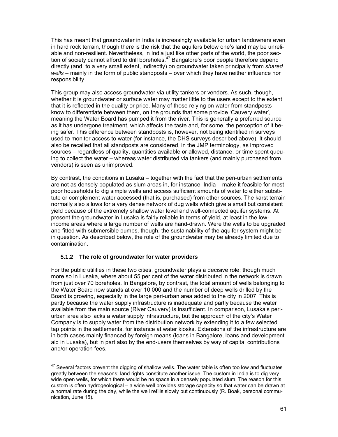This has meant that groundwater in India is increasingly available for urban landowners even in hard rock terrain, though there is the risk that the aquifers below one's land may be unreliable and non-resilient. Nevertheless, in India just like other parts of the world, the poor section of society cannot afford to drill boreholes.<sup>47</sup> Bangalore's poor people therefore depend directly (and, to a very small extent, indirectly) on groundwater taken principally from *shared wells* – mainly in the form of public standposts – over which they have neither influence nor responsibility.

This group may also access groundwater via utility tankers or vendors. As such, though, whether it is groundwater or surface water may matter little to the users except to the extent that it is reflected in the quality or price. Many of those relying on water from standposts know to differentiate between them, on the grounds that some provide 'Cauvery water', meaning the Water Board has pumped it from the river. This is generally a preferred source as it has undergone treatment, which affects the taste and, for some, the perception of it being safer. This difference between standposts is, however, not being identified in surveys used to monitor access to water (for instance, the DHS surveys described above). It should also be recalled that all standposts are considered, in the JMP terminology, as improved sources – regardless of quality, quantities available or allowed, distance, or time spent queuing to collect the water – whereas water distributed via tankers (and mainly purchased from vendors) is seen as unimproved.

By contrast, the conditions in Lusaka – together with the fact that the peri-urban settlements are not as densely populated as slum areas in, for instance, India – make it feasible for most poor households to dig simple wells and access sufficient amounts of water to either substitute or complement water accessed (that is, purchased) from other sources. The karst terrain normally also allows for a very dense network of dug wells which give a small but consistent yield because of the extremely shallow water level and well-connected aquifer systems. At present the groundwater in Lusaka is fairly reliable in terms of yield, at least in the lowincome areas where a large number of wells are hand-drawn. Were the wells to be upgraded and fitted with submersible pumps, though, the sustainability of the aquifer system might be in question. As described below, the role of the groundwater may be already limited due to contamination.

## **5.1.2 The role of groundwater for water providers**

For the public utilities in these two cities, groundwater plays a decisive role; though much more so in Lusaka, where about 55 per cent of the water distributed in the network is drawn from just over 70 boreholes. In Bangalore, by contrast, the total amount of wells belonging to the Water Board now stands at over 10,000 and the number of deep wells drilled by the Board is growing, especially in the large peri-urban area added to the city in 2007. This is partly because the water supply infrastructure is inadequate and partly because the water available from the main source (River Cauvery) is insufficient. In comparison, Lusaka's periurban area also lacks a water supply infrastructure, but the approach of the city's Water Company is to supply water from the distribution network by extending it to a few selected tap points in the settlements, for instance at water kiosks. Extensions of the infrastructure are in both cases mainly financed by foreign means (loans in Bangalore, loans and development aid in Lusaka), but in part also by the end-users themselves by way of capital contributions and/or operation fees.

 $\overline{a}$  $47$  Several factors prevent the digging of shallow wells. The water table is often too low and fluctuates greatly between the seasons; land rights constitute another issue. The custom in India is to dig very wide open wells, for which there would be no space in a densely populated slum. The reason for this custom is often hydrogeological – a wide well provides storage capacity so that water can be drawn at a normal rate during the day, while the well refills slowly but continuously (R. Boak, personal communication, June 15).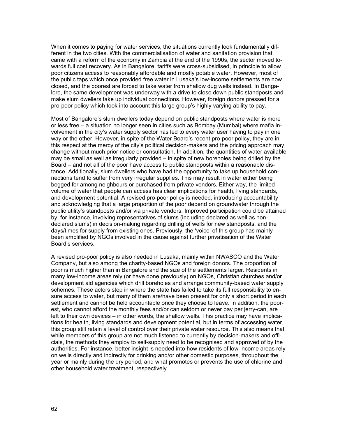When it comes to paying for water services, the situations currently look fundamentally different in the two cities. With the commercialisation of water and sanitation provision that came with a reform of the economy in Zambia at the end of the 1990s, the sector moved towards full cost recovery. As in Bangalore, tariffs were cross-subsidised, in principle to allow poor citizens access to reasonably affordable and mostly potable water. However, most of the public taps which once provided free water in Lusaka's low-income settlements are now closed, and the poorest are forced to take water from shallow dug wells instead. In Bangalore, the same development was underway with a drive to close down public standposts and make slum dwellers take up individual connections. However, foreign donors pressed for a pro-poor policy which took into account this large group's highly varying ability to pay.

Most of Bangalore's slum dwellers today depend on public standposts where water is more or less free – a situation no longer seen in cities such as Bombay (Mumbai) where mafia involvement in the city's water supply sector has led to every water user having to pay in one way or the other. However, in spite of the Water Board's recent pro-poor policy, they are in this respect at the mercy of the city's political decision-makers and the pricing approach may change without much prior notice or consultation. In addition, the quantities of water available may be small as well as irregularly provided – in spite of new boreholes being drilled by the Board – and not all of the poor have access to public standposts within a reasonable distance. Additionally, slum dwellers who have had the opportunity to take up household connections tend to suffer from very irregular supplies. This may result in water either being begged for among neighbours or purchased from private vendors. Either way, the limited volume of water that people can access has clear implications for health, living standards, and development potential. A revised pro-poor policy is needed, introducing accountability and acknowledging that a large proportion of the poor depend on groundwater through the public utility's standposts and/or via private vendors. Improved participation could be attained by, for instance, involving representatives of slums (including declared as well as nondeclared slums) in decision-making regarding drilling of wells for new standposts, and the days/times for supply from existing ones. Previously, the 'voice' of this group has mainly been amplified by NGOs involved in the cause against further privatisation of the Water Board's services.

A revised pro-poor policy is also needed in Lusaka, mainly within NWASCO and the Water Company, but also among the charity-based NGOs and foreign donors. The proportion of poor is much higher than in Bangalore and the size of the settlements larger. Residents in many low-income areas rely (or have done previously) on NGOs, Christian churches and/or development aid agencies which drill boreholes and arrange community-based water supply schemes. These actors step in where the state has failed to take its full responsibility to ensure access to water, but many of them are/have been present for only a short period in each settlement and cannot be held accountable once they choose to leave. In addition, the poorest, who cannot afford the monthly fees and/or can seldom or never pay per jerry-can, are left to their own devices – in other words, the shallow wells. This practice may have implications for health, living standards and development potential, but in terms of accessing water, this group still retain a level of control over their private water resource. This also means that while members of this group are not much listened to currently by decision-makers and officials, the methods they employ to self-supply need to be recognised and approved of by the authorities. For instance, better insight is needed into how residents of low-income areas rely on wells directly and indirectly for drinking and/or other domestic purposes, throughout the year or mainly during the dry period, and what promotes or prevents the use of chlorine and other household water treatment, respectively.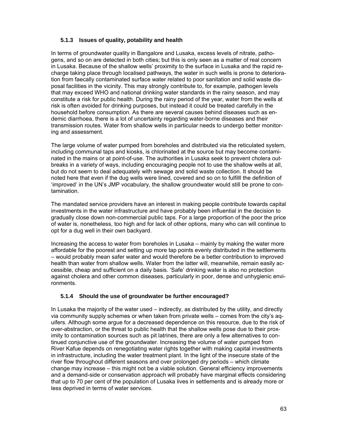# **5.1.3 Issues of quality, potability and health**

In terms of groundwater quality in Bangalore and Lusaka, excess levels of nitrate, pathogens, and so on are detected in both cities; but this is only seen as a matter of real concern in Lusaka. Because of the shallow wells' proximity to the surface in Lusaka and the rapid recharge taking place through localised pathways, the water in such wells is prone to deterioration from faecally contaminated surface water related to poor sanitation and solid waste disposal facilities in the vicinity. This may strongly contribute to, for example, pathogen levels that may exceed WHO and national drinking water standards in the rainy season, and may constitute a risk for public health. During the rainy period of the year, water from the wells at risk is often avoided for drinking purposes, but instead it could be treated carefully in the household before consumption. As there are several causes behind diseases such as endemic diarrhoea, there is a lot of uncertainty regarding water-borne diseases and their transmission routes. Water from shallow wells in particular needs to undergo better monitoring and assessment.

The large volume of water pumped from boreholes and distributed via the reticulated system, including communal taps and kiosks, is chlorinated at the source but may become contaminated in the mains or at point-of-use. The authorities in Lusaka seek to prevent cholera outbreaks in a variety of ways, including encouraging people not to use the shallow wells at all, but do not seem to deal adequately with sewage and solid waste collection. It should be noted here that even if the dug wells were lined, covered and so on to fulfilll the definition of 'improved' in the UN's JMP vocabulary, the shallow groundwater would still be prone to contamination.

The mandated service providers have an interest in making people contribute towards capital investments in the water infrastructure and have probably been influential in the decision to gradually close down non-commercial public taps. For a large proportion of the poor the price of water is, nonetheless, too high and for lack of other options, many who can will continue to opt for a dug well in their own backyard.

Increasing the access to water from boreholes in Lusaka – mainly by making the water more affordable for the poorest and setting up more tap points evenly distributed in the settlements – would probably mean safer water and would therefore be a better contribution to improved health than water from shallow wells. Water from the latter will, meanwhile, remain easily accessible, cheap and sufficient on a daily basis. 'Safe' drinking water is also no protection against cholera and other common diseases, particularly in poor, dense and unhygienic environments.

## **5.1.4 Should the use of groundwater be further encouraged?**

In Lusaka the majority of the water used – indirectly, as distributed by the utility, and directly via community supply schemes or when taken from private wells – comes from the city's aquifers. Although some argue for a decreased dependence on this resource, due to the risk of over-abstraction, or the threat to public health that the shallow wells pose due to their proximity to contamination sources such as pit latrines, there are only a few alternatives to continued conjunctive use of the groundwater. Increasing the volume of water pumped from River Kafue depends on renegotiating water rights together with making capital investments in infrastructure, including the water treatment plant. In the light of the insecure state of the river flow throughout different seasons and over prolonged dry periods – which climate change may increase – this might not be a viable solution. General efficiency improvements and a demand-side or conservation approach will probably have marginal effects considering that up to 70 per cent of the population of Lusaka lives in settlements and is already more or less deprived in terms of water services.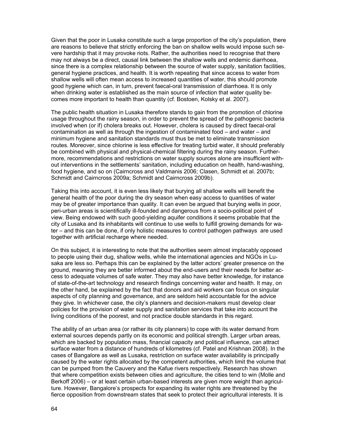Given that the poor in Lusaka constitute such a large proportion of the city's population, there are reasons to believe that strictly enforcing the ban on shallow wells would impose such severe hardship that it may provoke riots. Rather, the authorities need to recognise that there may not always be a direct, causal link between the shallow wells and endemic diarrhoea, since there is a complex relationship between the source of water supply, sanitation facilities, general hygiene practices, and health. It is worth repeating that since access to water from shallow wells will often mean access to increased quantities of water, this should promote good hygiene which can, in turn, prevent faecal-oral transmission of diarrhoea. It is only when drinking water is established as the main source of infection that water quality becomes more important to health than quantity (cf. Bostoen, Kolsky et al. 2007).

The public health situation in Lusaka therefore stands to gain from the promotion of chlorine usage throughout the rainy season, in order to prevent the spread of the pathogenic bacteria involved when (or if) cholera breaks out. However, cholera is caused by direct faecal-oral contamination as well as through the ingestion of contaminated food – and water – and minimum hygiene and sanitation standards must thus be met to eliminate transmission routes. Moreover, since chlorine is less effective for treating turbid water, it should preferably be combined with physical and physical-chemical filtering during the rainy season. Furthermore, recommendations and restrictions on water supply sources alone are insufficient without interventions in the settlements' sanitation, including education on health, hand-washing, food hygiene, and so on (Cairncross and Valdmanis 2006; Clasen, Schmidt et al. 2007b; Schmidt and Cairncross 2009a; Schmidt and Cairncross 2009b).

Taking this into account, it is even less likely that burying all shallow wells will benefit the general health of the poor during the dry season when easy access to quantities of water may be of greater importance than quality. It can even be argued that burying wells in poor, peri-urban areas is scientifically ill-founded and dangerous from a socio-political point of view. Being endowed with such good-yielding aquifer conditions it seems probable that the city of Lusaka and its inhabitants will continue to use wells to fulfill growing demands for water – and this can be done, if only holistic measures to control pathogen pathways are used together with artificial recharge where needed.

On this subject, it is interesting to note that the authorities seem almost implacably opposed to people using their dug, shallow wells, while the international agencies and NGOs in Lusaka are less so. Perhaps this can be explained by the latter actors' greater presence on the ground, meaning they are better informed about the end-users and their needs for better access to adequate volumes of safe water. They may also have better knowledge, for instance of state-of-the-art technology and research findings concerning water and health. It may, on the other hand, be explained by the fact that donors and aid workers can focus on singular aspects of city planning and governance, and are seldom held accountable for the advice they give. In whichever case, the city's planners and decision-makers must develop clear policies for the provision of water supply and sanitation services that take into account the living conditions of the poorest, and not practice double standards in this regard.

The ability of an urban area (or rather its city planners) to cope with its water demand from external sources depends partly on its economic and political strength. Larger urban areas, which are backed by population mass, financial capacity and political influence, can attract surface water from a distance of hundreds of kilometres (cf. Patel and Krishnan 2008). In the cases of Bangalore as well as Lusaka, restriction on surface water availability is principally caused by the water rights allocated by the competent authorities, which limit the volume that can be pumped from the Cauvery and the Kafue rivers respectively. Research has shown that where competition exists between cities and agriculture, the cities tend to win (Molle and Berkoff 2006) – or at least certain urban-based interests are given more weight than agriculture. However, Bangalore's prospects for expanding its water rights are threatened by the fierce opposition from downstream states that seek to protect their agricultural interests. It is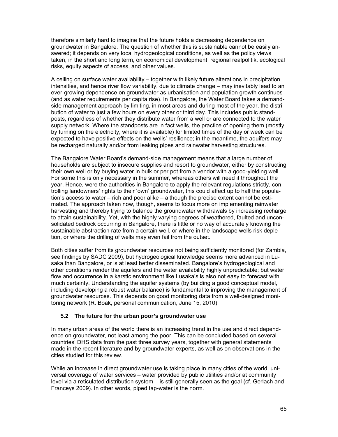therefore similarly hard to imagine that the future holds a decreasing dependence on groundwater in Bangalore. The question of whether this is sustainable cannot be easily answered; it depends on very local hydrogeological conditions, as well as the policy views taken, in the short and long term, on economical development, regional realpolitik, ecological risks, equity aspects of access, and other values.

A ceiling on surface water availability – together with likely future alterations in precipitation intensities, and hence river flow variability, due to climate change – may inevitably lead to an ever-growing dependence on groundwater as urbanisation and population growth continues (and as water requirements per capita rise). In Bangalore, the Water Board takes a demandside management approach by limiting, in most areas and during most of the year, the distribution of water to just a few hours on every other or third day. This includes public standposts, regardless of whether they distribute water from a well or are connected to the water supply network. Where the standposts are in fact wells, the practice of opening them (mostly by turning on the electricity, where it is available) for limited times of the day or week can be expected to have positive effects on the wells' resilience; in the meantime, the aquifers may be recharged naturally and/or from leaking pipes and rainwater harvesting structures.

The Bangalore Water Board's demand-side management means that a large number of households are subject to insecure supplies and resort to groundwater, either by constructing their own well or by buying water in bulk or per pot from a vendor with a good-yielding well. For some this is only necessary in the summer, whereas others will need it throughout the year. Hence, were the authorities in Bangalore to apply the relevant regulations strictly, controlling landowners' rights to their 'own' groundwater, this could affect up to half the population's access to water – rich and poor alike – although the precise extent cannot be estimated. The approach taken now, though, seems to focus more on implementing rainwater harvesting and thereby trying to balance the groundwater withdrawals by increasing recharge to attain sustainability. Yet, with the highly varying degrees of weathered, faulted and unconsolidated bedrock occurring in Bangalore, there is little or no way of accurately knowing the sustainable abstraction rate from a certain well, or where in the landscape wells risk depletion, or where the drilling of wells may even fail from the outset.

Both cities suffer from its groundwater resources not being sufficiently monitored (for Zambia, see findings by SADC 2009), but hydrogeological knowledge seems more advanced in Lusaka than Bangalore, or is at least better disseminated. Bangalore's hydrogeological and other conditions render the aquifers and the water availability highly unpredictable; but water flow and occurrence in a karstic environment like Lusaka's is also not easy to forecast with much certainty. Understanding the aquifer systems (by building a good conceptual model, including developing a robust water balance) is fundamental to improving the management of groundwater resources. This depends on good monitoring data from a well-designed monitoring network (R. Boak, personal communication, June 15, 2010).

## **5.2 The future for the urban poor's groundwater use**

In many urban areas of the world there is an increasing trend in the use and direct dependence on groundwater, not least among the poor. This can be concluded based on several countries' DHS data from the past three survey years, together with general statements made in the recent literature and by groundwater experts, as well as on observations in the cities studied for this review.

While an increase in direct groundwater use is taking place in many cities of the world, universal coverage of water services – water provided by public utilities and/or at community level via a reticulated distribution system – is still generally seen as the goal (cf. Gerlach and Franceys 2009). In other words, piped tap-water is the norm.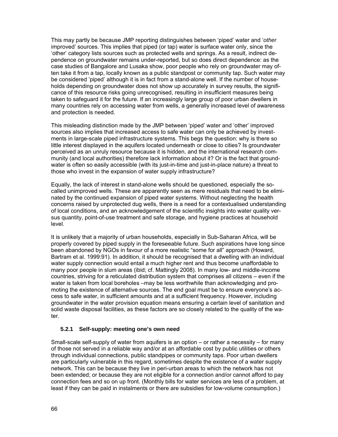This may partly be because JMP reporting distinguishes between 'piped' water and '*other* improved' sources. This implies that piped (or tap) water is surface water only, since the 'other' category lists sources such as protected wells and springs. As a result, indirect dependence on groundwater remains under-reported, but so does direct dependence: as the case studies of Bangalore and Lusaka show, poor people who rely on groundwater may often take it from a tap, locally known as a public standpost or community tap. Such water may be considered 'piped' although it is in fact from a stand-alone well. If the number of households depending on groundwater does not show up accurately in survey results, the significance of this resource risks going unrecognised, resulting in insufficient measures being taken to safeguard it for the future. If an increasingly large group of poor urban dwellers in many countries rely on accessing water from wells, a generally increased level of awareness and protection is needed.

This misleading distinction made by the JMP between 'piped' water and 'other' improved sources also implies that increased access to safe water can only be achieved by investments in large-scale piped infrastructure systems. This begs the question: why is there so little interest displayed in the aquifers located underneath or close to cities? Is groundwater perceived as an unruly resource because it is hidden, and the international research community (and local authorities) therefore lack information about it? Or is the fact that groundwater is often so easily accessible (with its just-in-time and just-in-place nature) a threat to those who invest in the expansion of water supply infrastructure?

Equally, the lack of interest in stand-alone wells should be questioned, especially the socalled unimproved wells. These are apparently seen as mere residuals that need to be eliminated by the continued expansion of piped water systems. Without neglecting the health concerns raised by unprotected dug wells, there is a need for a contextualised understanding of local conditions, and an acknowledgement of the scientific insights into water quality versus quantity, point-of-use treatment and safe storage, and hygiene practices at household level.

It is unlikely that a majority of urban households, especially in Sub-Saharan Africa, will be properly covered by piped supply in the foreseeable future. Such aspirations have long since been abandoned by NGOs in favour of a more realistic "some for all" approach (Howard, Bartram et al. 1999:91). In addition, it should be recognised that a dwelling with an individual water supply connection would entail a much higher rent and thus become unaffordable to many poor people in slum areas (ibid; cf. Mattingly 2008). In many low- and middle-income countries, striving for a reticulated distribution system that comprises all citizens – even if the water is taken from local boreholes –may be less worthwhile than acknowledging and promoting the existence of alternative sources. The end goal must be to ensure everyone's access to safe water, in sufficient amounts and at a sufficient frequency. However, including groundwater in the water provision equation means ensuring a certain level of sanitation and solid waste disposal facilities, as these factors are so closely related to the quality of the water.

### **5.2.1 Self-supply: meeting one's own need**

Small-scale self-supply of water from aquifers is an option – or rather a necessity – for many of those not served in a reliable way and/or at an affordable cost by public utilities or others through individual connections, public standpipes or community taps. Poor urban dwellers are particularly vulnerable in this regard, sometimes despite the existence of a water supply network. This can be because they live in peri-urban areas to which the network has not been extended; or because they are not eligible for a connection and/or cannot afford to pay connection fees and so on up front. (Monthly bills for water services are less of a problem, at least if they can be paid in instalments or there are subsidies for low-volume consumption.)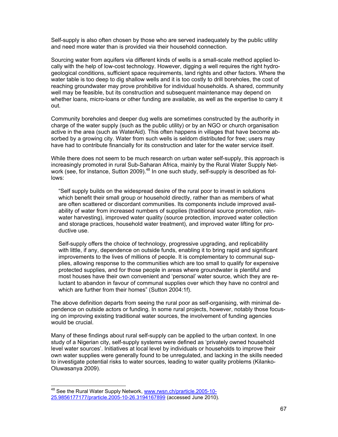Self-supply is also often chosen by those who are served inadequately by the public utility and need more water than is provided via their household connection.

Sourcing water from aquifers via different kinds of wells is a small-scale method applied locally with the help of low-cost technology. However, digging a well requires the right hydrogeological conditions, sufficient space requirements, land rights and other factors. Where the water table is too deep to dig shallow wells and it is too costly to drill boreholes, the cost of reaching groundwater may prove prohibitive for individual households. A shared, community well may be feasible, but its construction and subsequent maintenance may depend on whether loans, micro-loans or other funding are available, as well as the expertise to carry it out.

Community boreholes and deeper dug wells are sometimes constructed by the authority in charge of the water supply (such as the public utility) or by an NGO or church organisation active in the area (such as WaterAid). This often happens in villages that have become absorbed by a growing city. Water from such wells is seldom distributed for free; users may have had to contribute financially for its construction and later for the water service itself.

While there does not seem to be much research on urban water self-supply, this approach is increasingly promoted in rural Sub-Saharan Africa, mainly by the Rural Water Supply Network (see, for instance, Sutton 2009).<sup>48</sup> In one such study, self-supply is described as follows:

"Self supply builds on the widespread desire of the rural poor to invest in solutions which benefit their small group or household directly, rather than as members of what are often scattered or discordant communities. Its components include improved availability of water from increased numbers of supplies (traditional source promotion, rainwater harvesting), improved water quality (source protection, improved water collection and storage practices, household water treatment), and improved water lifting for productive use.

Self-supply offers the choice of technology, progressive upgrading, and replicability with little, if any, dependence on outside funds, enabling it to bring rapid and significant improvements to the lives of millions of people. It is complementary to communal supplies, allowing response to the communities which are too small to qualify for expensive protected supplies, and for those people in areas where groundwater is plentiful and most houses have their own convenient and 'personal' water source, which they are reluctant to abandon in favour of communal supplies over which they have no control and which are further from their homes" (Sutton 2004:1f).

The above definition departs from seeing the rural poor as self-organising, with minimal dependence on outside actors or funding. In some rural projects, however, notably those focusing on improving existing traditional water sources, the involvement of funding agencies would be crucial.

Many of these findings about rural self-supply can be applied to the urban context. In one study of a Nigerian city, self-supply systems were defined as 'privately owned household level water sources'. Initiatives at local level by individuals or households to improve their own water supplies were generally found to be unregulated, and lacking in the skills needed to investigate potential risks to water sources, leading to water quality problems (Kilanko-Oluwasanya 2009).

<sup>&</sup>lt;sup>48</sup> See the Rural Water Supply Network, www.rwsn.ch/prarticle.2005-10-25.9856177177/prarticle.2005-10-26.3194167899 (accessed June 2010).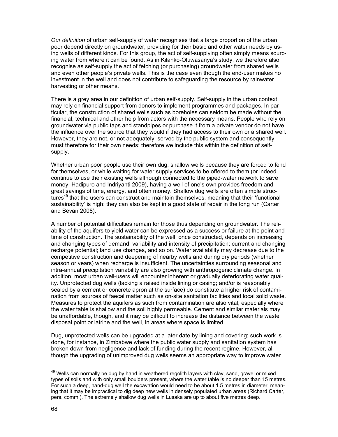*Our definition* of urban self-supply of water recognises that a large proportion of the urban poor depend directly on groundwater, providing for their basic and other water needs by using wells of different kinds. For this group, the act of self-supplying often simply means sourcing water from where it can be found. As in Kilanko-Oluwasanya's study, we therefore also recognise as self-supply the act of fetching (or purchasing) groundwater from shared wells and even other people's private wells. This is the case even though the end-user makes no investment in the well and does not contribute to safeguarding the resource by rainwater harvesting or other means.

There is a grey area in our definition of urban self-supply. Self-supply in the urban context may rely on financial support from donors to implement programmes and packages. In particular, the construction of shared wells such as boreholes can seldom be made without the financial, technical and other help from actors with the necessary means. People who rely on groundwater via public taps and standpipes or purchase it from a private vendor do not have the influence over the source that they would if they had access to their own or a shared well. However, they are not, or not adequately, served by the public system and consequently must therefore for their own needs; therefore we include this within the definition of selfsupply.

Whether urban poor people use their own dug, shallow wells because they are forced to fend for themselves, or while waiting for water supply services to be offered to them (or indeed continue to use their existing wells although connected to the piped-water network to save money; Hadipuro and Indriyanti 2009), having a well of one's own provides freedom and great savings of time, energy, and often money. Shallow dug wells are often simple structures<sup>49</sup> that the users can construct and maintain themselves, meaning that their 'functional sustainability' is high; they can also be kept in a good state of repair in the long run (Carter and Bevan 2008).

A number of potential difficulties remain for those thus depending on groundwater. The reliability of the aquifers to yield water can be expressed as a success or failure at the point and time of construction. The sustainability of the well, once constructed, depends on increasing and changing types of demand; variability and intensity of precipitation; current and changing recharge potential; land use changes, and so on. Water availability may decrease due to the competitive construction and deepening of nearby wells and during dry periods (whether season or years) when recharge is insufficient. The uncertainties surrounding seasonal and intra-annual precipitation variability are also growing with anthropogenic climate change. In addition, most urban well-users will encounter inherent or gradually deteriorating water quality. Unprotected dug wells (lacking a raised inside lining or casing; and/or is reasonably sealed by a cement or concrete apron at the surface) do constitute a higher risk of contamination from sources of faecal matter such as on-site sanitation facilities and local solid waste. Measures to protect the aquifers as such from contamination are also vital, especially where the water table is shallow and the soil highly permeable. Cement and similar materials may be unaffordable, though, and it may be difficult to increase the distance between the waste disposal point or latrine and the well, in areas where space is limited.

Dug, unprotected wells can be upgraded at a later date by lining and covering; such work is done, for instance, in Zimbabwe where the public water supply and sanitation system has broken down from negligence and lack of funding during the recent regime. However, although the upgrading of unimproved dug wells seems an appropriate way to improve water

 $49$  Wells can normally be dug by hand in weathered regolith layers with clay, sand, gravel or mixed types of soils and with only small boulders present, where the water table is no deeper than 15 metres. For such a deep, hand-dug well the excavation would need to be about 1.5 metres in diameter, meaning that it may be impractical to dig deep new wells in densely populated urban areas (Richard Carter, pers. comm.). The extremely shallow dug wells in Lusaka are up to about five metres deep.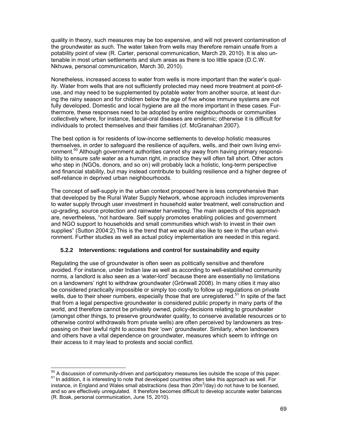quality in theory, such measures may be too expensive, and will not prevent contamination of the groundwater as such. The water taken from wells may therefore remain unsafe from a potability point of view (R. Carter, personal communication, March 29, 2010). It is also untenable in most urban settlements and slum areas as there is too little space (D.C.W. Nkhuwa, personal communication, March 30, 2010).

Nonetheless, increased access to water from wells is more important than the water's quality. Water from wells that are not sufficiently protected may need more treatment at point-ofuse, and may need to be supplemented by potable water from another source, at least during the rainy season and for children below the age of five whose immune systems are not fully developed. Domestic and local hygiene are all the more important in these cases. Furthermore, these responses need to be adopted by entire neighbourhoods or communities collectively where, for instance, faecal-oral diseases are endemic; otherwise it is difficult for individuals to protect themselves and their families (cf. McGranahan 2007).

The best option is for residents of low-income settlements to develop holistic measures themselves, in order to safeguard the resilience of aquifers, wells, and their own living environment.<sup>50</sup> Although government authorities cannot shy away from having primary responsibility to ensure *safe* water as a human right, in practice they will often fall short. Other actors who step in (NGOs, donors, and so on) will probably lack a holistic, long-term perspective and financial stability, but may instead contribute to building resilience and a higher degree of self-reliance in deprived urban neighbourhoods.

The concept of self-supply in the urban context proposed here is less comprehensive than that developed by the Rural Water Supply Network, whose approach includes improvements to water supply through user investment in household water treatment, well construction and up-grading, source protection and rainwater harvesting. The main aspects of this approach are, nevertheless, "not hardware. Self supply promotes enabling policies and government and NGO support to households and small communities which wish to invest in their own supplies" (Sutton 2004:2).This is the trend that we would also like to see in the urban environment. Further studies as well as actual policy implementation are needed in this regard.

## **5.2.2 Interventions: regulations and control for sustainability and equity**

Regulating the use of groundwater is often seen as politically sensitive and therefore avoided. For instance, under Indian law as well as according to well-established community norms, a landlord is also seen as a 'water-lord' because there are essentially no limitations on a landowners' right to withdraw groundwater (Grönwall 2008). In many cities it may also be considered practically impossible or simply too costly to follow up regulations on private wells, due to their sheer numbers, especially those that are unregistered.<sup>51</sup> In spite of the fact that from a legal perspective groundwater is considered public property in many parts of the world, and therefore cannot be privately owned, policy-decisions relating to groundwater (amongst other things, to preserve groundwater quality, to conserve available resources or to otherwise control withdrawals from private wells) are often perceived by landowners as trespassing on their lawful right to access their 'own' groundwater. Similarly, when landowners and others have a vital dependence on groundwater, measures which seem to infringe on their access to it may lead to protests and social conflict.

 $^{50}$  A discussion of community-driven and participatory measures lies outside the scope of this paper.<br><sup>51</sup> In addition, it is interesting to note that developed countries often take this approach as well. For instance, in England and Wales small abstractions (less than 20m $3$ /day) do not have to be licensed, and so are effectively unregulated. It therefore becomes difficult to develop accurate water balances (R. Boak, personal communication, June 15, 2010).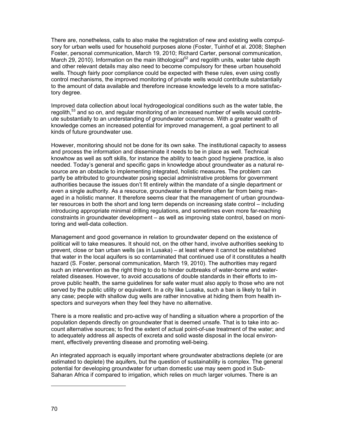There are, nonetheless, calls to also make the registration of new and existing wells compulsory for urban wells used for household purposes alone (Foster, Tuinhof et al. 2008; Stephen Foster, personal communication, March 19, 2010; Richard Carter, personal communication, March 29, 2010). Information on the main lithological<sup>52</sup> and regolith units, water table depth and other relevant details may also need to become compulsory for these urban household wells. Though fairly poor compliance could be expected with these rules, even using costly control mechanisms, the improved monitoring of private wells would contribute substantially to the amount of data available and therefore increase knowledge levels to a more satisfactory degree.

Improved data collection about local hydrogeological conditions such as the water table, the regolith,<sup>53</sup> and so on, and regular monitoring of an increased number of wells would contribute substantially to an understanding of groundwater occurrence. With a greater wealth of knowledge comes an increased potential for improved management, a goal pertinent to all kinds of future groundwater use.

However, monitoring should not be done for its own sake. The institutional capacity to assess and process the information and disseminate it needs to be in place as well. Technical knowhow as well as soft skills, for instance the ability to teach good hygiene practice, is also needed. Today's general and specific gaps in knowledge about groundwater as a natural resource are an obstacle to implementing integrated, holistic measures. The problem can partly be attributed to groundwater posing special administrative problems for government authorities because the issues don't fit entirely within the mandate of a single department or even a single authority. As a resource, groundwater is therefore often far from being managed in a holistic manner. It therefore seems clear that the management of urban groundwater resources in both the short and long term depends on increasing state control – including introducing appropriate minimal drilling regulations, and sometimes even more far-reaching constraints in groundwater development – as well as improving state control, based on monitoring and well-data collection.

Management and good governance in relation to groundwater depend on the existence of political will to take measures. It should not, on the other hand, involve authorities seeking to prevent, close or ban urban wells (as in Lusaka) – at least where it cannot be established that water in the local aquifers is so contaminated that continued use of it constitutes a health hazard (S. Foster, personal communication, March 19, 2010). The authorities may regard such an intervention as the right thing to do to hinder outbreaks of water-borne and waterrelated diseases. However, to avoid accusations of double standards in their efforts to improve public health, the same guidelines for safe water must also apply to those who are not served by the public utility or equivalent. In a city like Lusaka, such a ban is likely to fail in any case; people with shallow dug wells are rather innovative at hiding them from health inspectors and surveyors when they feel they have no alternative.

There is a more realistic and pro-active way of handling a situation where a proportion of the population depends directly on groundwater that is deemed unsafe. That is to take into account alternative sources; to find the extent of actual point-of-use treatment of the water; and to adequately address all aspects of excreta and solid waste disposal in the local environment, effectively preventing disease and promoting well-being.

An integrated approach is equally important where groundwater abstractions deplete (or are estimated to deplete) the aquifers, but the question of sustainability is complex. The general potential for developing groundwater for urban domestic use may seem good in Sub-Saharan Africa if compared to irrigation, which relies on much larger volumes. There is an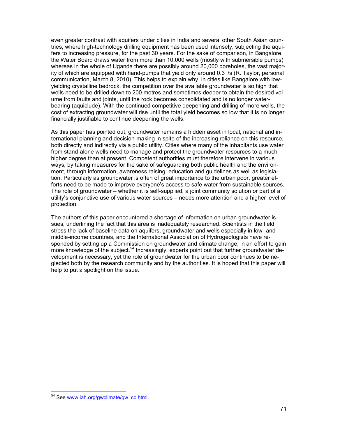even greater contrast with aquifers under cities in India and several other South Asian countries, where high-technology drilling equipment has been used intensely, subjecting the aquifers to increasing pressure, for the past 30 years. For the sake of comparison, in Bangalore the Water Board draws water from more than 10,000 wells (mostly with submersible pumps) whereas in the whole of Uganda there are possibly around 20,000 boreholes, the vast majority of which are equipped with hand-pumps that yield only around 0.3 l/s (R. Taylor, personal communication, March 8, 2010). This helps to explain why, in cities like Bangalore with lowyielding crystalline bedrock, the competition over the available groundwater is so high that wells need to be drilled down to 200 metres and sometimes deeper to obtain the desired volume from faults and joints, until the rock becomes consolidated and is no longer waterbearing (aquiclude). With the continued competitive deepening and drilling of more wells, the cost of extracting groundwater will rise until the total yield becomes so low that it is no longer financially justifiable to continue deepening the wells.

As this paper has pointed out, groundwater remains a hidden asset in local, national and international planning and decision-making in spite of the increasing reliance on this resource, both directly and indirectly via a public utility. Cities where many of the inhabitants use water from stand-alone wells need to manage and protect the groundwater resources to a much higher degree than at present. Competent authorities must therefore intervene in various ways, by taking measures for the sake of safeguarding both public health and the environment, through information, awareness raising, education and guidelines as well as legislation. Particularly as groundwater is often of great importance to the urban poor, greater efforts need to be made to improve everyone's access to safe water from sustainable sources. The role of groundwater – whether it is self-supplied, a joint community solution or part of a utility's conjunctive use of various water sources – needs more attention and a higher level of protection.

The authors of this paper encountered a shortage of information on urban groundwater issues, underlining the fact that this area is inadequately researched. Scientists in the field stress the lack of baseline data on aquifers, groundwater and wells especially in low- and middle-income countries, and the International Association of Hydrogeologists have responded by setting up a Commission on groundwater and climate change, in an effort to gain more knowledge of the subject.<sup>54</sup> Increasingly, experts point out that further groundwater development is necessary, yet the role of groundwater for the urban poor continues to be neglected both by the research community and by the authorities. It is hoped that this paper will help to put a spotlight on the issue.

l <sup>54</sup> See www.iah.org/gwclimate/gw\_cc.html.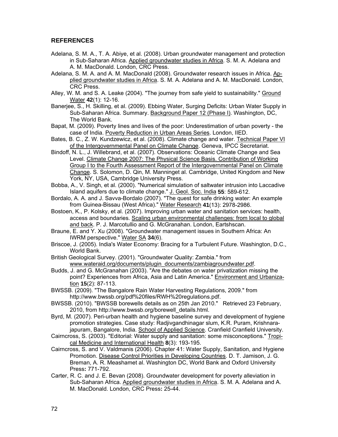# **REFERENCES**

- Adelana, S. M. A., T. A. Abiye, et al. (2008). Urban groundwater management and protection in Sub-Saharan Africa. Applied groundwater studies in Africa. S. M. A. Adelana and A. M. MacDonald. London, CRC Press.
- Adelana, S. M. A. and A. M. MacDonald (2008). Groundwater research issues in Africa. Applied groundwater studies in Africa. S. M. A. Adelana and A. M. MacDonald. London, CRC Press.
- Alley, W. M. and S. A. Leake (2004). "The journey from safe yield to sustainability." Ground Water **42**(1): 12-16.
- Banerjee, S., H. Skilling, et al. (2009). Ebbing Water, Surging Deficits: Urban Water Supply in Sub-Saharan Africa. Summary. Background Paper 12 (Phase I). Washington, DC, The World Bank.
- Bapat, M. (2009). Poverty lines and lives of the poor: Underestimation of urban poverty the case of India. Poverty Reduction in Urban Areas Series. London, IIED.
- Bates, B. C., Z. W. Kundzewicz, et al. (2008). Climate change and water. Technical Paper VI of the Intergovernmental Panel on Climate Change. Geneva, IPCC Secretariat.
- Bindoff, N. L., J. Willebrand, et al. (2007). Observations: Oceanic Climate Change and Sea Level. Climate Change 2007: The Physical Science Basis. Contribution of Working Group I to the Fourth Assessment Report of the Intergovernmental Panel on Climate Change. S. Solomon, D. Qin, M. Manninget al. Cambridge, United Kingdom and New York, NY, USA, Cambridge University Press.
- Bobba, A., V. Singh, et al. (2000). "Numerical simulation of saltwater intrusion into Laccadive Island aquifers due to climate change." J. Geol. Soc. India **55**: 589-612.
- Bordalo, A. A. and J. Savva-Bordalo (2007). "The quest for safe drinking water: An example from Guinea-Bissau (West Africa)." Water Research **41**(13): 2978-2986.
- Bostoen, K., P. Kolsky, et al. (2007). Improving urban water and sanitation services: health, access and boundaries. Scaling urban environmental challenges: from local to global and back. P. J. Marcotullio and G. McGranahan. London, Eartshscan.
- Braune, E. and Y. Xu (2008). "Groundwater management issues in Southern Africa: An IWRM perspective." Water SA **34**(6).
- Briscoe, J. (2005). India's Water Economy: Bracing for a Turbulent Future. Washington, D.C., World Bank.
- British Geological Survey. (2001). "Groundwater Quality: Zambia." from www.wateraid.org/documents/plugin\_documents/zambiagroundwater.pdf.
- Budds, J. and G. McGranahan (2003). "Are the debates on water privatization missing the point? Experiences from Africa, Asia and Latin America." Environment and Urbanization **15**(2): 87-113.
- BWSSB. (2009). "The Bangalore Rain Water Harvesting Regulations, 2009." from http://www.bwssb.org/pdf%20files/RWH%20regulations.pdf.
- BWSSB. (2010). "BWSSB borewells details as on 25th Jan 2010." Retrieved 23 February, 2010, from http://www.bwssb.org/borewell\_details.html.
- Byrd, M. (2007). Peri-urban health and hygiene baseline survey and development of hygiene promotion strategies. Case study: Radjivgandhinagar slum, K.R. Puram, Krishnarajapuram, Bangalore, India. School of Applied Science. Cranfield Cranfield University.
- Cairncross, S. (2003). "Editorial: Water supply and sanitation: some misconceptions." Tropical Medicine and International Health **8**(3): 193-195.
- Cairncross, S. and V. Valdmanis (2006). Chapter 41: Water Supply, Sanitation, and Hygiene Promotion. Disease Control Priorities in Developing Countries. D. T. Jamison, J. G. Breman, A. R. Meashamet al. Washington DC, World Bank and Oxford University Press**:** 771-792.
- Carter, R. C. and J. E. Bevan (2008). Groundwater development for poverty alleviation in Sub-Saharan Africa. Applied groundwater studies in Africa. S. M. A. Adelana and A. M. MacDonald. London, CRC Press**:** 25-44.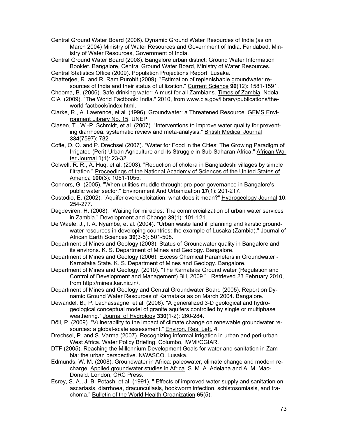Central Ground Water Board (2006). Dynamic Ground Water Resources of India (as on March 2004) Ministry of Water Resources and Government of India. Faridabad, Ministry of Water Resources, Government of India.

Central Ground Water Board (2008). Bangalore urban district: Ground Water Information Booklet. Bangalore, Central Ground Water Board, Ministry of Water Resources.

Central Statistics Office (2009). Population Projections Report. Lusaka.

Chatterjee, R. and R. Ram Purohit (2009). "Estimation of replenishable groundwater resources of India and their status of utilization." Current Science **96**(12): 1581-1591.

- Chooma, B. (2006). Safe drinking water: A must for all Zambians. Times of Zambia. Ndola.
- CIA (2009). "The World Factbook: India." 2010, from www.cia.gov/library/publications/theworld-factbook/index.html.
- Clarke, R., A. Lawrence, et al. (1996). Groundwater: a Threatened Resource. GEMS Environment Library No. 15, UNEP.
- Clasen, T., W.-P. Schmidt, et al. (2007). "Interventions to improve water quality for preventing diarrhoea: systematic review and meta-analysis." British Medical Journal **334**(7597): 782-.
- Cofie, O. O. and P. Drechsel (2007). "Water for Food in the Cities: The Growing Paradigm of Irrigated (Peri)-Urban Agriculture and its Struggle in Sub-Saharan Africa." African Water Journal **1**(1): 23-32.
- Colwell, R. R., A. Huq, et al. (2003). "Reduction of cholera in Bangladeshi villages by simple filtration." Proceedings of the National Academy of Sciences of the United States of America **100**(3): 1051-1055.
- Connors, G. (2005). "When utilities muddle through: pro-poor governance in Bangalore's public water sector." Environment And Urbanization **17**(1): 201-217.
- Custodio, E. (2002). "Aquifer overexploitation: what does it mean?" Hydrogeology Journal **10**: 254-277.
- Dagdeviren, H. (2008). "Waiting for miracles: The commercialization of urban water services in Zambia." Development and Change **39**(1): 101-121.
- De Waele, J., I. A. Nyambe, et al. (2004). "Urban waste landfill planning and karstic groundwater resources in developing countries: the example of Lusaka (Zambia)." Journal of African Earth Sciences **39**(3-5): 501-508.
- Department of Mines and Geology (2003). Status of Groundwater quality in Bangalore and its environs. K. S. Department of Mines and Geology. Bangalore.
- Department of Mines and Geology (2006). Excess Chemical Parameters in Groundwater Karnataka State. K. S. Department of Mines and Geology. Bangalore.
- Department of Mines and Geology. (2010). "The Karnataka Ground water (Regulation and Control of Development and Management) Bill, 2009." Retrieved 23 February 2010, from http://mines.kar.nic.in/.
- Department of Mines and Geology and Central Groundwater Board (2005). Report on Dynamic Ground Water Resources of Karnataka as on March 2004. Bangalore.
- Dewandel, B., P. Lachassagne, et al. (2006). "A generalized 3-D geological and hydrogeological conceptual model of granite aquifers controlled by single or multiphase weathering." Journal of Hydrology **330**(1-2): 260-284.
- Döll, P. (2009). "Vulnerability to the impact of climate change on renewable groundwater resources: a global-scale assessment." Environ. Res. Lett. **4**.
- Drechsel, P. and S. Varma (2007). Recognizing informal irrigation in urban and peri-urban West Africa. Water Policy Briefing. Columbo, IWMI/CGIAR.
- DTF (2005). Reaching the Millennium Development Goals for water and sanitation in Zambia: the urban perspective. NWASCO. Lusaka.
- Edmunds, W. M. (2008). Groundwater in Africa: paleowater, climate change and modern recharge. Applied groundwater studies in Africa. S. M. A. Adelana and A. M. Mac-Donald. London, CRC Press.
- Esrey, S. A., J. B. Potash, et al. (1991). " Effects of improved water supply and sanitation on ascariasis, diarrhoea, dracunculiasis, hookworm infection, schistosomiasis, and trachoma." Bulletin of the World Health Organization **65**(5).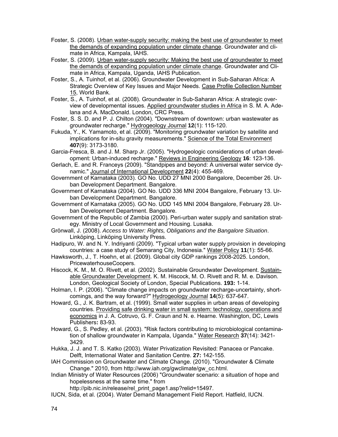- Foster, S. (2008). Urban water-supply security: making the best use of groundwater to meet the demands of expanding population under climate change. Groundwater and climate in Africa, Kampala, IAHS.
- Foster, S. (2009). Urban water-supply security: Making the best use of groundwater to meet the demands of expanding population under climate change. Groundwater and Climate in Africa, Kampala, Uganda, IAHS Publication.
- Foster, S., A. Tuinhof, et al. (2006). Groundwater Development in Sub-Saharan Africa: A Strategic Overview of Key Issues and Major Needs. Case Profile Collection Number 15, World Bank.
- Foster, S., A. Tuinhof, et al. (2008). Groundwater in Sub-Saharan Africa: A strategic overview of developmental issues. Applied groundwater studies in Africa in S. M. A. Adelana and A. MacDonald. London, CRC Press.
- Foster, S. S. D. and P. J. Chilton (2004). "Downstream of downtown: urban wastewater as groundwater recharge." Hydrogeology Journal **12**(1): 115-120.
- Fukuda, Y., K. Yamamoto, et al. (2009). "Monitoring groundwater variation by satellite and implications for in-situ gravity measurements." Science of the Total Environment **407**(9): 3173-3180.
- Garcia-Fresca, B. and J. M. Sharp Jr. (2005). "Hydrogeologic considerations of urban development: Urban-induced recharge." Reviews in Engineering Geology **16**: 123-136.
- Gerlach, E. and R. Franceys (2009). "Standpipes and beyond: A universal water service dynamic." Journal of International Development **22**(4): 455-469.
- Government of Karnataka (2003). GO No. UDD 27 MNI 2000 Bangalore, December 26. Urban Development Department. Bangalore.
- Government of Karnataka (2004). GO No. UDD 336 MNI 2004 Bangalore, February 13. Urban Development Department. Bangalore.
- Government of Karnataka (2005). GO No. UDD 145 MNI 2004 Bangalore, February 28. Urban Development Department. Bangalore.
- Government of the Republic of Zambia (2000). Peri-urban water supply and sanitation strategy. Ministry of Local Government and Housing. Lusaka.
- Grönwall, J. (2008). *Access to Water: Rights, Obligations and the Bangalore Situation*. Linköping, Linköping University Press.
- Hadipuro, W. and N. Y. Indriyanti (2009). "Typical urban water supply provision in developing countries: a case study of Semarang City, Indonesia." Water Policy **11**(1): 55-66.
- Hawksworth, J., T. Hoehn, et al. (2009). Global city GDP rankings 2008-2025. London, PricewaterhouseCoopers.
- Hiscock, K. M., M. O. Rivett, et al. (2002). Sustainable Groundwater Development. Sustainable Groundwater Development. K. M. Hiscock, M. O. Rivett and R. M. e. Davison. London, Geological Society of London, Special Publications. **193:** 1-14.
- Holman, I. P. (2006). "Climate change impacts on groundwater recharge-uncertainty, shortcomings, and the way forward?" Hydrogeology Journal **14**(5): 637-647.
- Howard, G., J. K. Bartram, et al. (1999). Small water supplies in urban areas of developing countries. Providing safe drinking water in small system: technology, operations and economics in J. A. Cotruvo, G. F. Craun and N. e. Hearne. Washington, DC, Lewis Publishers**:** 83-93.
- Howard, G., S. Pedley, et al. (2003). "Risk factors contributing to microbiological contamination of shallow groundwater in Kampala, Uganda." Water Research **37**(14): 3421- 3429.
- Hukka, J. J. and T. S. Katko (2003). Water Privatization Revisited: Panacea or Pancake. Delft, International Water and Sanitation Centre. **27:** 142-155.
- IAH Commission on Groundwater and Climate Change. (2010). "Groundwater & Climate Change." 2010, from http://www.iah.org/gwclimate/gw\_cc.html.
- Indian Ministry of Water Resources (2006) "Groundwater scenario: a situation of hope and hopelessness at the same time." from

http://pib.nic.in/release/rel\_print\_page1.asp?relid=15497.

IUCN, Sida, et al. (2004). Water Demand Management Field Report. Hatfield, IUCN.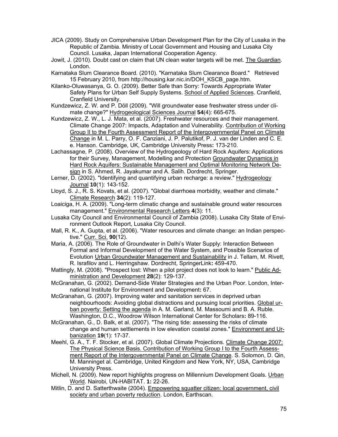- JICA (2009). Study on Comprehensive Urban Development Plan for the City of Lusaka in the Republic of Zambia. Ministry of Local Government and Housing and Lusaka City Council. Lusaka, Japan International Cooperation Agency.
- Jowit, J. (2010). Doubt cast on claim that UN clean water targets will be met. The Guardian. London.
- Karnataka Slum Clearance Board. (2010). "Karnataka Slum Clearance Board." Retrieved 15 February 2010, from http://housing.kar.nic.in/DOH\_KSCB\_page.htm.
- Kilanko-Oluwasanya, G. O. (2009). Better Safe than Sorry: Towards Appropriate Water Safety Plans for Urban Self Supply Systems. School of Applied Sciences. Cranfield, Cranfield University.
- Kundzewicz, Z. W. and P. Döll (2009). "Will groundwater ease freshwater stress under climate change?" Hydrogeological Sciences Journal **54**(4): 665-675.
- Kundzewicz, Z. W., L. J. Mata, et al. (2007). Freshwater resources and their management. Climate Change 2007: Impacts, Adaptation and Vulnerability. Contribution of Working Group II to the Fourth Assessment Report of the Intergovernmental Panel on Climate Change in M. L. Parry, O. F. Canziani, J. P. Palutikof, P. J. van der Linden and C. E. e. Hanson. Cambridge, UK, Cambridge University Press**:** 173-210.
- Lachassagne, P. (2008). Overview of the Hydrogeology of Hard Rock Aquifers: Applications for their Survey, Management, Modelling and Protection Groundwater Dynamics in Hard Rock Aquifers: Sustainable Management and Optimal Monitoring Network Design in S. Ahmed, R. Jayakumar and A. Salih. Dordrecht, Springer.
- Lerner, D. (2002). "Identifying and quantifying urban recharge: a review." Hydrogeology Journal **10**(1): 143-152.
- Lloyd, S. J., R. S. Kovats, et al. (2007). "Global diarrhoea morbidity, weather and climate." Climate Research **34**(2): 119-127.
- Loaiciga, H. A. (2009). "Long-term climatic change and sustainable ground water resources management." Environmental Research Letters **4**(3): 11.
- Lusaka City Council and Environmental Council of Zambia (2008). Lusaka City State of Environment Outlook Report, Lusaka City Council.
- Mall, R. K., A. Gupta, et al. (2006). "Water resources and climate change: an Indian perspective." Curr. Sci. **90**(12).
- Maria, A. (2006). The Role of Groundwater in Delhi's Water Supply: Interaction Between Formal and Informal Development of the Water System, and Possible Scenarios of Evolution Urban Groundwater Management and Sustainability in J. Tellam, M. Rivett, R. Israfilov and L. Herringshaw. Dordrecht, SpringerLink**:** 459-470.
- Mattingly, M. (2008). "Prospect lost: When a pilot project does not look to learn." Public Administration and Development **28**(2): 129-137.
- McGranahan, G. (2002). Demand-Side Water Strategies and the Urban Poor. London, International Institute for Environment and Development**:** 67.
- McGranahan, G. (2007). Improving water and sanitation services in deprived urban neighbourhoods: Avoiding global distractions and pursuing local priorities. Global urban poverty: Setting the agenda in A. M. Garland, M. Massoumi and B. A. Ruble. Washington, D.C., Woodrow Wilson International Center for Scholars**:** 89-116.
- McGranahan, G., D. Balk, et al. (2007). "The rising tide: assessing the risks of climate change and human settlements in low elevation coastal zones." Environment and Urbanization **19**(1): 17-37.
- Meehl, G. A., T. F. Stocker, et al. (2007). Global Climate Projections. Climate Change 2007: The Physical Science Basis. Contribution of Working Group I to the Fourth Assessment Report of the Intergovernmental Panel on Climate Change. S. Solomon, D. Qin, M. Manninget al. Cambridge, United Kingdom and New York, NY, USA, Cambridge University Press.
- Michell, N. (2009). New report highlights progress on Millennium Development Goals. Urban World. Nairobi, UN-HABITAT. **1:** 22-26.
- Mitlin, D. and D. Satterthwaite (2004). Empowering squatter citizen: local government, civil society and urban poverty reduction. London, Earthscan.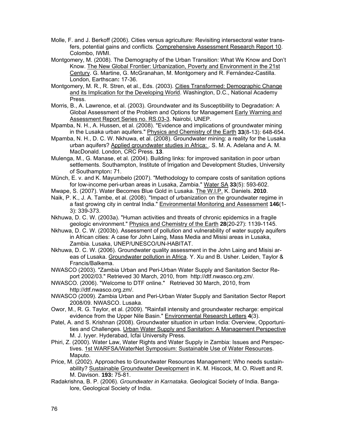- Molle, F. and J. Berkoff (2006). Cities versus agriculture: Revisiting intersectoral water transfers, potential gains and conflicts. Comprehensive Assessment Research Report 10. Colombo, IWMI.
- Montgomery, M. (2008). The Demography of the Urban Transition: What We Know and Don't Know. The New Global Frontier: Urbanization, Poverty and Environment in the 21st Century. G. Martine, G. McGranahan, M. Montgomery and R. Fernández-Castilla. London, Earthscan**:** 17-36.
- Montgomery, M. R., R. Stren, et al., Eds. (2003). Cities Transformed: Demographic Change and its Implication for the Developing World. Washington, D.C., National Academy Press.
- Morris, B., A. Lawrence, et al. (2003). Groundwater and its Susceptibility to Degradation: A Global Assessment of the Problem and Options for Management Early Warning and Assessment Report Series no. RS.03-3. Nairobi, UNEP.
- Mpamba, N. H., A. Hussen, et al. (2008). "Evidence and implications of groundwater mining in the Lusaka urban aquifers." Physics and Chemistry of the Earth **33**(8-13): 648-654.
- Mpamba, N. H., D. C. W. Nkhuwa, et al. (2008). Groundwater mining: a reality for the Lusaka urban aquifers? Applied groundwater studies in Africa: . S. M. A. Adelana and A. M. MacDonald. London, CRC Press. **13**.
- Mulenga, M., G. Manase, et al. (2004). Building links: for improved sanitation in poor urban settlements. Southampton, Institute of Irrigation and Development Studies, University of Southampton**:** 71.
- Münch, E. v. and K. Mayumbelo (2007). "Methodology to compare costs of sanitation options for low-income peri-urban areas in Lusaka, Zambia." Water SA **33**(5): 593-602.
- Mwape, S. (2007). Water Becomes Blue Gold in Lusaka. The W.I.P. K. Daniels. **2010**.
- Naik, P. K., J. A. Tambe, et al. (2008). "Impact of urbanization on the groundwater regime in a fast growing city in central India." Environmental Monitoring and Assessment **146**(1- 3): 339-373.
- Nkhuwa, D. C. W. (2003a). "Human activities and threats of chronic epidemics in a fragile geologic environment." Physics and Chemistry of the Earth **28**(20-27): 1139-1145.
- Nkhuwa, D. C. W. (2003b). Assessment of pollution and vulnerability of water supply aquifers in African cities: A case for John Laing, Mass Media and Misisi areas in Lusaka, Zambia. Lusaka, UNEP/UNESCO/UN-HABITAT.
- Nkhuwa, D. C. W. (2006). Groundwater quality assessment in the John Laing and Misisi areas of Lusaka. Groundwater pollution in Africa. Y. Xu and B. Usher. Leiden, Taylor & Francis/Balkema.
- NWASCO (2003). "Zambia Urban and Peri-Urban Water Supply and Sanitation Sector Report 2002/03." Retrieved 30 March, 2010, from http://dtf.nwasco.org.zm/.
- NWASCO. (2006). "Welcome to DTF online." Retrieved 30 March, 2010, from http://dtf.nwasco.org.zm/.
- NWASCO (2009). Zambia Urban and Peri-Urban Water Supply and Sanitation Sector Report 2008/09. NWASCO. Lusaka.
- Owor, M., R. G. Taylor, et al. (2009). "Rainfall intensity and groundwater recharge: empirical evidence from the Upper Nile Basin." Environmental Research Letters **4**(3).
- Patel, A. and S. Krishnan (2008). Groundwater situation in urban India: Overview, Opportunities and Challenges. Urban Water Supply and Sanitation: A Management Perspective M. J. Iyyer. Hyderabad, Icfai University Press.
- Phiri, Z. (2000). Water Law, Water Rights and Water Supply in Zambia: Issues and Perspectives. 1st WARFSA/WaterNet Symposium: Sustainable Use of Water Resources. Maputo.
- Price, M. (2002). Approaches to Groundwater Resources Management: Who needs sustainability? Sustainable Groundwater Development in K. M. Hiscock, M. O. Rivett and R. M. Davison. **193:** 75-81.
- Radakrishna, B. P. (2006). *Groundwater in Karnataka*. Geological Society of India. Bangalore, Geological Society of India.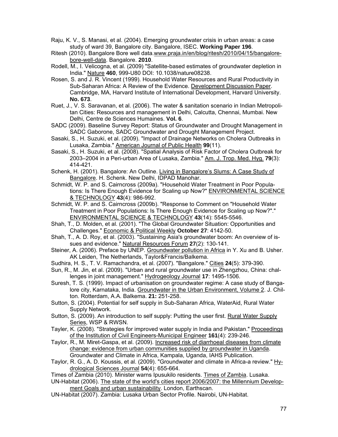- Raju, K. V., S. Manasi, et al. (2004). Emerging groundwater crisis in urban areas: a case study of ward 39, Bangalore city. Bangalore, ISEC. **Working Paper 196**.
- Ritesh (2010). Bangalore Bore well data.www.praja.in/en/blog/ritesh/2010/04/15/bangalorebore-well-data. Bangalore. **2010**.

Rodell, M., I. Velicogna, et al. (2009) "Satellite-based estimates of groundwater depletion in India." Nature **460**, 999-U80 DOI: 10.1038/nature08238.

- Rosen, S. and J. R. Vincent (1999). Household Water Resources and Rural Productivity in Sub-Saharan Africa: A Review of the Evidence. Development Discussion Paper. Cambridge, MA, Harvard Institute of International Development, Harvard University. **No. 673**.
- Ruet, J., V. S. Saravanan, et al. (2006). The water & sanitation scenario in Indian Metropolitan Cities: Resources and management in Delhi, Calcutta, Chennai, Mumbai. New Delhi, Centre de Sciences Humaines. **Vol. 6**.
- SADC (2009). Baseline Survey Report: Status of Groundwater and Drought Management in SADC Gaborone, SADC Groundwater and Drought Management Project.
- Sasaki, S., H. Suzuki, et al. (2009). "Impact of Drainage Networks on Cholera Outbreaks in Lusaka, Zambia." American Journal of Public Health **99**(11).
- Sasaki, S., H. Suzuki, et al. (2008). "Spatial Analysis of Risk Factor of Cholera Outbreak for 2003–2004 in a Peri-urban Area of Lusaka, Zambia." Am. J. Trop. Med. Hyg. **79**(3): 414-421.
- Schenk, H. (2001). Bangalore: An Outline. Living in Bangalore's Slums: A Case Study of Bangalore. H. Schenk. New Delhi, IDPAD Manohar.
- Schmidt, W. P. and S. Cairncross (2009a). "Household Water Treatment in Poor Populations: Is There Enough Evidence for Scaling up Now?" ENVIRONMENTAL SCIENCE & TECHNOLOGY **43**(4): 986-992.
- Schmidt, W. P. and S. Cairncross (2009b). "Response to Comment on "Household Water Treatment in Poor Populations: Is There Enough Evidence for Scaling up Now?"." ENVIRONMENTAL SCIENCE & TECHNOLOGY **43**(14): 5545-5546.
- Shah, T., D. Molden, et al. (2001). "The Global Groundwater Situation: Opportunities and Challenges." Economic & Political Weekly **October 27**: 4142-50.
- Shah, T., A. D. Roy, et al. (2003). "Sustaining Asia's groundwater boom: An overview of issues and evidence." Natural Resources Forum **27**(2): 130-141.
- Steiner, A. (2006). Preface by UNEP. Groundwater pollution in Africa in Y. Xu and B. Usher. AK Leiden, The Netherlands, Taylor&Francis/Balkema.
- Sudhira, H. S., T. V. Ramachandra, et al. (2007). "Bangalore." Cities **24**(5): 379-390.
- Sun, R., M. Jin, et al. (2009). "Urban and rural groundwater use in Zhengzhou, China: challenges in joint management." Hydrogeology Journal **17**: 1495-1506.
- Suresh, T. S. (1999). Impact of urbanisation on groundwater regime: A case study of Bangalore city, Karnataka, India. Groundwater in the Urban Environment, Volume 2. J. Chilton. Rotterdam, A.A. Balkema. **21:** 251-258.
- Sutton, S. (2004). Potential for self supply in Sub-Saharan Africa, WaterAid, Rural Water Supply Network.
- Sutton, S. (2009). An introduction to self supply: Putting the user first. Rural Water Supply Series, WSP & RWSN.
- Tayler, K. (2008). "Strategies for improved water supply in India and Pakistan." Proceedings of the Institution of Civil Engineers-Municipal Engineer **161**(4): 239-246.
- Taylor, R., M. Miret-Gaspa, et al. (2009). Increased risk of diarrhoeal diseases from climate change: evidence from urban communities supplied by groundwater in Uganda. Groundwater and Climate in Africa, Kampala, Uganda, IAHS Publication.
- Taylor, R. G., A. D. Koussis, et al. (2009). "Groundwater and climate in Africa-a review." Hydrological Sciences Journal **54**(4): 655-664.

Times of Zambia (2010). Minister warns Ipusukilo residents. Times of Zambia. Lusaka. UN-Habitat (2006). The state of the world's cities report 2006/2007: the Millennium Development Goals and urban sustainability. London, Earthscan.

UN-Habitat (2007). Zambia: Lusaka Urban Sector Profile. Nairobi, UN-Habitat.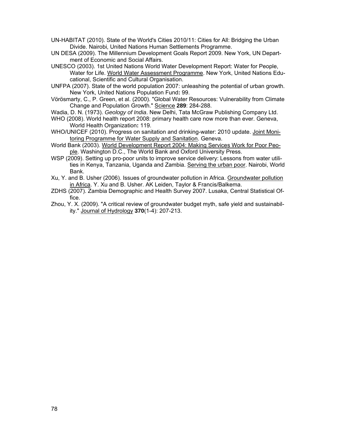- UN-HABITAT (2010). State of the World's Cities 2010/11: Cities for All: Bridging the Urban Divide. Nairobi, United Nations Human Settlements Programme.
- UN DESA (2009). The Millennium Development Goals Report 2009. New York, UN Department of Economic and Social Affairs.
- UNESCO (2003). 1st United Nations World Water Development Report: Water for People, Water for Life. World Water Assessment Programme. New York, United Nations Educational, Scientific and Cultural Organisation.
- UNFPA (2007). State of the world population 2007: unleashing the potential of urban growth. New York, United Nations Population Fund**:** 99.
- Vörösmarty, C., P. Green, et al. (2000). "Global Water Resources: Vulnerability from Climate Change and Population Growth." Science **289**: 284-288.
- Wadia, D. N. (1973). *Geology of India*. New Delhi, Tata McGraw Publishing Company Ltd.
- WHO (2008). World health report 2008: primary health care now more than ever. Geneva, World Health Organization**:** 119.
- WHO/UNICEF (2010). Progress on sanitation and drinking-water: 2010 update. Joint Monitoring Programme for Water Supply and Sanitation. Geneva.
- World Bank (2003). World Development Report 2004: Making Services Work for Poor People. Washington D.C., The World Bank and Oxford University Press.
- WSP (2009). Setting up pro-poor units to improve service delivery: Lessons from water utilities in Kenya, Tanzania, Uganda and Zambia. Serving the urban poor. Nairobi, World Bank.
- Xu, Y. and B. Usher (2006). Issues of groundwater pollution in Africa. Groundwater pollution in Africa. Y. Xu and B. Usher. AK Leiden, Taylor & Francis/Balkema.
- ZDHS (2007). Zambia Demographic and Health Survey 2007. Lusaka, Central Statistical Office.
- Zhou, Y. X. (2009). "A critical review of groundwater budget myth, safe yield and sustainability." Journal of Hydrology **370**(1-4): 207-213.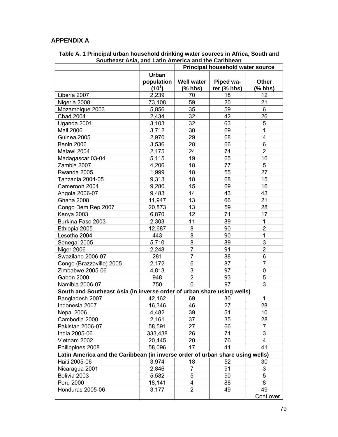# **APPENDIX A**

|                                                                               |              | <b>Principal household water source</b> |             |                |  |  |  |  |  |  |
|-------------------------------------------------------------------------------|--------------|-----------------------------------------|-------------|----------------|--|--|--|--|--|--|
|                                                                               | <b>Urban</b> |                                         |             |                |  |  |  |  |  |  |
|                                                                               | population   | <b>Well water</b>                       | Piped wa-   | <b>Other</b>   |  |  |  |  |  |  |
|                                                                               | $(10^3)$     | $(%$ hhs)                               | ter (% hhs) | $(%$ hhs)      |  |  |  |  |  |  |
| Liberia 2007                                                                  | 2,239        | 70                                      | 18          | 12             |  |  |  |  |  |  |
| Nigeria 2008                                                                  | 73,108       | 59                                      | 20          | 21             |  |  |  |  |  |  |
| Mozambique 2003                                                               | 5,856        | 35                                      | 59          | 6              |  |  |  |  |  |  |
| <b>Chad 2004</b>                                                              | 2,434        | 32                                      | 42          | 26             |  |  |  |  |  |  |
| Uganda 2001                                                                   | 3,103        | 32                                      | 63          | 5              |  |  |  |  |  |  |
| <b>Mali 2006</b>                                                              | 3,712        | 30                                      | 69          | $\mathbf 1$    |  |  |  |  |  |  |
| Guinea 2005                                                                   | 2,970        | 29                                      | 68          | 4              |  |  |  |  |  |  |
| Benin 2006                                                                    | 3,536        | 28<br>66                                |             |                |  |  |  |  |  |  |
| Malawi 2004                                                                   | 2,175        | 24                                      | 74          | $\overline{2}$ |  |  |  |  |  |  |
| Madagascar 03-04                                                              | 5,115        | 19                                      | 65          | 16             |  |  |  |  |  |  |
| Zambia 2007                                                                   | 4,206        | 18                                      | 77          | 5              |  |  |  |  |  |  |
| Rwanda 2005                                                                   | 1,999        | 18                                      | 55          | 27             |  |  |  |  |  |  |
| Tanzania 2004-05                                                              | 9,313        | 18                                      | 68          | 15             |  |  |  |  |  |  |
| Cameroon 2004                                                                 | 9,280        | 15                                      | 69          | 16             |  |  |  |  |  |  |
| Angola 2006-07                                                                | 9,483        | 14                                      | 43          | 43             |  |  |  |  |  |  |
| <b>Ghana 2008</b>                                                             | 11,947       | 13                                      | 66          | 21             |  |  |  |  |  |  |
| Congo Dem Rep 2007                                                            | 20,873       | 13                                      | 59          | 28             |  |  |  |  |  |  |
| Kenya 2003                                                                    | 6,870        | 12                                      | 71          | 17             |  |  |  |  |  |  |
| Burkina Faso 2003                                                             | 2,303        | 11                                      | 89          | $\mathbf 1$    |  |  |  |  |  |  |
| Ethiopia 2005                                                                 | 12,687       | 8                                       | 90          | $\overline{2}$ |  |  |  |  |  |  |
| Lesotho 2004                                                                  | 443          | 8                                       | 90          | $\mathbf 1$    |  |  |  |  |  |  |
| Senegal 2005                                                                  | 5,710        | 8                                       | 89          | 3              |  |  |  |  |  |  |
| Niger 2006                                                                    | 2,248        | $\overline{7}$                          | 91          | $\overline{2}$ |  |  |  |  |  |  |
| Swaziland 2006-07                                                             | 281          | $\overline{7}$                          | 88          | 6              |  |  |  |  |  |  |
| Congo (Brazzaville) 2005                                                      | 2,172        | 6                                       | 87          | $\overline{7}$ |  |  |  |  |  |  |
| Zimbabwe 2005-06                                                              | 4,813        | 3                                       | 97          | 0              |  |  |  |  |  |  |
| Gabon 2000                                                                    | 948          | $\overline{2}$                          | 93          | 5              |  |  |  |  |  |  |
| Namibia 2006-07                                                               | 750          | $\overline{0}$                          | 97          | 3              |  |  |  |  |  |  |
| South and Southeast Asia (in inverse order of urban share using wells)        |              |                                         |             |                |  |  |  |  |  |  |
| Bangladesh 2007                                                               | 42,162       | 69                                      | 30          | $\mathbf 1$    |  |  |  |  |  |  |
| Indonesia 2007                                                                | 16,346       | 46                                      | 27          | 28             |  |  |  |  |  |  |
| Nepal 2006                                                                    | 4,482        | 39                                      | 51          | 10             |  |  |  |  |  |  |
| Cambodia 2000                                                                 | 2,161        | 37                                      | 35          | 28             |  |  |  |  |  |  |
| Pakistan 2006-07                                                              | 58,591       | 27                                      | 66          | $\overline{7}$ |  |  |  |  |  |  |
| India 2005-06                                                                 | 333,438      | 26                                      | 71          | 3              |  |  |  |  |  |  |
| Vietnam 2002                                                                  | 20,445       | 20                                      | 76          | 4              |  |  |  |  |  |  |
| Philippines 2008                                                              | 58,096       | 17                                      | 41          | 41             |  |  |  |  |  |  |
| Latin America and the Caribbean (in inverse order of urban share using wells) |              |                                         |             |                |  |  |  |  |  |  |
| Haiti 2005-06                                                                 | 3,974        | 18                                      | 52          | 30             |  |  |  |  |  |  |
| Nicaragua 2001                                                                | 2,846        | $\overline{7}$                          | 91          | 3              |  |  |  |  |  |  |
| Bolivia 2003                                                                  | 5,582        | $\mathbf 5$                             | 90          | 5              |  |  |  |  |  |  |
| Peru 2000                                                                     | 18,141       | 4                                       | 88          | 8              |  |  |  |  |  |  |
| Honduras 2005-06                                                              | 3,177        | $\overline{2}$                          | 49          | 49             |  |  |  |  |  |  |
|                                                                               |              |                                         |             | Cont over      |  |  |  |  |  |  |

**Table A. 1 Principal urban household drinking water sources in Africa, South and Southeast Asia, and Latin America and the Caribbean**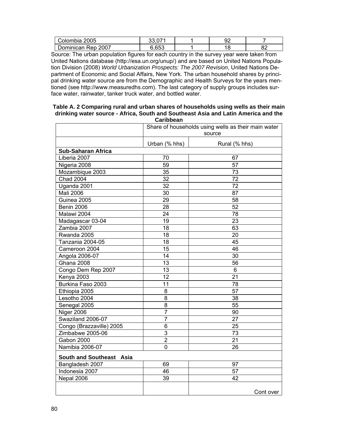| Colombia 2005      | $\sim$         | n'<br>ັ |           |
|--------------------|----------------|---------|-----------|
| Dominican Rep 2007 | こ ムビゴ<br>J.UJJ |         | n,<br>0Z. |

Source: The urban population figures for each country in the survey year were taken from United Nations database (http://esa.un.org/unup/) and are based on United Nations Population Division (2008) *World Urbanization Prospects: The 2007 Revision*, United Nations Department of Economic and Social Affairs, New York. The urban household shares by principal drinking water source are from the Demographic and Health Surveys for the years mentioned (see http://www.measuredhs.com). The last category of supply groups includes surface water, rainwater, tanker truck water, and bottled water.

#### **Table A. 2 Comparing rural and urban shares of households using wells as their main drinking water source - Africa, South and Southeast Asia and Latin America and the Caribbean**

|                           |                 | Share of households using wells as their main water<br>source |
|---------------------------|-----------------|---------------------------------------------------------------|
|                           | Urban (% hhs)   | Rural (% hhs)                                                 |
| <b>Sub-Saharan Africa</b> |                 |                                                               |
| Liberia 2007              | 70              | 67                                                            |
| Nigeria 2008              | $\overline{59}$ | $\overline{57}$                                               |
| Mozambique 2003           | 35              | 73                                                            |
| <b>Chad 2004</b>          | 32              | $\overline{7}2$                                               |
| Uganda 2001               | 32              | 72                                                            |
| <b>Mali 2006</b>          | 30              | 87                                                            |
| Guinea 2005               | 29              | 58                                                            |
| Benin 2006                | 28              | 52                                                            |
| Malawi 2004               | 24              | 78                                                            |
| Madagascar 03-04          | 19              | 23                                                            |
| Zambia 2007               | 18              | 63                                                            |
| Rwanda 2005               | 18              | 20                                                            |
| Tanzania 2004-05          | 18              | 45                                                            |
| Cameroon 2004             | 15              | 46                                                            |
| Angola 2006-07            | 14              | 30                                                            |
| Ghana 2008                | 13              | 56                                                            |
| Congo Dem Rep 2007        | 13              | 6                                                             |
| Kenya 2003                | 12              | 21                                                            |
| Burkina Faso 2003         | 11              | 78                                                            |
| Ethiopia 2005             | 8               | $\overline{57}$                                               |
| Lesotho 2004              | 8               | 38                                                            |
| Senegal 2005              | $\overline{8}$  | 55                                                            |
| Niger 2006                | $\overline{7}$  | 90                                                            |
| Swaziland 2006-07         | $\overline{7}$  | 27                                                            |
| Congo (Brazzaville) 2005  | 6               | 25                                                            |
| Zimbabwe 2005-06          | 3               | 73                                                            |
| Gabon 2000                | $\overline{2}$  | 21                                                            |
| Namibia 2006-07           | 0               | 26                                                            |
| South and Southeast Asia  |                 |                                                               |
| Bangladesh 2007           | 69              | 97                                                            |
| Indonesia 2007            | 46              | 57                                                            |
| Nepal 2006                | $\overline{39}$ | 42                                                            |
|                           |                 | Cont over                                                     |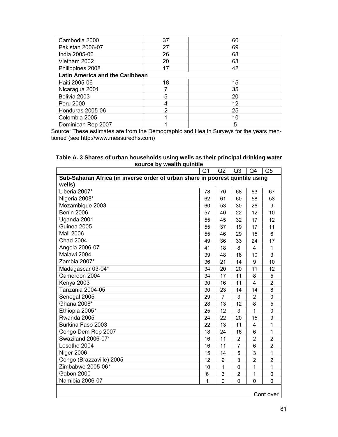| Cambodia 2000                          | 37 | 60 |  |  |  |  |  |  |
|----------------------------------------|----|----|--|--|--|--|--|--|
| Pakistan 2006-07                       | 27 | 69 |  |  |  |  |  |  |
| India 2005-06                          | 26 | 68 |  |  |  |  |  |  |
| Vietnam 2002                           | 20 | 63 |  |  |  |  |  |  |
| Philippines 2008                       | 17 | 42 |  |  |  |  |  |  |
| <b>Latin America and the Caribbean</b> |    |    |  |  |  |  |  |  |
| Haiti 2005-06                          | 18 | 15 |  |  |  |  |  |  |
| Nicaragua 2001                         |    | 35 |  |  |  |  |  |  |
| Bolivia 2003                           | 5  | 20 |  |  |  |  |  |  |
| Peru 2000                              | 4  | 12 |  |  |  |  |  |  |
| Honduras 2005-06                       | 2  | 25 |  |  |  |  |  |  |
| Colombia 2005                          |    | 10 |  |  |  |  |  |  |
| Dominican Rep 2007                     |    | 5  |  |  |  |  |  |  |

Source: These estimates are from the Demographic and Health Surveys for the years mentioned (see http://www.measuredhs.com)

| $3000000$ by weaking announce                                                 |    |                |                |                |                  |  |  |  |  |  |  |
|-------------------------------------------------------------------------------|----|----------------|----------------|----------------|------------------|--|--|--|--|--|--|
| Q <sub>1</sub><br>Q2<br>Q <sub>5</sub><br>Q <sub>3</sub><br>Q4                |    |                |                |                |                  |  |  |  |  |  |  |
| Sub-Saharan Africa (in inverse order of urban share in poorest quintile using |    |                |                |                |                  |  |  |  |  |  |  |
| wells)                                                                        |    |                |                |                |                  |  |  |  |  |  |  |
| Liberia 2007*                                                                 | 78 | 70             | 68             | 63             | 67               |  |  |  |  |  |  |
| Nigeria 2008*                                                                 | 62 | 61             | 60             | 58             | 53               |  |  |  |  |  |  |
| Mozambique 2003                                                               | 60 | 53             | 30             | 26             | $\boldsymbol{9}$ |  |  |  |  |  |  |
| Benin 2006                                                                    | 57 | 40             | 22             | 12             | 10               |  |  |  |  |  |  |
| Uganda 2001                                                                   | 55 | 45             | 32             | 17             | 12               |  |  |  |  |  |  |
| Guinea 2005                                                                   | 55 | 37             | 19             | 17             | 11               |  |  |  |  |  |  |
| <b>Mali 2006</b>                                                              | 55 | 46             | 29             | 15             | 6                |  |  |  |  |  |  |
| <b>Chad 2004</b>                                                              | 49 | 36             | 33             | 24             | 17               |  |  |  |  |  |  |
| Angola 2006-07                                                                | 41 | 18             | 8              | $\overline{4}$ | 1                |  |  |  |  |  |  |
| Malawi 2004                                                                   | 39 | 48             | 18             | 10             | 3                |  |  |  |  |  |  |
| Zambia 2007*                                                                  | 36 | 21             | 14             | 9              | 10               |  |  |  |  |  |  |
| Madagascar 03-04*                                                             | 34 | 20             | 20             | 11             | 12               |  |  |  |  |  |  |
| Cameroon 2004                                                                 | 34 | 17             | 11             | 8              | 5                |  |  |  |  |  |  |
| Kenya 2003                                                                    | 30 | 16             | 11             | $\overline{4}$ | $\overline{2}$   |  |  |  |  |  |  |
| Tanzania 2004-05                                                              | 30 | 23             | 14             | 14             | 8                |  |  |  |  |  |  |
| Senegal 2005                                                                  | 29 | $\overline{7}$ | 3              | $\overline{2}$ | 0                |  |  |  |  |  |  |
| Ghana 2008*                                                                   | 28 | 13             | 12             | 8              | 5                |  |  |  |  |  |  |
| Ethiopia 2005*                                                                | 25 | 12             | 3              | 1              | 0                |  |  |  |  |  |  |
| Rwanda 2005                                                                   | 24 | 22             | 20             | 15             | 9                |  |  |  |  |  |  |
| Burkina Faso 2003                                                             | 22 | 13             | 11             | 4              | 1                |  |  |  |  |  |  |
| Congo Dem Rep 2007                                                            | 18 | 24             | 16             | 6              | 1                |  |  |  |  |  |  |
| Swaziland 2006-07*                                                            | 16 | 11             | $\overline{2}$ | $\overline{2}$ | $\overline{2}$   |  |  |  |  |  |  |
| Lesotho 2004                                                                  | 16 | 11             | $\overline{7}$ | 6              | $\overline{2}$   |  |  |  |  |  |  |
| Niger 2006                                                                    | 15 | 14             | 5              | 3              | 1                |  |  |  |  |  |  |
| Congo (Brazzaville) 2005                                                      | 12 | 9              | 3              | $\overline{2}$ | $\overline{2}$   |  |  |  |  |  |  |
| Zimbabwe 2005-06*                                                             | 10 | 1              | $\mathbf 0$    | 1              | 1                |  |  |  |  |  |  |
| Gabon 2000                                                                    | 6  | 3              | 2              | 1              | 0                |  |  |  |  |  |  |
| Namibia 2006-07                                                               | 1  | $\overline{0}$ | 0              | $\mathbf 0$    | 0                |  |  |  |  |  |  |
|                                                                               |    |                |                |                |                  |  |  |  |  |  |  |

**Table A. 3 Shares of urban households using wells as their principal drinking water source by wealth quintile** 

Cont over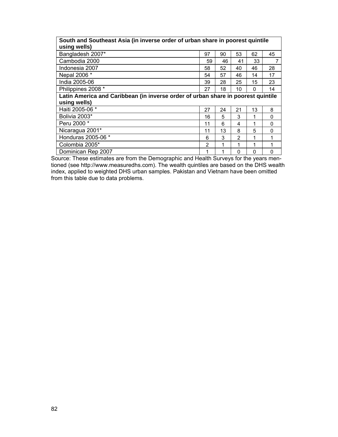## **South and Southeast Asia (in inverse order of urban share in poorest quintile using wells)**

| 97                                                                               | 90 | 53       | 62       | 45       |  |  |  |  |  |  |
|----------------------------------------------------------------------------------|----|----------|----------|----------|--|--|--|--|--|--|
| 59                                                                               | 46 | 41       | 33       |          |  |  |  |  |  |  |
| 58                                                                               | 52 | 40       | 46       | 28       |  |  |  |  |  |  |
| 54                                                                               | 57 | 46       | 14       | 17       |  |  |  |  |  |  |
| 39                                                                               | 28 | 25       | 15       | 23       |  |  |  |  |  |  |
| 27                                                                               | 18 | 10       | $\Omega$ | 14       |  |  |  |  |  |  |
| Latin America and Caribbean (in inverse order of urban share in poorest quintile |    |          |          |          |  |  |  |  |  |  |
|                                                                                  |    |          |          |          |  |  |  |  |  |  |
| 27                                                                               | 24 | 21       | 13       | 8        |  |  |  |  |  |  |
| 16                                                                               | 5  | 3        | 1        | $\Omega$ |  |  |  |  |  |  |
| 11                                                                               | 6  | 4        | 1        | 0        |  |  |  |  |  |  |
| 11                                                                               | 13 | 8        | 5        | 0        |  |  |  |  |  |  |
| 6                                                                                | 3  | 2        | 1        |          |  |  |  |  |  |  |
| 2                                                                                | 1  | 1        | 1        |          |  |  |  |  |  |  |
| 1                                                                                | 1  | $\Omega$ | $\Omega$ | 0        |  |  |  |  |  |  |
|                                                                                  |    |          |          |          |  |  |  |  |  |  |

Source: These estimates are from the Demographic and Health Surveys for the years mentioned (see http://www.measuredhs.com). The wealth quintiles are based on the DHS wealth index, applied to weighted DHS urban samples. Pakistan and Vietnam have been omitted from this table due to data problems.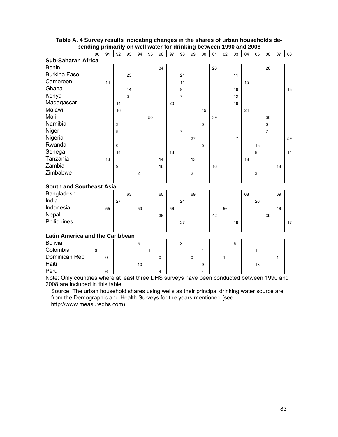|                                                                                            | 90       | 91       | 92        | 93 | 94             | 95 | 96                      | 97 | 98             | 99             | 00                      | 01 | 02 | 03 | 04 | 05           | 06             | 07           | 08 |
|--------------------------------------------------------------------------------------------|----------|----------|-----------|----|----------------|----|-------------------------|----|----------------|----------------|-------------------------|----|----|----|----|--------------|----------------|--------------|----|
| <b>Sub-Saharan Africa</b>                                                                  |          |          |           |    |                |    |                         |    |                |                |                         |    |    |    |    |              |                |              |    |
| <b>Benin</b>                                                                               |          |          |           |    |                |    | 34                      |    |                |                |                         | 26 |    |    |    |              | 28             |              |    |
| <b>Burkina Faso</b>                                                                        |          |          |           | 23 |                |    |                         |    | 21             |                |                         |    |    | 11 |    |              |                |              |    |
| Cameroon                                                                                   |          | 14       |           |    |                |    |                         |    | 11             |                |                         |    |    |    | 15 |              |                |              |    |
| Ghana                                                                                      |          |          |           | 14 |                |    |                         |    | 9              |                |                         |    |    | 19 |    |              |                |              | 13 |
| Kenya                                                                                      |          |          |           | 3  |                |    |                         |    | $\overline{7}$ |                |                         |    |    | 12 |    |              |                |              |    |
| Madagascar                                                                                 |          |          | 14        |    |                |    |                         | 20 |                |                |                         |    |    | 19 |    |              |                |              |    |
| Malawi                                                                                     |          |          | 16        |    |                |    |                         |    |                |                | 15                      |    |    |    | 24 |              |                |              |    |
| Mali                                                                                       |          |          |           |    |                | 50 |                         |    |                |                |                         | 39 |    |    |    |              | 30             |              |    |
| Namibia                                                                                    |          |          | 3         |    |                |    |                         |    |                |                | $\mathbf 0$             |    |    |    |    |              | 0              |              |    |
| Niger                                                                                      |          |          | 8         |    |                |    |                         |    | $\overline{7}$ |                |                         |    |    |    |    |              | $\overline{7}$ |              |    |
| Nigeria                                                                                    |          |          |           |    |                |    |                         |    |                | 27             |                         |    |    | 47 |    |              |                |              | 59 |
| Rwanda                                                                                     |          |          | $\pmb{0}$ |    |                |    |                         |    |                |                | 5                       |    |    |    |    | 18           |                |              |    |
| Senegal                                                                                    |          |          | 14        |    |                |    |                         | 13 |                |                |                         |    |    |    |    | 8            |                |              | 11 |
| Tanzania                                                                                   |          | 13       |           |    |                |    | 14                      |    |                | 13             |                         |    |    |    | 18 |              |                |              |    |
| Zambia                                                                                     |          |          | 9         |    |                |    | 16                      |    |                |                |                         | 16 |    |    |    |              |                | 18           |    |
| Zimbabwe                                                                                   |          |          |           |    | $\overline{2}$ |    |                         |    |                | $\overline{c}$ |                         |    |    |    |    | 3            |                |              |    |
|                                                                                            |          |          |           |    |                |    |                         |    |                |                |                         |    |    |    |    |              |                |              |    |
| <b>South and Southeast Asia</b>                                                            |          |          |           |    |                |    |                         |    |                |                |                         |    |    |    |    |              |                |              |    |
| Bangladesh                                                                                 |          |          |           | 63 |                |    | 60                      |    |                | 69             |                         |    |    |    | 68 |              |                | 69           |    |
| India                                                                                      |          |          | 27        |    |                |    |                         |    | 24             |                |                         |    |    |    |    | 26           |                |              |    |
| Indonesia                                                                                  |          | 55       |           |    | 59             |    |                         | 56 |                |                |                         |    | 56 |    |    |              |                | 46           |    |
| Nepal                                                                                      |          |          |           |    |                |    | 36                      |    |                |                |                         | 42 |    |    |    |              | 39             |              |    |
| Philippines                                                                                |          |          |           |    |                |    |                         |    | 27             |                |                         |    |    | 19 |    |              |                |              | 17 |
|                                                                                            |          |          |           |    |                |    |                         |    |                |                |                         |    |    |    |    |              |                |              |    |
| Latin America and the Caribbean                                                            |          |          |           |    |                |    |                         |    |                |                |                         |    |    |    |    |              |                |              |    |
| <b>Bolivia</b>                                                                             |          |          |           |    | 5              |    |                         |    | 3              |                |                         |    |    | 5  |    |              |                |              |    |
| Colombia                                                                                   | $\Omega$ |          |           |    |                | 1  |                         |    |                |                | 1                       |    |    |    |    | $\mathbf{1}$ |                |              |    |
| Dominican Rep                                                                              |          | $\Omega$ |           |    |                |    | $\mathbf 0$             |    |                | 0              |                         |    | 1  |    |    |              |                | $\mathbf{1}$ |    |
| Haiti                                                                                      |          |          |           |    | 10             |    |                         |    |                |                | 9                       |    |    |    |    | 18           |                |              |    |
| Peru                                                                                       |          | 6        |           |    |                |    | $\overline{\mathbf{4}}$ |    |                |                | $\overline{\mathbf{4}}$ |    |    |    |    |              |                |              |    |
| Note: Only countries where at least three DHS surveys have been conducted between 1990 and |          |          |           |    |                |    |                         |    |                |                |                         |    |    |    |    |              |                |              |    |
| 2008 are included in this table.                                                           |          |          |           |    |                |    |                         |    |                |                |                         |    |    |    |    |              |                |              |    |

## **Table A. 4 Survey results indicating changes in the shares of urban households depending primarily on well water for drinking between 1990 and 2008**

Source: The urban household shares using wells as their principal drinking water source are from the Demographic and Health Surveys for the years mentioned (see http://www.measuredhs.com).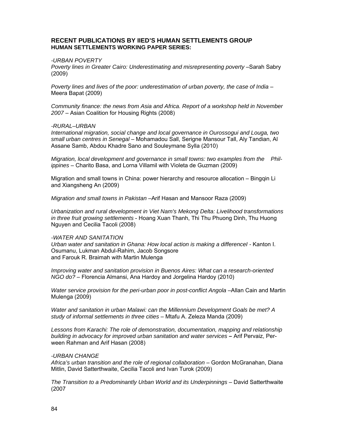## **RECENT PUBLICATIONS BY IIED'S HUMAN SETTLEMENTS GROUP HUMAN SETTLEMENTS WORKING PAPER SERIES:**

## *-URBAN POVERTY*

*Poverty lines in Greater Cairo: Underestimating and misrepresenting poverty* –Sarah Sabry (2009)

*Poverty lines and lives of the poor: underestimation of urban poverty, the case of India* – Meera Bapat (2009)

*Community finance: the news from Asia and Africa. Report of a workshop held in November 2007* – Asian Coalition for Housing Rights (2008)

### *-RURAL–URBAN*

*International migration, social change and local governance in Ourossogui and Louga, two small urban centres in Senegal* – Mohamadou Sall, Serigne Mansour Tall, Aly Tandian, Al Assane Samb, Abdou Khadre Sano and Souleymane Sylla (2010)

*Migration, local development and governance in small towns: two examples from the Philippines* – Charito Basa, and Lorna Villamil with Violeta de Guzman (2009)

Migration and small towns in China: power hierarchy and resource allocation – Bingqin Li and Xiangsheng An (2009)

*Migration and small towns in Pakistan* –Arif Hasan and Mansoor Raza (2009)

*Urbanization and rural development in Viet Nam's Mekong Delta: Livelihood transformations in three fruit growing settlements* - Hoang Xuan Thanh, Thi Thu Phuong Dinh, Thu Huong Nguyen and Cecilia Tacoli (2008)

### *-WATER AND SANITATION*

*Urban water and sanitation in Ghana: How local action is making a differenceI -* Kanton I. Osumanu, Lukman Abdul-Rahim, Jacob Songsore and Farouk R. Braimah with Martin Mulenga

*Improving water and sanitation provision in Buenos Aires: What can a research-oriented NGO do?* – Florencia Almansi, Ana Hardoy and Jorgelina Hardoy (2010)

Water service provision for the peri-urban poor in post-conflict Angola –Allan Cain and Martin Mulenga (2009)

*Water and sanitation in urban Malawi: can the Millennium Development Goals be met? A study of informal settlements in three cities* – Mtafu A. Zeleza Manda (2009)

*Lessons from Karachi: The role of demonstration, documentation, mapping and relationship*  **building in advocacy for improved urban sanitation and water services – Arif Pervaiz, Per**ween Rahman and Arif Hasan (2008)

### *-URBAN CHANGE*

*Africa's urban transition and the role of regional collaboration* – Gordon McGranahan, Diana Mitlin, David Satterthwaite, Cecilia Tacoli and Ivan Turok (2009)

*The Transition to a Predominantly Urban World and its Underpinnings* – David Satterthwaite (2007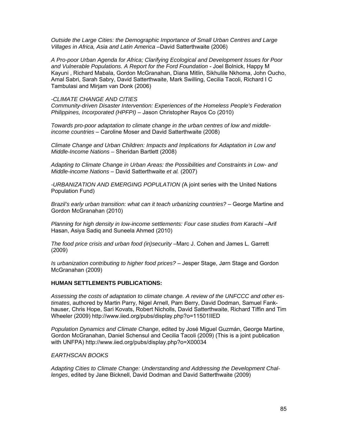*Outside the Large Cities: the Demographic Importance of Small Urban Centres and Large Villages in Africa, Asia and Latin America* –David Satterthwaite (2006)

*A Pro-poor Urban Agenda for Africa; Clarifying Ecological and Development Issues for Poor and Vulnerable Populations. A Report for the Ford Foundation* - Joel Bolnick, Happy M Kayuni , Richard Mabala, Gordon McGranahan, Diana Mitlin, Sikhulile Nkhoma, John Oucho, Amal Sabri, Sarah Sabry, David Satterthwaite, Mark Swilling, Cecilia Tacoli, Richard I C Tambulasi and Mirjam van Donk (2006)

## *-CLIMATE CHANGE AND CITIES*

*Community-driven Disaster Intervention: Experiences of the Homeless People's Federation Philippines, Incorporated (HPFPI)* – Jason Christopher Rayos Co (2010)

*Towards pro-poor adaptation to climate change in the urban centres of low and middleincome countries* – Caroline Moser and David Satterthwaite (2008)

*Climate Change and Urban Children: Impacts and Implications for Adaptation in Low and Middle-Income Nations –* Sheridan Bartlett (2008)

*Adapting to Climate Change in Urban Areas: the Possibilities and Constraints in Low- and Middle-income Nations* – David Satterthwaite *et al.* (2007)

*-URBANIZATION AND EMERGING POPULATION (*A joint series with the United Nations Population Fund)

*Brazil's early urban transition: what can it teach urbanizing countries?* – George Martine and Gordon McGranahan (2010)

*Planning for high density in low-income settlements: Four case studies from Karachi* –Arif Hasan, Asiya Sadiq and Suneela Ahmed (2010)

*The food price crisis and urban food (in)security* –Marc J. Cohen and James L. Garrett (2009)

*Is urbanization contributing to higher food prices?* – Jesper Stage, Jørn Stage and Gordon McGranahan (2009)

### **HUMAN SETTLEMENTS PUBLICATIONS:**

*Assessing the costs of adaptation to climate change. A review of the UNFCCC and other estimates*, authored by Martin Parry, Nigel Arnell, Pam Berry, David Dodman, Samuel Fankhauser, Chris Hope, Sari Kovats, Robert Nicholls, David Satterthwaite, Richard Tiffin and Tim Wheeler (2009) http://www.iied.org/pubs/display.php?o=11501IIED

*Population Dynamics and Climate Change*, edited by José Miguel Guzmán, George Martine, Gordon McGranahan, Daniel Schensul and Cecilia Tacoli (2009) (This is a joint publication with UNFPA) http://www.iied.org/pubs/display.php?o=X00034

## *EARTHSCAN BOOKS*

*Adapting Cities to Climate Change: Understanding and Addressing the Development Challenges*, edited by Jane Bicknell, David Dodman and David Satterthwaite (2009)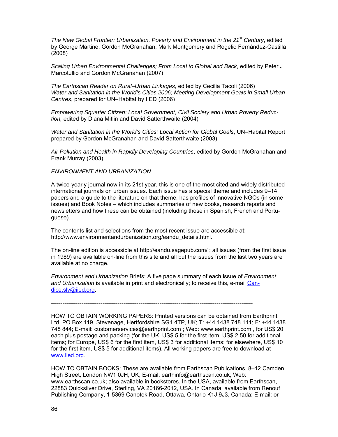*The New Global Frontier: Urbanization, Poverty and Environment in the 21st Century*, edited by George Martine, Gordon McGranahan, Mark Montgomery and Rogelio Fernández-Castilla (2008)

*Scaling Urban Environmental Challenges; From Local to Global and Back*, edited by Peter J Marcotullio and Gordon McGranahan (2007)

*The Earthscan Reader on Rural–Urban Linkages*, edited by Cecilia Tacoli (2006) *Water and Sanitation in the World's Cities 2006; Meeting Development Goals in Small Urban Centres*, prepared for UN–Habitat by IIED (2006)

*Empowering Squatter Citizen: Local Government, Civil Society and Urban Poverty Reduction,* edited by Diana Mitlin and David Satterthwaite (2004)

*Water and Sanitation in the World's Cities: Local Action for Global Goals*, UN–Habitat Report prepared by Gordon McGranahan and David Satterthwaite (2003)

*Air Pollution and Health in Rapidly Developing Countries*, edited by Gordon McGranahan and Frank Murray (2003)

*ENVIRONMENT AND URBANIZATION* 

A twice-yearly journal now in its 21st year, this is one of the most cited and widely distributed international journals on urban issues. Each issue has a special theme and includes 9–14 papers and a guide to the literature on that theme, has profiles of innovative NGOs (in some issues) and Book Notes – which includes summaries of new books, research reports and newsletters and how these can be obtained (including those in Spanish, French and Portuguese).

The contents list and selections from the most recent issue are accessible at: http://www.environmentandurbanization.org/eandu\_details.html.

The on-line edition is accessible at http://eandu.sagepub.com/ ; all issues (from the first issue in 1989) are available on-line from this site and all but the issues from the last two years are available at no charge.

*Environment and Urbanization* Briefs: A five page summary of each issue of *Environment and Urbanization* is available in print and electronically; to receive this, e-mail Candice.sly@iied.org.

----------------------------------------------------------------------------------------------------------

HOW TO OBTAIN WORKING PAPERS: Printed versions can be obtained from Earthprint Ltd, PO Box 119, Stevenage, Hertfordshire SG1 4TP, UK; T: +44 1438 748 111; F: +44 1438 748 844; E-mail: customerservices@earthprint.com ; Web: www.earthprint.com , for US\$ 20 each plus postage and packing (for the UK, US\$ 5 for the first item, US\$ 2.50 for additional items; for Europe, US\$ 6 for the first item, US\$ 3 for additional items; for elsewhere, US\$ 10 for the first item, US\$ 5 for additional items). All working papers are free to download at www.iied.org.

HOW TO OBTAIN BOOKS: These are available from Earthscan Publications, 8–12 Camden High Street, London NW1 0JH, UK; E-mail: earthinfo@earthscan.co.uk; Web: www.earthscan.co.uk; also available in bookstores. In the USA, available from Earthscan, 22883 Quicksilver Drive, Sterling, VA 20166-2012, USA. In Canada, available from Renouf Publishing Company, 1-5369 Canotek Road, Ottawa, Ontario K1J 9J3, Canada; E-mail: or